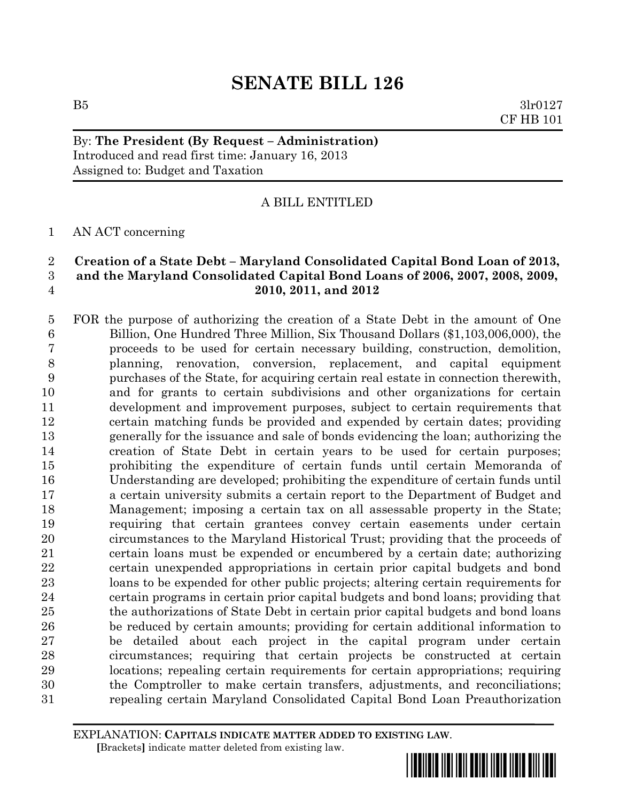$B5$   $3lr0127$ CF HB 101

## By: **The President (By Request – Administration)** Introduced and read first time: January 16, 2013 Assigned to: Budget and Taxation

## A BILL ENTITLED

## AN ACT concerning

## **Creation of a State Debt – Maryland Consolidated Capital Bond Loan of 2013, and the Maryland Consolidated Capital Bond Loans of 2006, 2007, 2008, 2009, 2010, 2011, and 2012**

 FOR the purpose of authorizing the creation of a State Debt in the amount of One Billion, One Hundred Three Million, Six Thousand Dollars (\$1,103,006,000), the proceeds to be used for certain necessary building, construction, demolition, planning, renovation, conversion, replacement, and capital equipment purchases of the State, for acquiring certain real estate in connection therewith, and for grants to certain subdivisions and other organizations for certain development and improvement purposes, subject to certain requirements that certain matching funds be provided and expended by certain dates; providing generally for the issuance and sale of bonds evidencing the loan; authorizing the creation of State Debt in certain years to be used for certain purposes; prohibiting the expenditure of certain funds until certain Memoranda of Understanding are developed; prohibiting the expenditure of certain funds until a certain university submits a certain report to the Department of Budget and Management; imposing a certain tax on all assessable property in the State; requiring that certain grantees convey certain easements under certain circumstances to the Maryland Historical Trust; providing that the proceeds of certain loans must be expended or encumbered by a certain date; authorizing certain unexpended appropriations in certain prior capital budgets and bond loans to be expended for other public projects; altering certain requirements for certain programs in certain prior capital budgets and bond loans; providing that the authorizations of State Debt in certain prior capital budgets and bond loans be reduced by certain amounts; providing for certain additional information to be detailed about each project in the capital program under certain circumstances; requiring that certain projects be constructed at certain locations; repealing certain requirements for certain appropriations; requiring the Comptroller to make certain transfers, adjustments, and reconciliations; repealing certain Maryland Consolidated Capital Bond Loan Preauthorization

EXPLANATION: **CAPITALS INDICATE MATTER ADDED TO EXISTING LAW**.  **[**Brackets**]** indicate matter deleted from existing law.

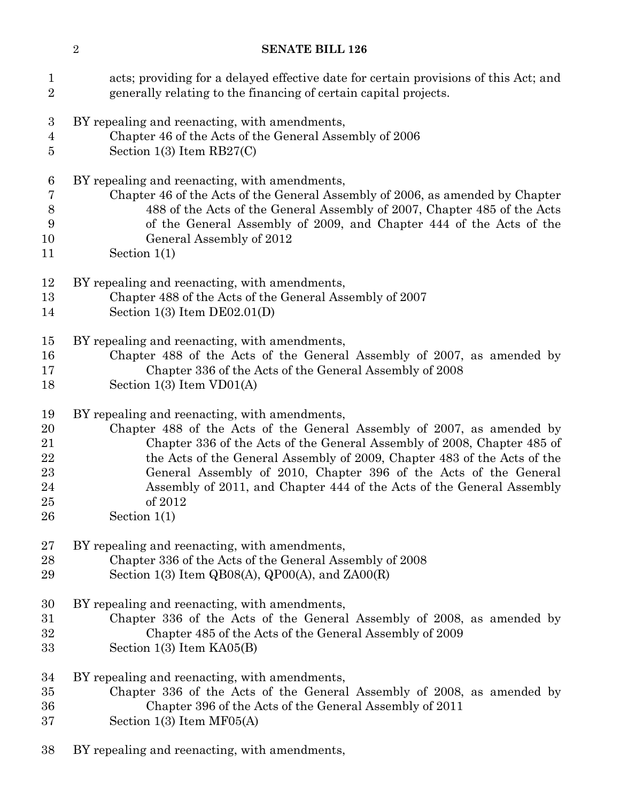| $\mathbf 1$<br>$\overline{2}$ | acts; providing for a delayed effective date for certain provisions of this Act; and<br>generally relating to the financing of certain capital projects. |
|-------------------------------|----------------------------------------------------------------------------------------------------------------------------------------------------------|
|                               |                                                                                                                                                          |
| 3                             | BY repealing and reenacting, with amendments,                                                                                                            |
| 4<br>5                        | Chapter 46 of the Acts of the General Assembly of 2006<br>Section 1(3) Item $RB27(C)$                                                                    |
|                               |                                                                                                                                                          |
| 6                             | BY repealing and reenacting, with amendments,                                                                                                            |
| 7                             | Chapter 46 of the Acts of the General Assembly of 2006, as amended by Chapter                                                                            |
| 8                             | 488 of the Acts of the General Assembly of 2007, Chapter 485 of the Acts                                                                                 |
| 9                             | of the General Assembly of 2009, and Chapter 444 of the Acts of the                                                                                      |
| 10                            | General Assembly of 2012                                                                                                                                 |
| 11                            | Section $1(1)$                                                                                                                                           |
| 12                            | BY repealing and reenacting, with amendments,                                                                                                            |
| 13                            | Chapter 488 of the Acts of the General Assembly of 2007                                                                                                  |
| 14                            | Section $1(3)$ Item DE02.01(D)                                                                                                                           |
|                               |                                                                                                                                                          |
| 15                            | BY repealing and reenacting, with amendments,                                                                                                            |
| 16                            | Chapter 488 of the Acts of the General Assembly of 2007, as amended by                                                                                   |
| 17                            | Chapter 336 of the Acts of the General Assembly of 2008                                                                                                  |
| 18                            | Section $1(3)$ Item $VD01(A)$                                                                                                                            |
| 19                            | BY repealing and reenacting, with amendments,                                                                                                            |
| 20                            | Chapter 488 of the Acts of the General Assembly of 2007, as amended by                                                                                   |
| 21                            | Chapter 336 of the Acts of the General Assembly of 2008, Chapter 485 of                                                                                  |
| 22                            | the Acts of the General Assembly of 2009, Chapter 483 of the Acts of the                                                                                 |
| 23                            | General Assembly of 2010, Chapter 396 of the Acts of the General                                                                                         |
| 24                            | Assembly of 2011, and Chapter 444 of the Acts of the General Assembly                                                                                    |
| $25\,$                        | of 2012                                                                                                                                                  |
| 26                            | Section $1(1)$                                                                                                                                           |
| $27\,$                        | BY repealing and reenacting, with amendments,                                                                                                            |
| 28                            | Chapter 336 of the Acts of the General Assembly of 2008                                                                                                  |
| 29                            | Section 1(3) Item $QBO8(A)$ , $QPO0(A)$ , and $ZAO0(R)$                                                                                                  |
|                               |                                                                                                                                                          |
| 30                            | BY repealing and reenacting, with amendments,                                                                                                            |
| $31\,$                        | Chapter 336 of the Acts of the General Assembly of 2008, as amended by                                                                                   |
| $32\,$                        | Chapter 485 of the Acts of the General Assembly of 2009                                                                                                  |
| 33                            | Section $1(3)$ Item $KAO5(B)$                                                                                                                            |
| 34                            | BY repealing and reenacting, with amendments,                                                                                                            |
| $35\,$                        | Chapter 336 of the Acts of the General Assembly of 2008, as amended by                                                                                   |
| 36                            | Chapter 396 of the Acts of the General Assembly of 2011                                                                                                  |
| 37                            | Section $1(3)$ Item MF05(A)                                                                                                                              |
|                               |                                                                                                                                                          |

BY repealing and reenacting, with amendments,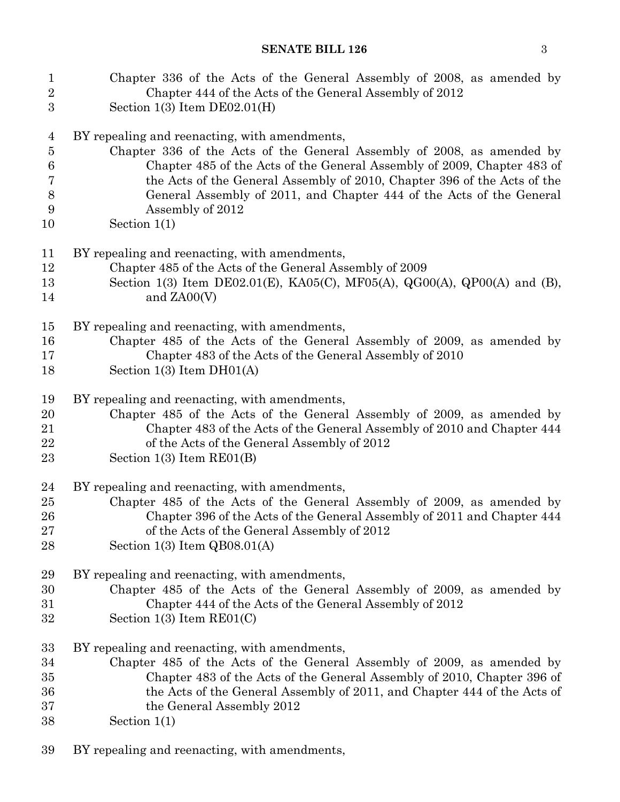| $\mathbf{1}$    | Chapter 336 of the Acts of the General Assembly of 2008, as amended by    |
|-----------------|---------------------------------------------------------------------------|
| $\overline{2}$  | Chapter 444 of the Acts of the General Assembly of 2012                   |
| 3               | Section $1(3)$ Item $DE02.01(H)$                                          |
| $\overline{4}$  | BY repealing and reenacting, with amendments,                             |
| $\overline{5}$  | Chapter 336 of the Acts of the General Assembly of 2008, as amended by    |
| $6\phantom{.}6$ | Chapter 485 of the Acts of the General Assembly of 2009, Chapter 483 of   |
| 7               | the Acts of the General Assembly of 2010, Chapter 396 of the Acts of the  |
| $8\,$           | General Assembly of 2011, and Chapter 444 of the Acts of the General      |
| 9               | Assembly of 2012                                                          |
| 10              | Section $1(1)$                                                            |
| 11              | BY repealing and reenacting, with amendments,                             |
| 12              | Chapter 485 of the Acts of the General Assembly of 2009                   |
| 13              | Section 1(3) Item DE02.01(E), KA05(C), MF05(A), QG00(A), QP00(A) and (B), |
| 14              | and $ZAOO(V)$                                                             |
| 15              | BY repealing and reenacting, with amendments,                             |
| 16              | Chapter 485 of the Acts of the General Assembly of 2009, as amended by    |
| 17              | Chapter 483 of the Acts of the General Assembly of 2010                   |
| 18              | Section $1(3)$ Item DH01(A)                                               |
| 19              | BY repealing and reenacting, with amendments,                             |
| 20              | Chapter 485 of the Acts of the General Assembly of 2009, as amended by    |
| 21              | Chapter 483 of the Acts of the General Assembly of 2010 and Chapter 444   |
| 22              | of the Acts of the General Assembly of 2012                               |
| 23              | Section $1(3)$ Item $RE01(B)$                                             |
| 24              | BY repealing and reenacting, with amendments,                             |
| 25              | Chapter 485 of the Acts of the General Assembly of 2009, as amended by    |
| 26              | Chapter 396 of the Acts of the General Assembly of 2011 and Chapter 444   |
| 27              | of the Acts of the General Assembly of 2012                               |
| 28              | Section $1(3)$ Item $QB08.01(A)$                                          |
| 29              | BY repealing and reenacting, with amendments,                             |
| 30              | Chapter 485 of the Acts of the General Assembly of 2009, as amended by    |
| 31              | Chapter 444 of the Acts of the General Assembly of 2012                   |
| 32              | Section $1(3)$ Item $RE01(C)$                                             |
| 33              | BY repealing and reenacting, with amendments,                             |
| 34              | Chapter 485 of the Acts of the General Assembly of 2009, as amended by    |
| $35\,$          | Chapter 483 of the Acts of the General Assembly of 2010, Chapter 396 of   |
| 36              | the Acts of the General Assembly of 2011, and Chapter 444 of the Acts of  |
| 37              | the General Assembly 2012                                                 |
| 38              | Section $1(1)$                                                            |

BY repealing and reenacting, with amendments,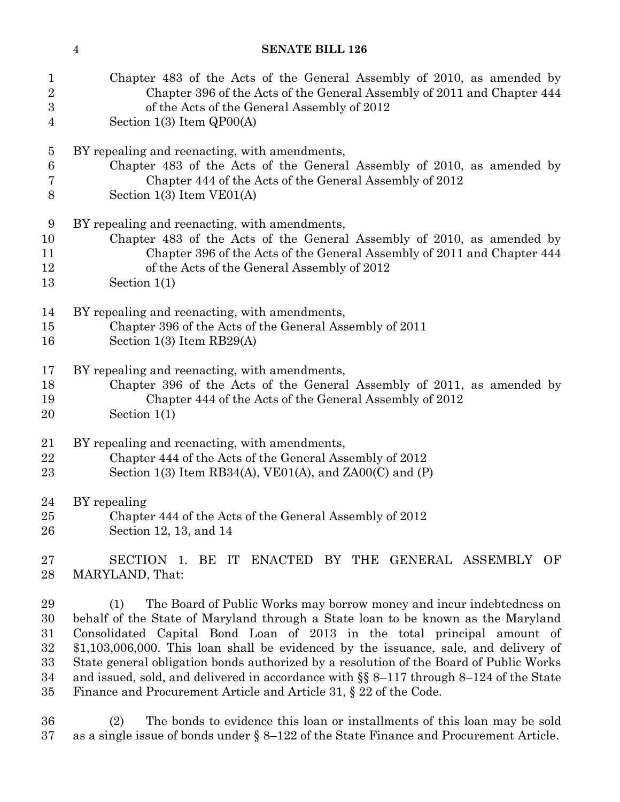| $\mathbf{1}$                               | Chapter 483 of the Acts of the General Assembly of 2010, as amended by                                                                                                                                                                                                                                                                                                                                                                                                                                                                                                                          |
|--------------------------------------------|-------------------------------------------------------------------------------------------------------------------------------------------------------------------------------------------------------------------------------------------------------------------------------------------------------------------------------------------------------------------------------------------------------------------------------------------------------------------------------------------------------------------------------------------------------------------------------------------------|
| $\overline{2}$                             | Chapter 396 of the Acts of the General Assembly of 2011 and Chapter 444                                                                                                                                                                                                                                                                                                                                                                                                                                                                                                                         |
| 3                                          | of the Acts of the General Assembly of 2012                                                                                                                                                                                                                                                                                                                                                                                                                                                                                                                                                     |
| $\overline{4}$                             | Section $1(3)$ Item $QPOO(A)$                                                                                                                                                                                                                                                                                                                                                                                                                                                                                                                                                                   |
| $\overline{5}$                             | BY repealing and reenacting, with amendments,                                                                                                                                                                                                                                                                                                                                                                                                                                                                                                                                                   |
| $6\phantom{.}6$                            | Chapter 483 of the Acts of the General Assembly of 2010, as amended by                                                                                                                                                                                                                                                                                                                                                                                                                                                                                                                          |
| 7                                          | Chapter 444 of the Acts of the General Assembly of 2012                                                                                                                                                                                                                                                                                                                                                                                                                                                                                                                                         |
| $8\,$                                      | Section $1(3)$ Item $VE01(A)$                                                                                                                                                                                                                                                                                                                                                                                                                                                                                                                                                                   |
| 9                                          | BY repealing and reenacting, with amendments,                                                                                                                                                                                                                                                                                                                                                                                                                                                                                                                                                   |
| 10                                         | Chapter 483 of the Acts of the General Assembly of 2010, as amended by                                                                                                                                                                                                                                                                                                                                                                                                                                                                                                                          |
| 11                                         | Chapter 396 of the Acts of the General Assembly of 2011 and Chapter 444                                                                                                                                                                                                                                                                                                                                                                                                                                                                                                                         |
| 12                                         | of the Acts of the General Assembly of 2012                                                                                                                                                                                                                                                                                                                                                                                                                                                                                                                                                     |
| 13                                         | Section $1(1)$                                                                                                                                                                                                                                                                                                                                                                                                                                                                                                                                                                                  |
| 14                                         | BY repealing and reenacting, with amendments,                                                                                                                                                                                                                                                                                                                                                                                                                                                                                                                                                   |
| 15                                         | Chapter 396 of the Acts of the General Assembly of 2011                                                                                                                                                                                                                                                                                                                                                                                                                                                                                                                                         |
| 16                                         | Section $1(3)$ Item RB29(A)                                                                                                                                                                                                                                                                                                                                                                                                                                                                                                                                                                     |
| 17                                         | BY repealing and reenacting, with amendments,                                                                                                                                                                                                                                                                                                                                                                                                                                                                                                                                                   |
| 18                                         | Chapter 396 of the Acts of the General Assembly of 2011, as amended by                                                                                                                                                                                                                                                                                                                                                                                                                                                                                                                          |
| 19                                         | Chapter 444 of the Acts of the General Assembly of 2012                                                                                                                                                                                                                                                                                                                                                                                                                                                                                                                                         |
| 20                                         | Section $1(1)$                                                                                                                                                                                                                                                                                                                                                                                                                                                                                                                                                                                  |
| 21                                         | BY repealing and reenacting, with amendments,                                                                                                                                                                                                                                                                                                                                                                                                                                                                                                                                                   |
| 22                                         | Chapter 444 of the Acts of the General Assembly of 2012                                                                                                                                                                                                                                                                                                                                                                                                                                                                                                                                         |
| 23                                         | Section 1(3) Item RB34(A), VE01(A), and ZA00(C) and $(P)$                                                                                                                                                                                                                                                                                                                                                                                                                                                                                                                                       |
| 24                                         | BY repealing                                                                                                                                                                                                                                                                                                                                                                                                                                                                                                                                                                                    |
| $25\,$                                     | Chapter 444 of the Acts of the General Assembly of 2012                                                                                                                                                                                                                                                                                                                                                                                                                                                                                                                                         |
| 26                                         | Section 12, 13, and 14                                                                                                                                                                                                                                                                                                                                                                                                                                                                                                                                                                          |
| $\sqrt{27}$<br>28                          | <b>SECTION</b><br>ENACTED BY THE GENERAL ASSEMBLY OF<br>BE<br>IT<br>1.<br>MARYLAND, That:                                                                                                                                                                                                                                                                                                                                                                                                                                                                                                       |
| 29<br>30<br>31<br>32<br>$33\,$<br>34<br>35 | The Board of Public Works may borrow money and incur indebtedness on<br>(1)<br>behalf of the State of Maryland through a State loan to be known as the Maryland<br>Consolidated Capital Bond Loan of 2013 in the total principal amount of<br>$$1,103,006,000$ . This loan shall be evidenced by the issuance, sale, and delivery of<br>State general obligation bonds authorized by a resolution of the Board of Public Works<br>and issued, sold, and delivered in accordance with $\S$ 8-117 through 8-124 of the State<br>Finance and Procurement Article and Article 31, § 22 of the Code. |
| 36<br>37                                   | The bonds to evidence this loan or installments of this loan may be sold<br>(2)<br>as a single issue of bonds under $\S 8-122$ of the State Finance and Procurement Article.                                                                                                                                                                                                                                                                                                                                                                                                                    |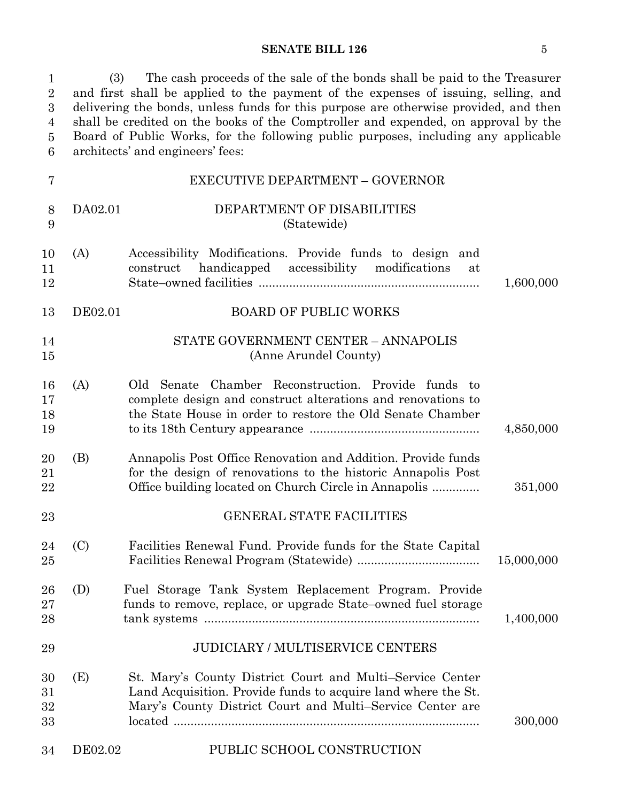1 (3) The cash proceeds of the sale of the bonds shall be paid to the Treasurer 2 and first shall be applied to the payment of the expenses of issuing, selling, and delivering the bonds, unless funds for this purpose are otherwise provided, and then shall be credited on the books of the Comptroller and expended, on approval by the 5 Board of Public Works, for the following public purposes, including any applicable architects' and engineers' fees: 1  $\sqrt{2}$ 3 4  $\bf 5$ 6

| 7                    |         | EXECUTIVE DEPARTMENT - GOVERNOR                                                                                                                                                           |            |
|----------------------|---------|-------------------------------------------------------------------------------------------------------------------------------------------------------------------------------------------|------------|
| $8\,$<br>9           | DA02.01 | DEPARTMENT OF DISABILITIES<br>(Statewide)                                                                                                                                                 |            |
| 10<br>11<br>12       | (A)     | Accessibility Modifications. Provide funds to design and<br>handicapped<br>construct<br>accessibility<br>modifications<br>at                                                              | 1,600,000  |
| 13                   | DE02.01 | <b>BOARD OF PUBLIC WORKS</b>                                                                                                                                                              |            |
| 14<br>15             |         | STATE GOVERNMENT CENTER - ANNAPOLIS<br>(Anne Arundel County)                                                                                                                              |            |
| 16<br>17<br>18<br>19 | (A)     | Chamber Reconstruction. Provide funds<br>Old Senate<br>- to<br>complete design and construct alterations and renovations to<br>the State House in order to restore the Old Senate Chamber | 4,850,000  |
| 20<br>21<br>22       | (B)     | Annapolis Post Office Renovation and Addition. Provide funds<br>for the design of renovations to the historic Annapolis Post<br>Office building located on Church Circle in Annapolis     | 351,000    |
| 23                   |         | <b>GENERAL STATE FACILITIES</b>                                                                                                                                                           |            |
| 24<br>25             | (C)     | Facilities Renewal Fund. Provide funds for the State Capital                                                                                                                              | 15,000,000 |
| 26<br>27<br>28       | (D)     | Fuel Storage Tank System Replacement Program. Provide<br>funds to remove, replace, or upgrade State–owned fuel storage                                                                    | 1,400,000  |
| 29                   |         | <b>JUDICIARY / MULTISERVICE CENTERS</b>                                                                                                                                                   |            |
| 30<br>31<br>32<br>33 | (E)     | St. Mary's County District Court and Multi–Service Center<br>Land Acquisition. Provide funds to acquire land where the St.<br>Mary's County District Court and Multi-Service Center are   | 300,000    |
| 34                   | DE02.02 | PUBLIC SCHOOL CONSTRUCTION                                                                                                                                                                |            |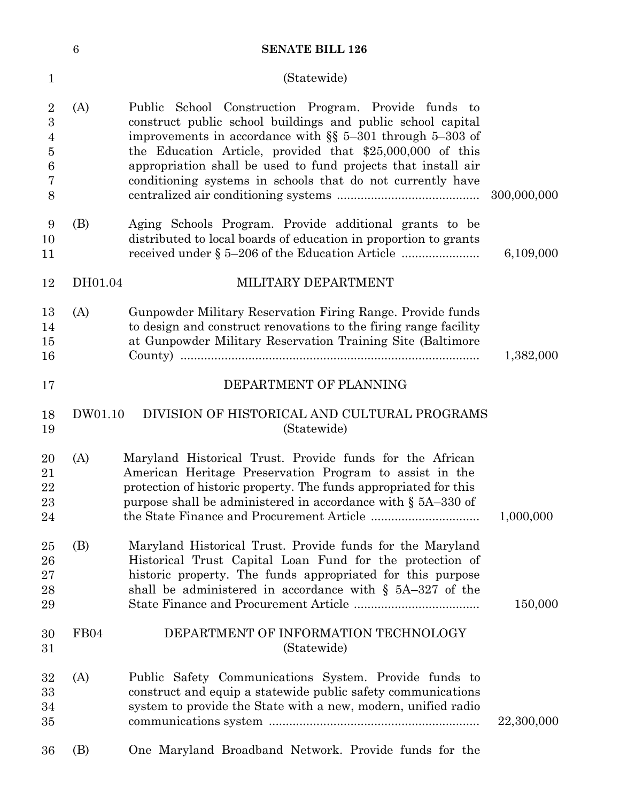|                                              | 6       | <b>SENATE BILL 126</b>                                                                                                                                                                                                                                                                                                                                                             |             |
|----------------------------------------------|---------|------------------------------------------------------------------------------------------------------------------------------------------------------------------------------------------------------------------------------------------------------------------------------------------------------------------------------------------------------------------------------------|-------------|
| $\mathbf{1}$                                 |         | (Statewide)                                                                                                                                                                                                                                                                                                                                                                        |             |
| $\overline{2}$<br>3<br>4<br>5<br>6<br>7<br>8 | (A)     | School Construction Program. Provide funds to<br>Public<br>construct public school buildings and public school capital<br>improvements in accordance with $\S$ 5-301 through 5-303 of<br>the Education Article, provided that $$25,000,000$ of this<br>appropriation shall be used to fund projects that install air<br>conditioning systems in schools that do not currently have | 300,000,000 |
| 9<br>10<br>11                                | (B)     | Aging Schools Program. Provide additional grants to be<br>distributed to local boards of education in proportion to grants<br>received under § 5–206 of the Education Article                                                                                                                                                                                                      | 6,109,000   |
| 12                                           | DH01.04 | MILITARY DEPARTMENT                                                                                                                                                                                                                                                                                                                                                                |             |
| 13<br>14<br>15<br>16                         | (A)     | Gunpowder Military Reservation Firing Range. Provide funds<br>to design and construct renovations to the firing range facility<br>at Gunpowder Military Reservation Training Site (Baltimore                                                                                                                                                                                       | 1,382,000   |
| 17                                           |         | DEPARTMENT OF PLANNING                                                                                                                                                                                                                                                                                                                                                             |             |
| 18<br>19                                     | DW01.10 | DIVISION OF HISTORICAL AND CULTURAL PROGRAMS<br>(Statewide)                                                                                                                                                                                                                                                                                                                        |             |
| 20<br>21<br>22<br>23<br>24                   | (A)     | Maryland Historical Trust. Provide funds for the African<br>American Heritage Preservation Program to assist in the<br>protection of historic property. The funds appropriated for this<br>purpose shall be administered in accordance with § 5A-330 of                                                                                                                            | 1,000,000   |
| 25<br>26<br>$27\,$<br>28<br>29               | (B)     | Maryland Historical Trust. Provide funds for the Maryland<br>Historical Trust Capital Loan Fund for the protection of<br>historic property. The funds appropriated for this purpose<br>shall be administered in accordance with $\S$ 5A-327 of the                                                                                                                                 | 150,000     |
| 30<br>31                                     | FB04    | DEPARTMENT OF INFORMATION TECHNOLOGY<br>(Statewide)                                                                                                                                                                                                                                                                                                                                |             |
| 32<br>33<br>34<br>35                         | (A)     | Public Safety Communications System. Provide funds to<br>construct and equip a statewide public safety communications<br>system to provide the State with a new, modern, unified radio                                                                                                                                                                                             | 22,300,000  |
| 36                                           | (B)     | One Maryland Broadband Network. Provide funds for the                                                                                                                                                                                                                                                                                                                              |             |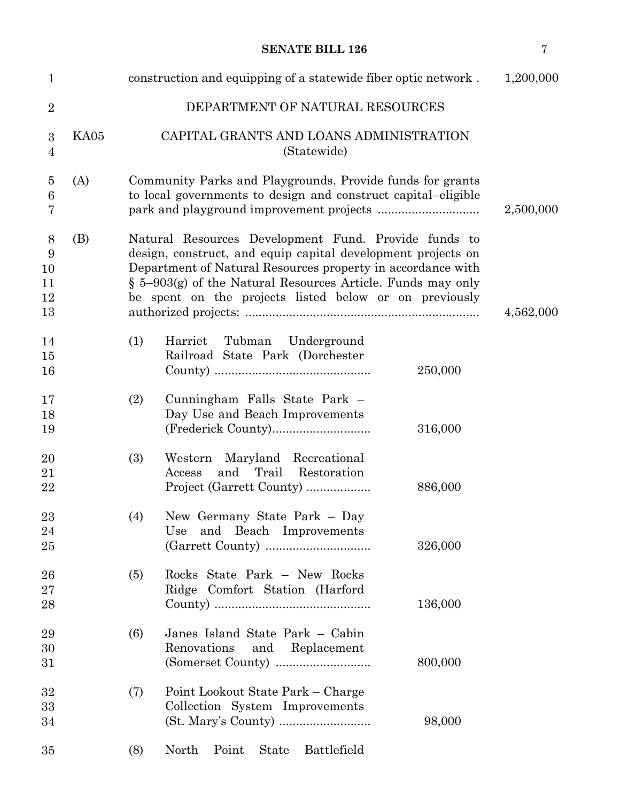| $\mathbf{1}$                                  |      |     | construction and equipping of a statewide fiber optic network.                                                                                                                                                                                                                                                  | 1,200,000 |
|-----------------------------------------------|------|-----|-----------------------------------------------------------------------------------------------------------------------------------------------------------------------------------------------------------------------------------------------------------------------------------------------------------------|-----------|
| $\overline{2}$                                |      |     | DEPARTMENT OF NATURAL RESOURCES                                                                                                                                                                                                                                                                                 |           |
| $\boldsymbol{3}$<br>$\overline{4}$            | KA05 |     | CAPITAL GRANTS AND LOANS ADMINISTRATION<br>(Statewide)                                                                                                                                                                                                                                                          |           |
| $\overline{5}$<br>$\,6$<br>7                  | (A)  |     | Community Parks and Playgrounds. Provide funds for grants<br>to local governments to design and construct capital-eligible                                                                                                                                                                                      | 2,500,000 |
| 8<br>$\boldsymbol{9}$<br>10<br>11<br>12<br>13 | (B)  |     | Natural Resources Development Fund. Provide funds to<br>design, construct, and equip capital development projects on<br>Department of Natural Resources property in accordance with<br>$\S$ 5-903(g) of the Natural Resources Article. Funds may only<br>be spent on the projects listed below or on previously | 4,562,000 |
| 14<br>15<br>16                                |      | (1) | Harriet<br>Tubman Underground<br>Railroad State Park (Dorchester<br>250,000                                                                                                                                                                                                                                     |           |
| 17<br>18<br>19                                |      | (2) | Cunningham Falls State Park -<br>Day Use and Beach Improvements<br>316,000                                                                                                                                                                                                                                      |           |
| 20<br>21<br>22                                |      | (3) | Western Maryland Recreational<br>Trail Restoration<br>Access<br>and<br>Project (Garrett County)<br>886,000                                                                                                                                                                                                      |           |
| 23<br>24<br>25                                |      | (4) | New Germany State Park - Day<br>and Beach Improvements<br>Use<br>326,000                                                                                                                                                                                                                                        |           |
| 26<br>27<br>28                                |      | (5) | Rocks State Park - New Rocks<br>Ridge Comfort Station (Harford<br>136,000                                                                                                                                                                                                                                       |           |
| 29<br>30<br>31                                |      | (6) | Janes Island State Park - Cabin<br>Renovations<br>and<br>Replacement<br>800,000                                                                                                                                                                                                                                 |           |
| 32<br>33<br>34                                |      | (7) | Point Lookout State Park – Charge<br>Collection System Improvements<br>98,000                                                                                                                                                                                                                                   |           |
| 35                                            |      | (8) | Battlefield<br>North<br>Point<br><b>State</b>                                                                                                                                                                                                                                                                   |           |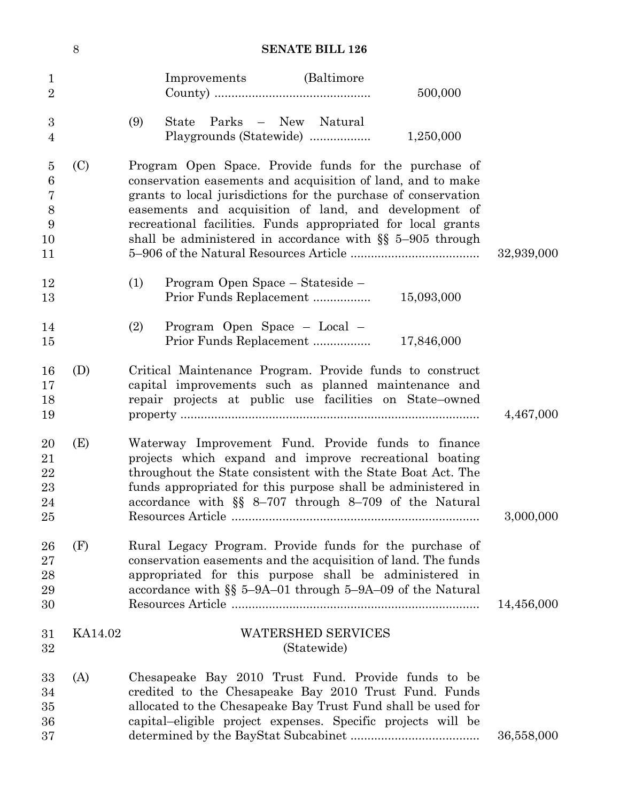|                                                                           | 8       | <b>SENATE BILL 126</b>                                                                                                                                                                                                                                                                                                                                                         |            |
|---------------------------------------------------------------------------|---------|--------------------------------------------------------------------------------------------------------------------------------------------------------------------------------------------------------------------------------------------------------------------------------------------------------------------------------------------------------------------------------|------------|
| $\mathbf{1}$<br>$\overline{2}$                                            |         | Improvements (Baltimore)<br>500,000                                                                                                                                                                                                                                                                                                                                            |            |
| 3<br>4                                                                    |         | Parks – New<br>(9)<br><b>State</b><br>Natural<br>1,250,000<br>Playgrounds (Statewide)                                                                                                                                                                                                                                                                                          |            |
| $\overline{5}$<br>$6\phantom{.}6$<br>$\overline{7}$<br>8<br>9<br>10<br>11 | (C)     | Program Open Space. Provide funds for the purchase of<br>conservation easements and acquisition of land, and to make<br>grants to local jurisdictions for the purchase of conservation<br>easements and acquisition of land, and development of<br>recreational facilities. Funds appropriated for local grants<br>shall be administered in accordance with $\S$ 5-905 through | 32,939,000 |
| 12<br>13                                                                  |         | Program Open Space – Stateside –<br>(1)<br>15,093,000<br>Prior Funds Replacement                                                                                                                                                                                                                                                                                               |            |
| 14<br>15                                                                  |         | (2)<br>Program Open Space - Local -<br>Prior Funds Replacement<br>17,846,000                                                                                                                                                                                                                                                                                                   |            |
| 16<br>17<br>18<br>19                                                      | (D)     | Critical Maintenance Program. Provide funds to construct<br>capital improvements such as planned maintenance and<br>repair projects at public use facilities on State-owned                                                                                                                                                                                                    | 4,467,000  |
| 20<br>21<br>22<br>$23\,$<br>24<br>$25\,$                                  | (E)     | Waterway Improvement Fund. Provide funds to finance<br>projects which expand and improve recreational boating<br>throughout the State consistent with the State Boat Act. The<br>funds appropriated for this purpose shall be administered in<br>accordance with §§ 8-707 through 8-709 of the Natural                                                                         | 3,000,000  |
| 26<br>$27\,$<br>28<br>29<br>30                                            | (F)     | Rural Legacy Program. Provide funds for the purchase of<br>conservation easements and the acquisition of land. The funds<br>appropriated for this purpose shall be administered in<br>accordance with §§ 5-9A-01 through 5-9A-09 of the Natural                                                                                                                                | 14,456,000 |
| 31<br>32                                                                  | KA14.02 | <b>WATERSHED SERVICES</b><br>(Statewide)                                                                                                                                                                                                                                                                                                                                       |            |
| 33<br>34<br>$35\,$<br>36<br>37                                            | (A)     | Chesapeake Bay 2010 Trust Fund. Provide funds to be<br>credited to the Chesapeake Bay 2010 Trust Fund. Funds<br>allocated to the Chesapeake Bay Trust Fund shall be used for<br>capital-eligible project expenses. Specific projects will be                                                                                                                                   | 36,558,000 |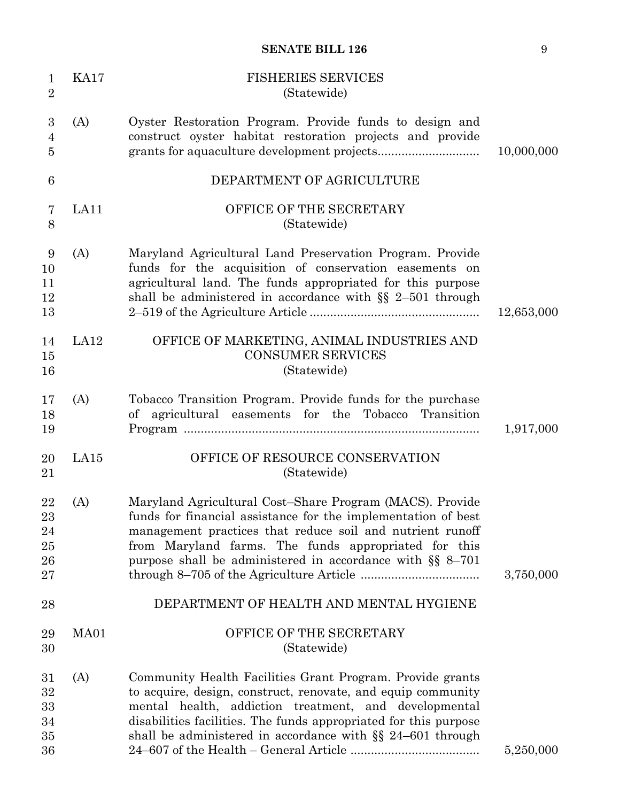| $\mathbf{1}$<br>$\overline{2}$        | <b>KA17</b> | <b>FISHERIES SERVICES</b><br>(Statewide)                                                                                                                                                                                                                                                                               |            |
|---------------------------------------|-------------|------------------------------------------------------------------------------------------------------------------------------------------------------------------------------------------------------------------------------------------------------------------------------------------------------------------------|------------|
| 3<br>$\overline{4}$<br>$\overline{5}$ | (A)         | Oyster Restoration Program. Provide funds to design and<br>construct oyster habitat restoration projects and provide                                                                                                                                                                                                   | 10,000,000 |
| 6                                     |             | DEPARTMENT OF AGRICULTURE                                                                                                                                                                                                                                                                                              |            |
| 7<br>8                                | LA11        | OFFICE OF THE SECRETARY<br>(Statewide)                                                                                                                                                                                                                                                                                 |            |
| 9<br>10<br>11<br>12<br>13             | (A)         | Maryland Agricultural Land Preservation Program. Provide<br>funds for the acquisition of conservation easements on<br>agricultural land. The funds appropriated for this purpose<br>shall be administered in accordance with $\S$ 2-501 through                                                                        | 12,653,000 |
| 14<br>15<br>16                        | LA12        | OFFICE OF MARKETING, ANIMAL INDUSTRIES AND<br><b>CONSUMER SERVICES</b><br>(Statewide)                                                                                                                                                                                                                                  |            |
| 17<br>18<br>19                        | (A)         | Tobacco Transition Program. Provide funds for the purchase<br>of agricultural easements for the Tobacco Transition                                                                                                                                                                                                     | 1,917,000  |
| 20<br>21                              | LA15        | OFFICE OF RESOURCE CONSERVATION<br>(Statewide)                                                                                                                                                                                                                                                                         |            |
| 22<br>23<br>24<br>25<br>26<br>27      | (A)         | Maryland Agricultural Cost-Share Program (MACS). Provide<br>funds for financial assistance for the implementation of best<br>management practices that reduce soil and nutrient runoff<br>from Maryland farms. The funds appropriated for this<br>purpose shall be administered in accordance with $\S$ 8-701          | 3,750,000  |
| 28                                    |             | DEPARTMENT OF HEALTH AND MENTAL HYGIENE                                                                                                                                                                                                                                                                                |            |
| 29<br>30                              | MA01        | OFFICE OF THE SECRETARY<br>(Statewide)                                                                                                                                                                                                                                                                                 |            |
| 31<br>32<br>33<br>34<br>35<br>36      | (A)         | Community Health Facilities Grant Program. Provide grants<br>to acquire, design, construct, renovate, and equip community<br>mental health, addiction treatment, and developmental<br>disabilities facilities. The funds appropriated for this purpose<br>shall be administered in accordance with $\S$ 24–601 through | 5,250,000  |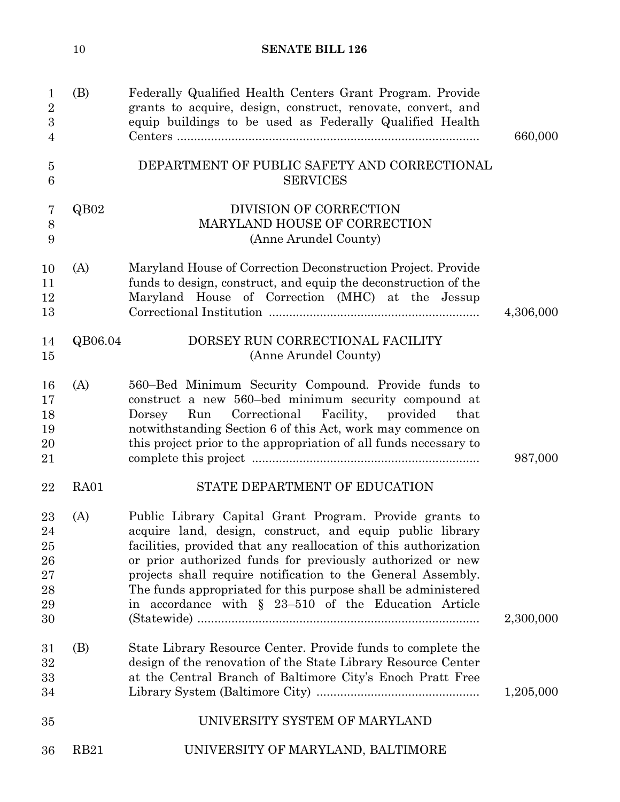|                                                                     | 10          | <b>SENATE BILL 126</b>                                                                                                                                                                                                                                                                                                                                                                                                                             |           |
|---------------------------------------------------------------------|-------------|----------------------------------------------------------------------------------------------------------------------------------------------------------------------------------------------------------------------------------------------------------------------------------------------------------------------------------------------------------------------------------------------------------------------------------------------------|-----------|
| $\mathbf 1$<br>$\overline{2}$<br>$\boldsymbol{3}$<br>$\overline{4}$ | (B)         | Federally Qualified Health Centers Grant Program. Provide<br>grants to acquire, design, construct, renovate, convert, and<br>equip buildings to be used as Federally Qualified Health                                                                                                                                                                                                                                                              | 660,000   |
| $\overline{5}$<br>6                                                 |             | DEPARTMENT OF PUBLIC SAFETY AND CORRECTIONAL<br><b>SERVICES</b>                                                                                                                                                                                                                                                                                                                                                                                    |           |
| 7<br>$8\,$<br>9                                                     | QB02        | DIVISION OF CORRECTION<br>MARYLAND HOUSE OF CORRECTION<br>(Anne Arundel County)                                                                                                                                                                                                                                                                                                                                                                    |           |
| 10<br>11<br>12<br>13                                                | (A)         | Maryland House of Correction Deconstruction Project. Provide<br>funds to design, construct, and equip the deconstruction of the<br>Maryland House of Correction (MHC) at the Jessup                                                                                                                                                                                                                                                                | 4,306,000 |
| 14<br>15                                                            | QB06.04     | DORSEY RUN CORRECTIONAL FACILITY<br>(Anne Arundel County)                                                                                                                                                                                                                                                                                                                                                                                          |           |
| 16<br>17<br>18<br>19<br>20<br>21                                    | (A)         | 560–Bed Minimum Security Compound. Provide funds to<br>construct a new 560-bed minimum security compound at<br>Correctional<br>Facility,<br>provided<br>Dorsey<br>Run<br>that<br>notwithstanding Section 6 of this Act, work may commence on<br>this project prior to the appropriation of all funds necessary to                                                                                                                                  | 987,000   |
| 22                                                                  | RA01        | STATE DEPARTMENT OF EDUCATION                                                                                                                                                                                                                                                                                                                                                                                                                      |           |
| 23<br>24<br>25<br>26<br>27<br>28<br>29<br>30                        | (A)         | Public Library Capital Grant Program. Provide grants to<br>acquire land, design, construct, and equip public library<br>facilities, provided that any reallocation of this authorization<br>or prior authorized funds for previously authorized or new<br>projects shall require notification to the General Assembly.<br>The funds appropriated for this purpose shall be administered<br>in accordance with $\S$ 23-510 of the Education Article | 2,300,000 |
| 31<br>32<br>33<br>34                                                | (B)         | State Library Resource Center. Provide funds to complete the<br>design of the renovation of the State Library Resource Center<br>at the Central Branch of Baltimore City's Enoch Pratt Free                                                                                                                                                                                                                                                        | 1,205,000 |
| 35                                                                  |             | UNIVERSITY SYSTEM OF MARYLAND                                                                                                                                                                                                                                                                                                                                                                                                                      |           |
| 36                                                                  | <b>RB21</b> | UNIVERSITY OF MARYLAND, BALTIMORE                                                                                                                                                                                                                                                                                                                                                                                                                  |           |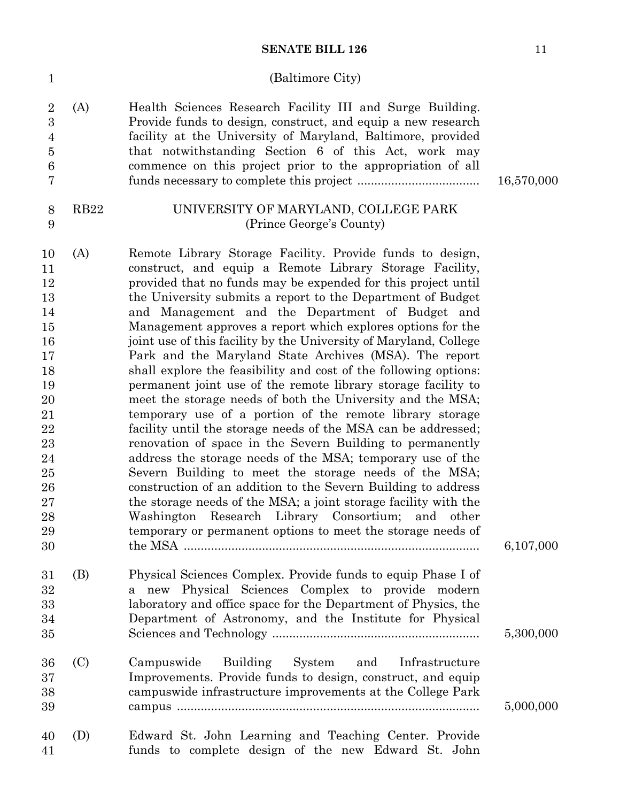## (Baltimore City)

|                | 2(A) | Health Sciences Research Facility III and Surge Building.    |
|----------------|------|--------------------------------------------------------------|
| 3              |      | Provide funds to design, construct, and equip a new research |
| $\overline{4}$ |      | facility at the University of Maryland, Baltimore, provided  |
| $5^{\circ}$    |      | that notwithstanding Section 6 of this Act, work may         |
| 6              |      | commence on this project prior to the appropriation of all   |
| $\tau$         |      |                                                              |

1

8 9  $16,570,000$ 

## RB22 UNIVERSITY OF MARYLAND, COLLEGE PARK (Prince George's County)

| 10 | (A) | Remote Library Storage Facility. Provide funds to design,         |           |
|----|-----|-------------------------------------------------------------------|-----------|
| 11 |     | construct, and equip a Remote Library Storage Facility,           |           |
| 12 |     | provided that no funds may be expended for this project until     |           |
| 13 |     | the University submits a report to the Department of Budget       |           |
| 14 |     | and Management and the Department of Budget and                   |           |
| 15 |     | Management approves a report which explores options for the       |           |
| 16 |     | joint use of this facility by the University of Maryland, College |           |
| 17 |     | Park and the Maryland State Archives (MSA). The report            |           |
| 18 |     | shall explore the feasibility and cost of the following options:  |           |
| 19 |     | permanent joint use of the remote library storage facility to     |           |
| 20 |     | meet the storage needs of both the University and the MSA;        |           |
| 21 |     | temporary use of a portion of the remote library storage          |           |
| 22 |     | facility until the storage needs of the MSA can be addressed;     |           |
| 23 |     | renovation of space in the Severn Building to permanently         |           |
| 24 |     | address the storage needs of the MSA; temporary use of the        |           |
| 25 |     | Severn Building to meet the storage needs of the MSA;             |           |
| 26 |     | construction of an addition to the Severn Building to address     |           |
| 27 |     | the storage needs of the MSA; a joint storage facility with the   |           |
| 28 |     | Washington Research Library Consortium; and other                 |           |
| 29 |     | temporary or permanent options to meet the storage needs of       |           |
| 30 |     |                                                                   | 6,107,000 |
| 31 | (B) | Physical Sciences Complex. Provide funds to equip Phase I of      |           |
| 32 |     | a new Physical Sciences Complex to provide modern                 |           |
| 33 |     | laboratory and office space for the Department of Physics, the    |           |
| 34 |     | Department of Astronomy, and the Institute for Physical           |           |
| 35 |     |                                                                   | 5,300,000 |
| 36 | (C) | Building<br>and<br>Campuswide<br>System<br>Infrastructure         |           |
| 37 |     | Improvements. Provide funds to design, construct, and equip       |           |
| 38 |     | campus wide infrastructure improvements at the College Park       |           |
| 39 |     |                                                                   | 5,000,000 |
| 40 | (D) | Edward St. John Learning and Teaching Center. Provide             |           |
| 41 |     | funds to complete design of the new Edward St. John               |           |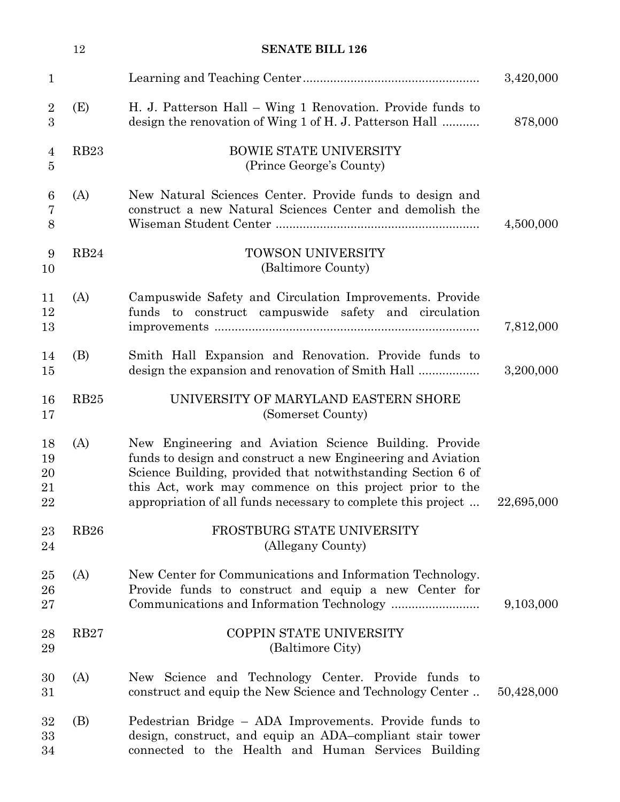|                            | 12               | <b>SENATE BILL 126</b>                                                                                                                                                                                                                                                                                              |            |
|----------------------------|------------------|---------------------------------------------------------------------------------------------------------------------------------------------------------------------------------------------------------------------------------------------------------------------------------------------------------------------|------------|
| $\mathbf{1}$               |                  |                                                                                                                                                                                                                                                                                                                     | 3,420,000  |
| $\overline{2}$<br>3        | (E)              | H. J. Patterson Hall - Wing 1 Renovation. Provide funds to<br>design the renovation of Wing 1 of H. J. Patterson Hall                                                                                                                                                                                               | 878,000    |
| 4<br>5                     | RB <sub>23</sub> | <b>BOWIE STATE UNIVERSITY</b><br>(Prince George's County)                                                                                                                                                                                                                                                           |            |
| 6<br>$\overline{7}$<br>8   | (A)              | New Natural Sciences Center. Provide funds to design and<br>construct a new Natural Sciences Center and demolish the                                                                                                                                                                                                | 4,500,000  |
| 9<br>10                    | <b>RB24</b>      | TOWSON UNIVERSITY<br>(Baltimore County)                                                                                                                                                                                                                                                                             |            |
| 11<br>12<br>13             | (A)              | Campuswide Safety and Circulation Improvements. Provide<br>funds to construct campus wide safety and circulation                                                                                                                                                                                                    | 7,812,000  |
| 14<br>15                   | (B)              | Smith Hall Expansion and Renovation. Provide funds to                                                                                                                                                                                                                                                               | 3,200,000  |
| 16<br>17                   | RB25             | UNIVERSITY OF MARYLAND EASTERN SHORE<br>(Somerset County)                                                                                                                                                                                                                                                           |            |
| 18<br>19<br>20<br>21<br>22 | (A)              | New Engineering and Aviation Science Building. Provide<br>funds to design and construct a new Engineering and Aviation<br>Science Building, provided that notwithstanding Section 6 of<br>this Act, work may commence on this project prior to the<br>appropriation of all funds necessary to complete this project | 22,695,000 |
| 23<br>24                   | <b>RB26</b>      | FROSTBURG STATE UNIVERSITY<br>(Allegany County)                                                                                                                                                                                                                                                                     |            |
| 25<br>26<br>$27\,$         | (A)              | New Center for Communications and Information Technology.<br>Provide funds to construct and equip a new Center for                                                                                                                                                                                                  | 9,103,000  |
| 28<br>29                   | <b>RB27</b>      | COPPIN STATE UNIVERSITY<br>(Baltimore City)                                                                                                                                                                                                                                                                         |            |
| 30<br>$31\,$               | (A)              | New Science and Technology Center. Provide funds to<br>construct and equip the New Science and Technology Center                                                                                                                                                                                                    | 50,428,000 |
| 32<br>33<br>34             | (B)              | Pedestrian Bridge – ADA Improvements. Provide funds to<br>design, construct, and equip an ADA-compliant stair tower<br>connected to the Health and Human Services Building                                                                                                                                          |            |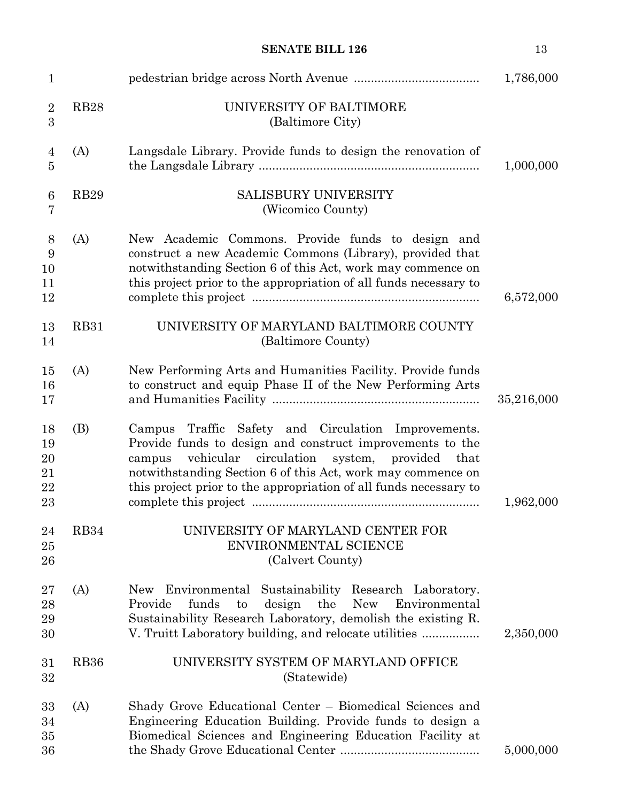| $\mathbf{1}$                     |                  |                                                                                                                                                                                                                                                                                                                     | 1,786,000  |
|----------------------------------|------------------|---------------------------------------------------------------------------------------------------------------------------------------------------------------------------------------------------------------------------------------------------------------------------------------------------------------------|------------|
| $\overline{2}$<br>3              | <b>RB28</b>      | UNIVERSITY OF BALTIMORE<br>(Baltimore City)                                                                                                                                                                                                                                                                         |            |
| 4<br>5                           | (A)              | Langsdale Library. Provide funds to design the renovation of                                                                                                                                                                                                                                                        | 1,000,000  |
| 6<br>7                           | <b>RB29</b>      | <b>SALISBURY UNIVERSITY</b><br>(Wicomico County)                                                                                                                                                                                                                                                                    |            |
| 8<br>9<br>10<br>11<br>12         | (A)              | New Academic Commons. Provide funds to design and<br>construct a new Academic Commons (Library), provided that<br>notwithstanding Section 6 of this Act, work may commence on<br>this project prior to the appropriation of all funds necessary to                                                                  | 6,572,000  |
| 13<br>14                         | <b>RB31</b>      | UNIVERSITY OF MARYLAND BALTIMORE COUNTY<br>(Baltimore County)                                                                                                                                                                                                                                                       |            |
| 15<br>16<br>17                   | (A)              | New Performing Arts and Humanities Facility. Provide funds<br>to construct and equip Phase II of the New Performing Arts                                                                                                                                                                                            | 35,216,000 |
| 18<br>19<br>20<br>21<br>22<br>23 | (B)              | Traffic Safety and Circulation Improvements.<br>Campus<br>Provide funds to design and construct improvements to the<br>vehicular circulation<br>system, provided that<br>campus<br>notwithstanding Section 6 of this Act, work may commence on<br>this project prior to the appropriation of all funds necessary to | 1,962,000  |
| 24<br>25<br>26                   | RB34             | UNIVERSITY OF MARYLAND CENTER FOR<br>ENVIRONMENTAL SCIENCE<br>(Calvert County)                                                                                                                                                                                                                                      |            |
| $27\,$<br>28<br>29<br>30         | (A)              | Environmental Sustainability Research Laboratory.<br>New<br>funds<br>Provide<br>design<br>the<br><b>New</b><br>to<br>Environmental<br>Sustainability Research Laboratory, demolish the existing R.<br>V. Truitt Laboratory building, and relocate utilities                                                         | 2,350,000  |
| 31<br>32                         | RB <sub>36</sub> | UNIVERSITY SYSTEM OF MARYLAND OFFICE<br>(Statewide)                                                                                                                                                                                                                                                                 |            |
| 33<br>34<br>35<br>36             | (A)              | Shady Grove Educational Center – Biomedical Sciences and<br>Engineering Education Building. Provide funds to design a<br>Biomedical Sciences and Engineering Education Facility at                                                                                                                                  | 5,000,000  |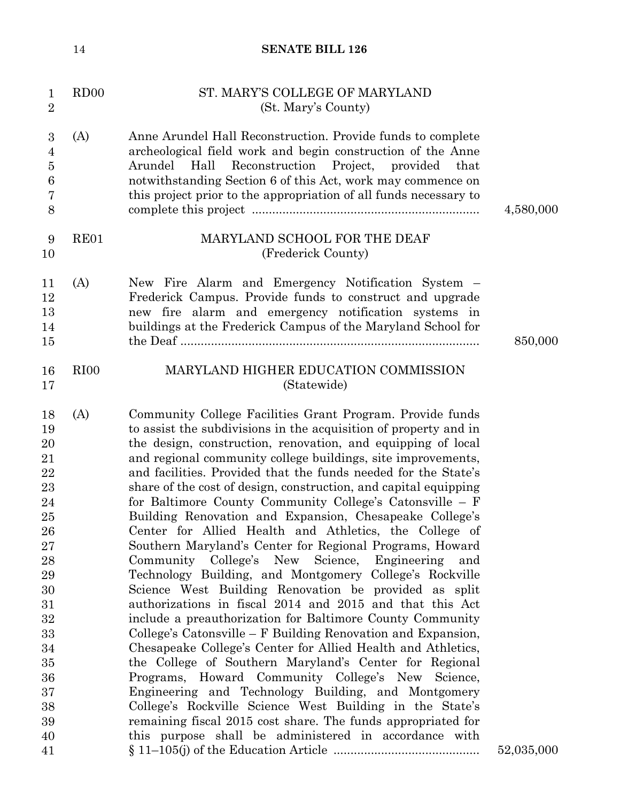| $\mathbf{1}$<br>$\sqrt{2}$                                                                                                             | RDOO             | ST. MARY'S COLLEGE OF MARYLAND<br>(St. Mary's County)                                                                                                                                                                                                                                                                                                                                                                                                                                                                                                                                                                                                                                                                                                                                                                                                                                                                                                                                                                                                                                                                                                                                                                                                                                                                                                                                                                                           |            |
|----------------------------------------------------------------------------------------------------------------------------------------|------------------|-------------------------------------------------------------------------------------------------------------------------------------------------------------------------------------------------------------------------------------------------------------------------------------------------------------------------------------------------------------------------------------------------------------------------------------------------------------------------------------------------------------------------------------------------------------------------------------------------------------------------------------------------------------------------------------------------------------------------------------------------------------------------------------------------------------------------------------------------------------------------------------------------------------------------------------------------------------------------------------------------------------------------------------------------------------------------------------------------------------------------------------------------------------------------------------------------------------------------------------------------------------------------------------------------------------------------------------------------------------------------------------------------------------------------------------------------|------------|
| $\boldsymbol{3}$<br>$\overline{4}$<br>$\bf 5$<br>$\boldsymbol{6}$<br>$\overline{7}$<br>8                                               | (A)              | Anne Arundel Hall Reconstruction. Provide funds to complete<br>archeological field work and begin construction of the Anne<br>Reconstruction Project, provided<br>Arundel<br>Hall<br>that<br>notwithstanding Section 6 of this Act, work may commence on<br>this project prior to the appropriation of all funds necessary to                                                                                                                                                                                                                                                                                                                                                                                                                                                                                                                                                                                                                                                                                                                                                                                                                                                                                                                                                                                                                                                                                                                   | 4,580,000  |
| 9<br>10                                                                                                                                | RE01             | MARYLAND SCHOOL FOR THE DEAF<br>(Frederick County)                                                                                                                                                                                                                                                                                                                                                                                                                                                                                                                                                                                                                                                                                                                                                                                                                                                                                                                                                                                                                                                                                                                                                                                                                                                                                                                                                                                              |            |
| 11<br>12<br>13<br>14<br>15                                                                                                             | (A)              | New Fire Alarm and Emergency Notification System –<br>Frederick Campus. Provide funds to construct and upgrade<br>new fire alarm and emergency notification systems in<br>buildings at the Frederick Campus of the Maryland School for                                                                                                                                                                                                                                                                                                                                                                                                                                                                                                                                                                                                                                                                                                                                                                                                                                                                                                                                                                                                                                                                                                                                                                                                          | 850,000    |
| 16<br>17                                                                                                                               | RI <sub>00</sub> | MARYLAND HIGHER EDUCATION COMMISSION<br>(Statewide)                                                                                                                                                                                                                                                                                                                                                                                                                                                                                                                                                                                                                                                                                                                                                                                                                                                                                                                                                                                                                                                                                                                                                                                                                                                                                                                                                                                             |            |
| 18<br>19<br>20<br>21<br>22<br>23<br>24<br>25<br>26<br>27<br>28<br>29<br>30<br>31<br>32<br>33<br>34<br>35<br>36<br>37<br>38<br>39<br>40 | (A)              | Community College Facilities Grant Program. Provide funds<br>to assist the subdivisions in the acquisition of property and in<br>the design, construction, renovation, and equipping of local<br>and regional community college buildings, site improvements,<br>and facilities. Provided that the funds needed for the State's<br>share of the cost of design, construction, and capital equipping<br>for Baltimore County Community College's Catonsville – F<br>Building Renovation and Expansion, Chesapeake College's<br>Center for Allied Health and Athletics, the College of<br>Southern Maryland's Center for Regional Programs, Howard<br>Community College's New<br>Science, Engineering and<br>Technology Building, and Montgomery College's Rockville<br>Science West Building Renovation be provided as split<br>authorizations in fiscal 2014 and 2015 and that this Act<br>include a preauthorization for Baltimore County Community<br>College's Catonsville – F Building Renovation and Expansion,<br>Chesapeake College's Center for Allied Health and Athletics,<br>the College of Southern Maryland's Center for Regional<br>Programs, Howard Community College's New Science,<br>Engineering and Technology Building, and Montgomery<br>College's Rockville Science West Building in the State's<br>remaining fiscal 2015 cost share. The funds appropriated for<br>this purpose shall be administered in accordance with |            |
| 41                                                                                                                                     |                  |                                                                                                                                                                                                                                                                                                                                                                                                                                                                                                                                                                                                                                                                                                                                                                                                                                                                                                                                                                                                                                                                                                                                                                                                                                                                                                                                                                                                                                                 | 52,035,000 |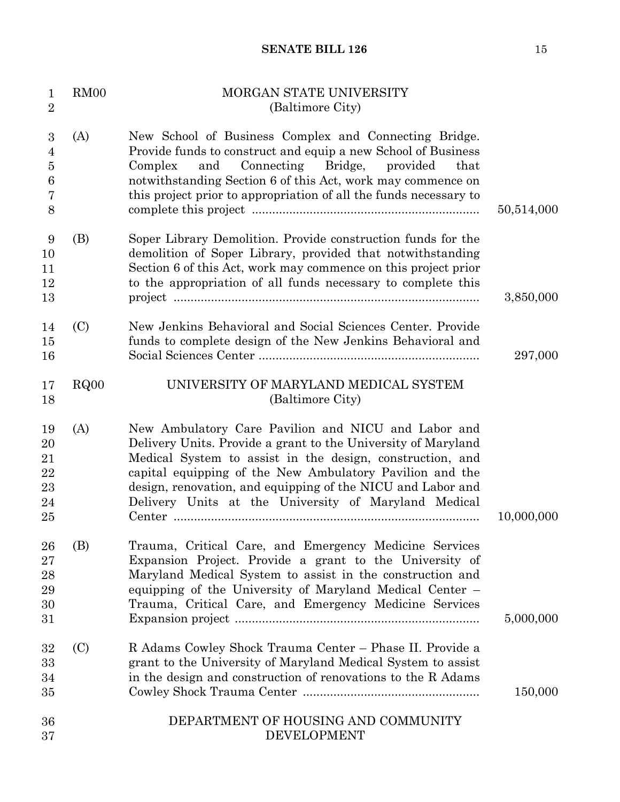| $\mathbf{1}$<br>$\overline{2}$                               | RM <sub>00</sub> | MORGAN STATE UNIVERSITY<br>(Baltimore City)                                                                                                                                                                                                                                                                                                                          |            |
|--------------------------------------------------------------|------------------|----------------------------------------------------------------------------------------------------------------------------------------------------------------------------------------------------------------------------------------------------------------------------------------------------------------------------------------------------------------------|------------|
| $\boldsymbol{3}$<br>$\overline{4}$<br>$\bf 5$<br>6<br>7<br>8 | (A)              | New School of Business Complex and Connecting Bridge.<br>Provide funds to construct and equip a new School of Business<br>Connecting Bridge, provided<br>Complex<br>and<br>that<br>notwithstanding Section 6 of this Act, work may commence on<br>this project prior to appropriation of all the funds necessary to                                                  | 50,514,000 |
| 9<br>10<br>11<br>12<br>13                                    | (B)              | Soper Library Demolition. Provide construction funds for the<br>demolition of Soper Library, provided that notwithstanding<br>Section 6 of this Act, work may commence on this project prior<br>to the appropriation of all funds necessary to complete this                                                                                                         | 3,850,000  |
| 14<br>15<br>16                                               | (C)              | New Jenkins Behavioral and Social Sciences Center. Provide<br>funds to complete design of the New Jenkins Behavioral and                                                                                                                                                                                                                                             | 297,000    |
| 17<br>18                                                     | RQ00             | UNIVERSITY OF MARYLAND MEDICAL SYSTEM<br>(Baltimore City)                                                                                                                                                                                                                                                                                                            |            |
| 19<br>20<br>21<br>22<br>23<br>24<br>25                       | (A)              | New Ambulatory Care Pavilion and NICU and Labor and<br>Delivery Units. Provide a grant to the University of Maryland<br>Medical System to assist in the design, construction, and<br>capital equipping of the New Ambulatory Pavilion and the<br>design, renovation, and equipping of the NICU and Labor and<br>Delivery Units at the University of Maryland Medical | 10,000,000 |
| 26<br>27<br>28<br>29<br>30<br>31                             | (B)              | Trauma, Critical Care, and Emergency Medicine Services<br>Expansion Project. Provide a grant to the University of<br>Maryland Medical System to assist in the construction and<br>equipping of the University of Maryland Medical Center -<br>Trauma, Critical Care, and Emergency Medicine Services                                                                 | 5,000,000  |
| 32<br>33<br>34<br>35                                         | (C)              | R Adams Cowley Shock Trauma Center - Phase II. Provide a<br>grant to the University of Maryland Medical System to assist<br>in the design and construction of renovations to the R Adams                                                                                                                                                                             | 150,000    |
| 36<br>37                                                     |                  | DEPARTMENT OF HOUSING AND COMMUNITY<br><b>DEVELOPMENT</b>                                                                                                                                                                                                                                                                                                            |            |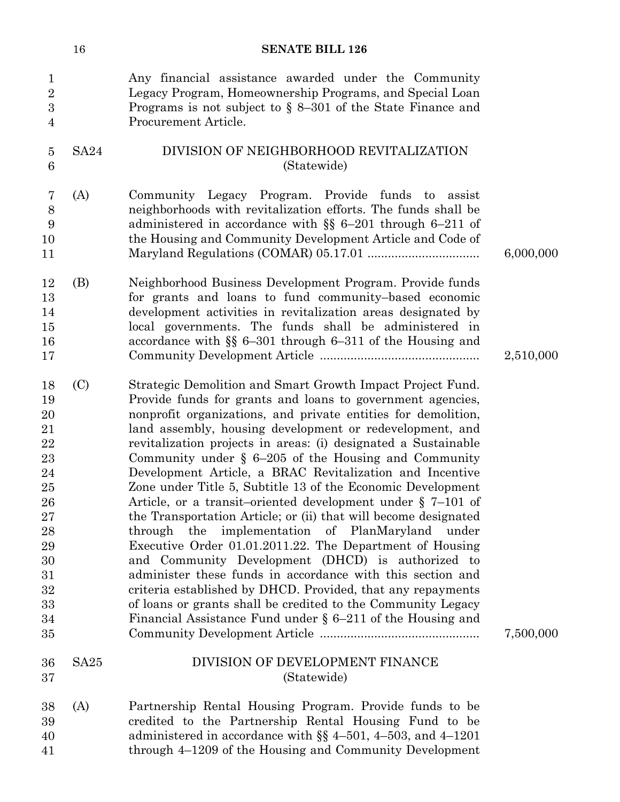|                                                                                                              | 16          | <b>SENATE BILL 126</b>                                                                                                                                                                                                                                                                                                                                                                                                                                                                                                                                                                                                                                                                                                                                                                                                                                                                                                                                                                                                                                                                |           |
|--------------------------------------------------------------------------------------------------------------|-------------|---------------------------------------------------------------------------------------------------------------------------------------------------------------------------------------------------------------------------------------------------------------------------------------------------------------------------------------------------------------------------------------------------------------------------------------------------------------------------------------------------------------------------------------------------------------------------------------------------------------------------------------------------------------------------------------------------------------------------------------------------------------------------------------------------------------------------------------------------------------------------------------------------------------------------------------------------------------------------------------------------------------------------------------------------------------------------------------|-----------|
| 1<br>$\overline{2}$<br>$\boldsymbol{3}$<br>$\overline{4}$                                                    |             | Any financial assistance awarded under the Community<br>Legacy Program, Homeownership Programs, and Special Loan<br>Programs is not subject to $\S$ 8–301 of the State Finance and<br>Procurement Article.                                                                                                                                                                                                                                                                                                                                                                                                                                                                                                                                                                                                                                                                                                                                                                                                                                                                            |           |
| $\overline{5}$<br>6                                                                                          | <b>SA24</b> | DIVISION OF NEIGHBORHOOD REVITALIZATION<br>(Statewide)                                                                                                                                                                                                                                                                                                                                                                                                                                                                                                                                                                                                                                                                                                                                                                                                                                                                                                                                                                                                                                |           |
| 7<br>$8\,$<br>9<br>10<br>11                                                                                  | (A)         | Community Legacy Program. Provide funds to<br>assist<br>neighborhoods with revitalization efforts. The funds shall be<br>administered in accordance with $\S$ 6-201 through 6-211 of<br>the Housing and Community Development Article and Code of                                                                                                                                                                                                                                                                                                                                                                                                                                                                                                                                                                                                                                                                                                                                                                                                                                     | 6,000,000 |
| 12<br>13<br>14<br>15<br>16<br>17                                                                             | (B)         | Neighborhood Business Development Program. Provide funds<br>for grants and loans to fund community-based economic<br>development activities in revitalization areas designated by<br>local governments. The funds shall be administered in<br>accordance with $\S$ 6-301 through 6-311 of the Housing and                                                                                                                                                                                                                                                                                                                                                                                                                                                                                                                                                                                                                                                                                                                                                                             | 2,510,000 |
| 18<br>19<br>20<br>21<br>22<br>23<br>24<br>25<br>26<br>27<br>28<br>29<br>$30\,$<br>31<br>32<br>33<br>34<br>35 | (C)         | Strategic Demolition and Smart Growth Impact Project Fund.<br>Provide funds for grants and loans to government agencies,<br>nonprofit organizations, and private entities for demolition,<br>land assembly, housing development or redevelopment, and<br>revitalization projects in areas: (i) designated a Sustainable<br>Community under $\S$ 6-205 of the Housing and Community<br>Development Article, a BRAC Revitalization and Incentive<br>Zone under Title 5, Subtitle 13 of the Economic Development<br>Article, or a transit-oriented development under $\S$ 7-101 of<br>the Transportation Article; or (ii) that will become designated<br>through the implementation of PlanMaryland under<br>Executive Order 01.01.2011.22. The Department of Housing<br>and Community Development (DHCD) is authorized to<br>administer these funds in accordance with this section and<br>criteria established by DHCD. Provided, that any repayments<br>of loans or grants shall be credited to the Community Legacy<br>Financial Assistance Fund under $\S 6-211$ of the Housing and | 7,500,000 |
| 36<br>37                                                                                                     | SA25        | DIVISION OF DEVELOPMENT FINANCE<br>(Statewide)                                                                                                                                                                                                                                                                                                                                                                                                                                                                                                                                                                                                                                                                                                                                                                                                                                                                                                                                                                                                                                        |           |
| 38<br>39<br>40<br>41                                                                                         | (A)         | Partnership Rental Housing Program. Provide funds to be<br>credited to the Partnership Rental Housing Fund to be<br>administered in accordance with $\S$ 4-501, 4-503, and 4-1201<br>through 4–1209 of the Housing and Community Development                                                                                                                                                                                                                                                                                                                                                                                                                                                                                                                                                                                                                                                                                                                                                                                                                                          |           |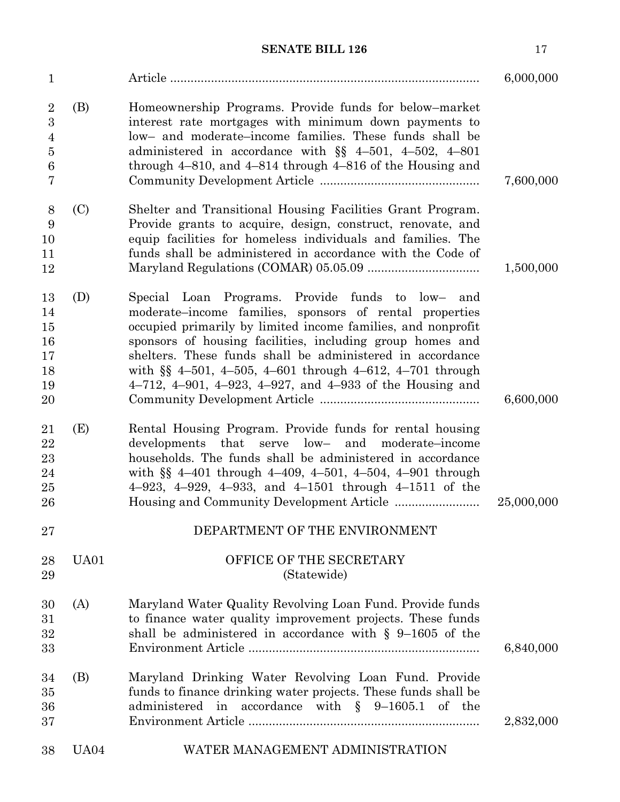| $\mathbf{1}$                                                              |             |                                                                                                                                                                                                                                                                                                                                                                                                                                                  | 6,000,000  |
|---------------------------------------------------------------------------|-------------|--------------------------------------------------------------------------------------------------------------------------------------------------------------------------------------------------------------------------------------------------------------------------------------------------------------------------------------------------------------------------------------------------------------------------------------------------|------------|
| $\overline{2}$<br>3<br>$\overline{4}$<br>$\bf 5$<br>$\boldsymbol{6}$<br>7 | (B)         | Homeownership Programs. Provide funds for below-market<br>interest rate mortgages with minimum down payments to<br>low- and moderate-income families. These funds shall be<br>administered in accordance with $\S$ 4-501, 4-502, 4-801<br>through $4-810$ , and $4-814$ through $4-816$ of the Housing and                                                                                                                                       | 7,600,000  |
| 8<br>9<br>10<br>11<br>12                                                  | (C)         | Shelter and Transitional Housing Facilities Grant Program.<br>Provide grants to acquire, design, construct, renovate, and<br>equip facilities for homeless individuals and families. The<br>funds shall be administered in accordance with the Code of                                                                                                                                                                                           | 1,500,000  |
| 13<br>14<br>15<br>16<br>17<br>18<br>19<br>20                              | (D)         | Special Loan Programs. Provide funds to low-<br>and<br>moderate-income families, sponsors of rental properties<br>occupied primarily by limited income families, and nonprofit<br>sponsors of housing facilities, including group homes and<br>shelters. These funds shall be administered in accordance<br>with $\S$ 4-501, 4-505, 4-601 through 4-612, 4-701 through<br>$4-712$ , $4-901$ , $4-923$ , $4-927$ , and $4-933$ of the Housing and | 6,600,000  |
| 21<br>22<br>23<br>24<br>25<br>26                                          | (E)         | Rental Housing Program. Provide funds for rental housing<br>developments that<br>$low-$<br>serve<br>and<br>moderate-income<br>households. The funds shall be administered in accordance<br>with $\S$ 4-401 through 4-409, 4-501, 4-504, 4-901 through<br>$4-923$ , $4-929$ , $4-933$ , and $4-1501$ through $4-1511$ of the                                                                                                                      | 25,000,000 |
| 27                                                                        |             | DEPARTMENT OF THE ENVIRONMENT                                                                                                                                                                                                                                                                                                                                                                                                                    |            |
| 28<br>29                                                                  | UA01        | OFFICE OF THE SECRETARY<br>(Statewide)                                                                                                                                                                                                                                                                                                                                                                                                           |            |
| 30<br>31<br>32<br>33                                                      | (A)         | Maryland Water Quality Revolving Loan Fund. Provide funds<br>to finance water quality improvement projects. These funds<br>shall be administered in accordance with $\S$ 9-1605 of the                                                                                                                                                                                                                                                           | 6,840,000  |
| 34<br>35<br>36<br>37                                                      | (B)         | Maryland Drinking Water Revolving Loan Fund. Provide<br>funds to finance drinking water projects. These funds shall be<br>administered in accordance with $\S$ 9-1605.1 of the                                                                                                                                                                                                                                                                   | 2,832,000  |
| 38                                                                        | <b>UA04</b> | WATER MANAGEMENT ADMINISTRATION                                                                                                                                                                                                                                                                                                                                                                                                                  |            |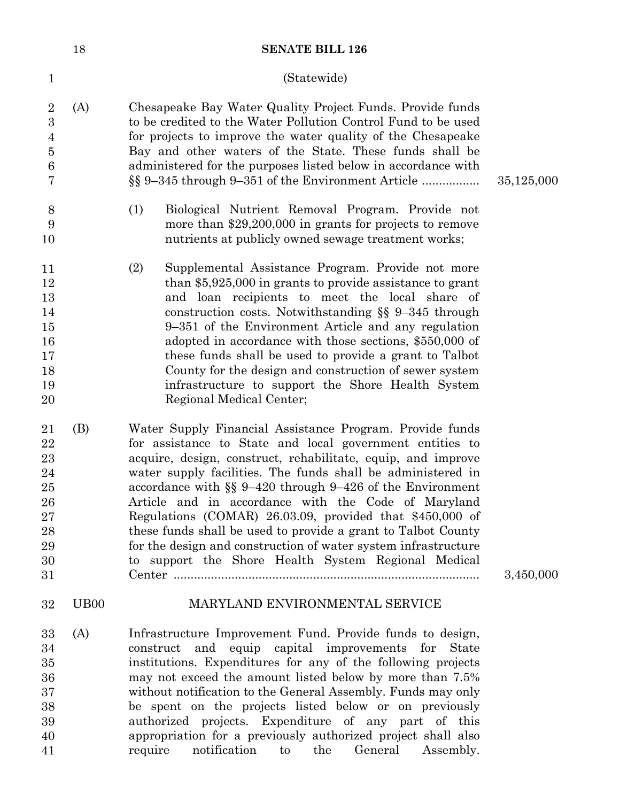|                                                                         | 18                | <b>SENATE BILL 126</b>                                                                                                                                                                                                                                                                                                                                                                                                                                                                                                                                                                                                          |            |
|-------------------------------------------------------------------------|-------------------|---------------------------------------------------------------------------------------------------------------------------------------------------------------------------------------------------------------------------------------------------------------------------------------------------------------------------------------------------------------------------------------------------------------------------------------------------------------------------------------------------------------------------------------------------------------------------------------------------------------------------------|------------|
| $\mathbf{1}$                                                            |                   | (Statewide)                                                                                                                                                                                                                                                                                                                                                                                                                                                                                                                                                                                                                     |            |
| $\sqrt{2}$<br>$\overline{3}$<br>$\overline{4}$<br>$\bf 5$<br>$\,6$<br>7 | (A)               | Chesapeake Bay Water Quality Project Funds. Provide funds<br>to be credited to the Water Pollution Control Fund to be used<br>for projects to improve the water quality of the Chesapeake<br>Bay and other waters of the State. These funds shall be<br>administered for the purposes listed below in accordance with<br>§§ 9-345 through 9-351 of the Environment Article                                                                                                                                                                                                                                                      | 35,125,000 |
| $8\,$<br>9<br>10                                                        |                   | (1)<br>Biological Nutrient Removal Program. Provide not<br>more than $$29,200,000$ in grants for projects to remove<br>nutrients at publicly owned sewage treatment works;                                                                                                                                                                                                                                                                                                                                                                                                                                                      |            |
| 11<br>12<br>13<br>14<br>15<br>16<br>17<br>18<br>19<br>20                |                   | (2)<br>Supplemental Assistance Program. Provide not more<br>than \$5,925,000 in grants to provide assistance to grant<br>and loan recipients to meet the local share of<br>construction costs. Notwithstanding $\S$ 9-345 through<br>9–351 of the Environment Article and any regulation<br>adopted in accordance with those sections, \$550,000 of<br>these funds shall be used to provide a grant to Talbot<br>County for the design and construction of sewer system<br>infrastructure to support the Shore Health System<br>Regional Medical Center;                                                                        |            |
| 21<br>22<br>23<br>24<br>25<br>26<br>27<br>28<br>29<br>30<br>31          | (B)               | Water Supply Financial Assistance Program. Provide funds<br>for assistance to State and local government entities to<br>acquire, design, construct, rehabilitate, equip, and improve<br>water supply facilities. The funds shall be administered in<br>accordance with $\S$ 9-420 through 9-426 of the Environment<br>Article and in accordance with the Code of Maryland<br>Regulations (COMAR) 26.03.09, provided that \$450,000 of<br>these funds shall be used to provide a grant to Talbot County<br>for the design and construction of water system infrastructure<br>to support the Shore Health System Regional Medical | 3,450,000  |
| 32                                                                      | U <sub>B</sub> 00 | MARYLAND ENVIRONMENTAL SERVICE                                                                                                                                                                                                                                                                                                                                                                                                                                                                                                                                                                                                  |            |
| 33<br>34<br>35<br>36<br>37<br>38<br>39<br>40<br>41                      | (A)               | Infrastructure Improvement Fund. Provide funds to design,<br>construct and equip capital improvements for<br><b>State</b><br>institutions. Expenditures for any of the following projects<br>may not exceed the amount listed below by more than 7.5%<br>without notification to the General Assembly. Funds may only<br>be spent on the projects listed below or on previously<br>authorized projects. Expenditure of any part of this<br>appropriation for a previously authorized project shall also<br>notification<br>require<br>the<br>General<br>Assembly.<br>to                                                         |            |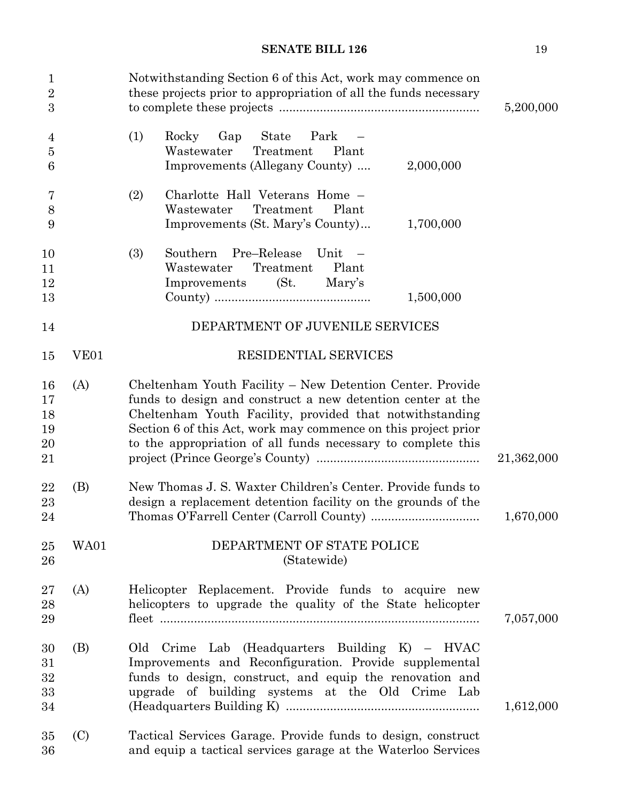| $\mathbf{1}$<br>$\sqrt{2}$<br>3  |              | Notwithstanding Section 6 of this Act, work may commence on<br>these projects prior to appropriation of all the funds necessary                                                                                                                                                                                        | 5,200,000  |
|----------------------------------|--------------|------------------------------------------------------------------------------------------------------------------------------------------------------------------------------------------------------------------------------------------------------------------------------------------------------------------------|------------|
| 4<br>$\overline{5}$<br>6         |              | (1)<br>Park<br>Rocky<br>Gap<br>State<br>Wastewater<br>Treatment<br>Plant<br>Improvements (Allegany County)<br>2,000,000                                                                                                                                                                                                |            |
| 7<br>$8\,$<br>$\boldsymbol{9}$   |              | (2)<br>Charlotte Hall Veterans Home -<br>Wastewater<br>Plant<br>Treatment<br>Improvements (St. Mary's County)<br>1,700,000                                                                                                                                                                                             |            |
| 10<br>11<br>12<br>13             |              | Pre-Release<br>(3)<br>Southern<br>Unit<br>Treatment<br>Plant<br>Wastewater<br>Improvements<br>(St)<br>Mary's<br>1,500,000                                                                                                                                                                                              |            |
| 14                               |              | DEPARTMENT OF JUVENILE SERVICES                                                                                                                                                                                                                                                                                        |            |
| 15                               | ${\rm VE}01$ | RESIDENTIAL SERVICES                                                                                                                                                                                                                                                                                                   |            |
| 16<br>17<br>18<br>19<br>20<br>21 | (A)          | Cheltenham Youth Facility - New Detention Center. Provide<br>funds to design and construct a new detention center at the<br>Cheltenham Youth Facility, provided that notwithstanding<br>Section 6 of this Act, work may commence on this project prior<br>to the appropriation of all funds necessary to complete this | 21,362,000 |
| 22<br>23<br>24                   | (B)          | New Thomas J. S. Waxter Children's Center. Provide funds to<br>design a replacement detention facility on the grounds of the                                                                                                                                                                                           | 1,670,000  |
| 25<br>26                         | WA01         | DEPARTMENT OF STATE POLICE<br>(Statewide)                                                                                                                                                                                                                                                                              |            |
| 27<br>28<br>29                   | (A)          | Helicopter Replacement. Provide funds to acquire new<br>helicopters to upgrade the quality of the State helicopter                                                                                                                                                                                                     | 7,057,000  |
| 30<br>31<br>32<br>33<br>34       | (B)          | Old Crime Lab (Headquarters Building K) – HVAC<br>Improvements and Reconfiguration. Provide supplemental<br>funds to design, construct, and equip the renovation and<br>upgrade of building systems at the Old Crime Lab                                                                                               | 1,612,000  |
| 35<br>36                         | (C)          | Tactical Services Garage. Provide funds to design, construct<br>and equip a tactical services garage at the Waterloo Services                                                                                                                                                                                          |            |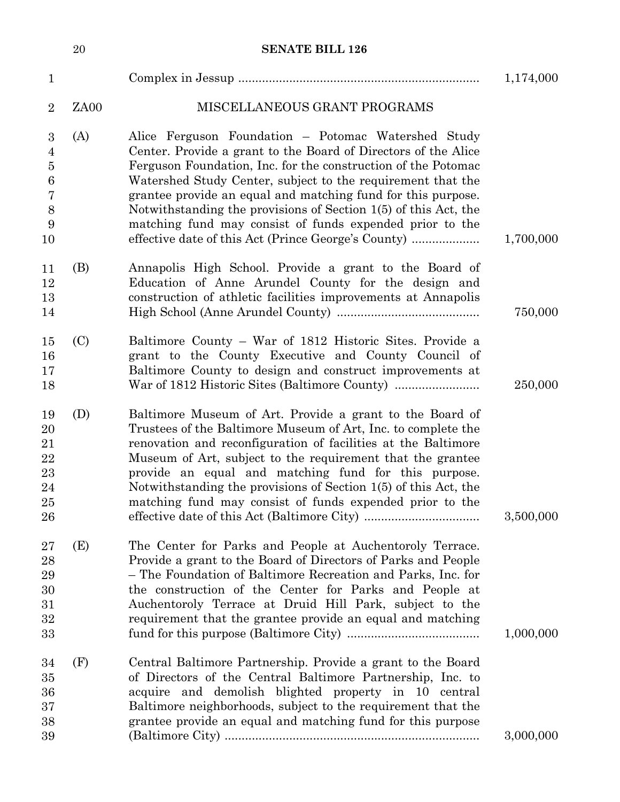|                                               | $20\,$ | <b>SENATE BILL 126</b>                                                                                                                                                                                                                                                                                                                                                                                                                          |           |
|-----------------------------------------------|--------|-------------------------------------------------------------------------------------------------------------------------------------------------------------------------------------------------------------------------------------------------------------------------------------------------------------------------------------------------------------------------------------------------------------------------------------------------|-----------|
| $\mathbf{1}$                                  |        |                                                                                                                                                                                                                                                                                                                                                                                                                                                 | 1,174,000 |
| $\overline{2}$                                | ZA00   | MISCELLANEOUS GRANT PROGRAMS                                                                                                                                                                                                                                                                                                                                                                                                                    |           |
| $\boldsymbol{3}$<br>$\overline{4}$<br>$\bf 5$ | (A)    | Alice Ferguson Foundation – Potomac Watershed Study<br>Center. Provide a grant to the Board of Directors of the Alice<br>Ferguson Foundation, Inc. for the construction of the Potomac                                                                                                                                                                                                                                                          |           |
| $\,6$<br>7<br>$8\,$                           |        | Watershed Study Center, subject to the requirement that the<br>grantee provide an equal and matching fund for this purpose.<br>Notwithstanding the provisions of Section 1(5) of this Act, the                                                                                                                                                                                                                                                  |           |
| 9<br>10                                       |        | matching fund may consist of funds expended prior to the<br>effective date of this Act (Prince George's County)                                                                                                                                                                                                                                                                                                                                 | 1,700,000 |
| 11<br>12<br>13                                | (B)    | Annapolis High School. Provide a grant to the Board of<br>Education of Anne Arundel County for the design and<br>construction of athletic facilities improvements at Annapolis                                                                                                                                                                                                                                                                  |           |
| 14                                            |        |                                                                                                                                                                                                                                                                                                                                                                                                                                                 | 750,000   |
| 15<br>16<br>17                                | (C)    | Baltimore County – War of 1812 Historic Sites. Provide a<br>grant to the County Executive and County Council of<br>Baltimore County to design and construct improvements at                                                                                                                                                                                                                                                                     |           |
| 18                                            |        | War of 1812 Historic Sites (Baltimore County)                                                                                                                                                                                                                                                                                                                                                                                                   | 250,000   |
| 19<br>20<br>21<br>22<br>23<br>24<br>25<br>26  | (D)    | Baltimore Museum of Art. Provide a grant to the Board of<br>Trustees of the Baltimore Museum of Art, Inc. to complete the<br>renovation and reconfiguration of facilities at the Baltimore<br>Museum of Art, subject to the requirement that the grantee<br>provide an equal and matching fund for this purpose.<br>Notwithstanding the provisions of Section 1(5) of this Act, the<br>matching fund may consist of funds expended prior to the | 3,500,000 |
| 27<br>28<br>29<br>30<br>31<br>32<br>33        | (E)    | The Center for Parks and People at Auchentoroly Terrace.<br>Provide a grant to the Board of Directors of Parks and People<br>- The Foundation of Baltimore Recreation and Parks, Inc. for<br>the construction of the Center for Parks and People at<br>Auchentoroly Terrace at Druid Hill Park, subject to the<br>requirement that the grantee provide an equal and matching                                                                    | 1,000,000 |
| 34<br>35<br>36<br>37<br>38<br>39              | (F)    | Central Baltimore Partnership. Provide a grant to the Board<br>of Directors of the Central Baltimore Partnership, Inc. to<br>acquire and demolish blighted property in 10 central<br>Baltimore neighborhoods, subject to the requirement that the<br>grantee provide an equal and matching fund for this purpose                                                                                                                                | 3,000,000 |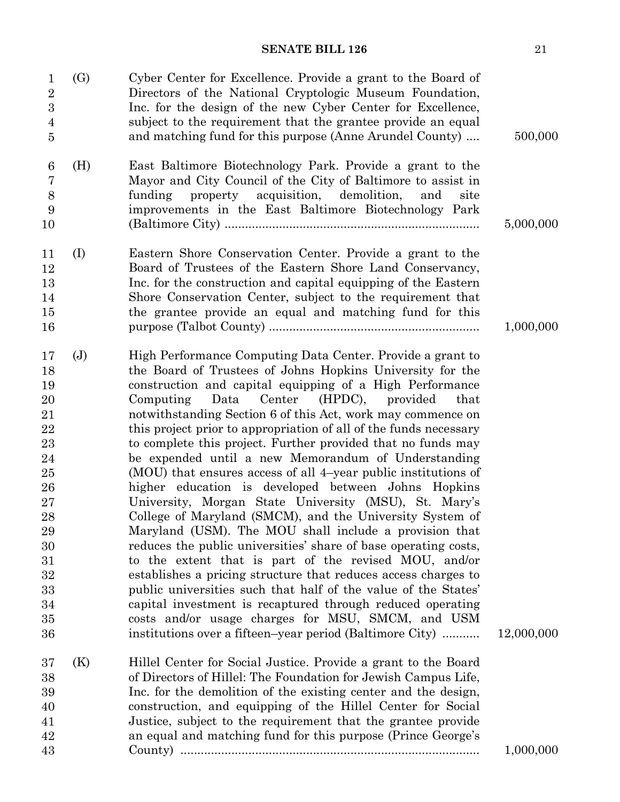| 1<br>$\overline{2}$<br>$\boldsymbol{3}$<br>$\overline{4}$<br>$\overline{5}$                                                 | (G)            | Cyber Center for Excellence. Provide a grant to the Board of<br>Directors of the National Cryptologic Museum Foundation,<br>Inc. for the design of the new Cyber Center for Excellence,<br>subject to the requirement that the grantee provide an equal<br>and matching fund for this purpose (Anne Arundel County)                                                                                                                                                                                                                                                                                                                                                                                                                                                                                                                                                                                                                                                                                                                                                                                                                                                                                                                                        | 500,000    |
|-----------------------------------------------------------------------------------------------------------------------------|----------------|------------------------------------------------------------------------------------------------------------------------------------------------------------------------------------------------------------------------------------------------------------------------------------------------------------------------------------------------------------------------------------------------------------------------------------------------------------------------------------------------------------------------------------------------------------------------------------------------------------------------------------------------------------------------------------------------------------------------------------------------------------------------------------------------------------------------------------------------------------------------------------------------------------------------------------------------------------------------------------------------------------------------------------------------------------------------------------------------------------------------------------------------------------------------------------------------------------------------------------------------------------|------------|
| $6\phantom{.}6$<br>$\overline{7}$<br>$8\,$<br>9                                                                             | (H)            | East Baltimore Biotechnology Park. Provide a grant to the<br>Mayor and City Council of the City of Baltimore to assist in<br>property acquisition,<br>demolition,<br>funding<br>and<br>site<br>improvements in the East Baltimore Biotechnology Park                                                                                                                                                                                                                                                                                                                                                                                                                                                                                                                                                                                                                                                                                                                                                                                                                                                                                                                                                                                                       |            |
| 10                                                                                                                          |                |                                                                                                                                                                                                                                                                                                                                                                                                                                                                                                                                                                                                                                                                                                                                                                                                                                                                                                                                                                                                                                                                                                                                                                                                                                                            | 5,000,000  |
| 11<br>12<br>13<br>14<br>15<br>16                                                                                            | (I)            | Eastern Shore Conservation Center. Provide a grant to the<br>Board of Trustees of the Eastern Shore Land Conservancy,<br>Inc. for the construction and capital equipping of the Eastern<br>Shore Conservation Center, subject to the requirement that<br>the grantee provide an equal and matching fund for this                                                                                                                                                                                                                                                                                                                                                                                                                                                                                                                                                                                                                                                                                                                                                                                                                                                                                                                                           | 1,000,000  |
| 17<br>18<br>19<br>20<br>21<br>$\bf{22}$<br>23<br>24<br>25<br>26<br>27<br>28<br>29<br>30<br>31<br>32<br>33<br>34<br>35<br>36 | $(\mathbf{J})$ | High Performance Computing Data Center. Provide a grant to<br>the Board of Trustees of Johns Hopkins University for the<br>construction and capital equipping of a High Performance<br>Data Center (HPDC), provided<br>Computing<br>that<br>notwithstanding Section 6 of this Act, work may commence on<br>this project prior to appropriation of all of the funds necessary<br>to complete this project. Further provided that no funds may<br>be expended until a new Memorandum of Understanding<br>(MOU) that ensures access of all 4-year public institutions of<br>higher education is developed between Johns Hopkins<br>University, Morgan State University (MSU), St. Mary's<br>College of Maryland (SMCM), and the University System of<br>Maryland (USM). The MOU shall include a provision that<br>reduces the public universities' share of base operating costs,<br>to the extent that is part of the revised MOU, and/or<br>establishes a pricing structure that reduces access charges to<br>public universities such that half of the value of the States'<br>capital investment is recaptured through reduced operating<br>costs and/or usage charges for MSU, SMCM, and USM<br>institutions over a fifteen-year period (Baltimore City) | 12,000,000 |
| 37<br>38<br>39<br>40<br>41<br>42                                                                                            | (K)            | Hillel Center for Social Justice. Provide a grant to the Board<br>of Directors of Hillel: The Foundation for Jewish Campus Life,<br>Inc. for the demolition of the existing center and the design,<br>construction, and equipping of the Hillel Center for Social<br>Justice, subject to the requirement that the grantee provide<br>an equal and matching fund for this purpose (Prince George's                                                                                                                                                                                                                                                                                                                                                                                                                                                                                                                                                                                                                                                                                                                                                                                                                                                          |            |
| 43                                                                                                                          |                |                                                                                                                                                                                                                                                                                                                                                                                                                                                                                                                                                                                                                                                                                                                                                                                                                                                                                                                                                                                                                                                                                                                                                                                                                                                            | 1,000,000  |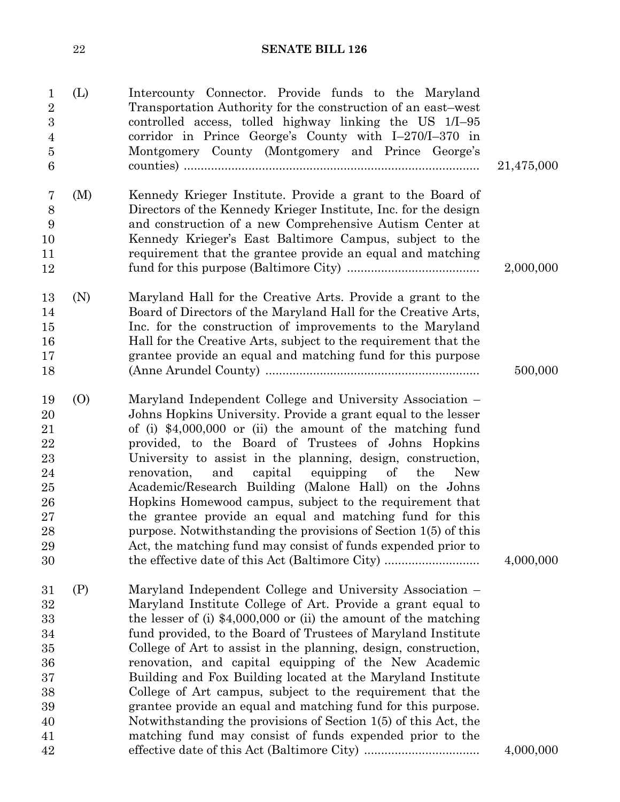| $\mathbf 1$<br>$\overline{2}$<br>$\boldsymbol{3}$<br>$\overline{4}$<br>$\overline{5}$<br>6 | (L) | Intercounty Connector. Provide funds to the Maryland<br>Transportation Authority for the construction of an east–west<br>controlled access, tolled highway linking the US 1/I-95<br>corridor in Prince George's County with $I-270/I-370$ in<br>Montgomery County (Montgomery and Prince George's                                                                                                                                                                                                                                                                                                                                                                                                                                                               | 21,475,000 |
|--------------------------------------------------------------------------------------------|-----|-----------------------------------------------------------------------------------------------------------------------------------------------------------------------------------------------------------------------------------------------------------------------------------------------------------------------------------------------------------------------------------------------------------------------------------------------------------------------------------------------------------------------------------------------------------------------------------------------------------------------------------------------------------------------------------------------------------------------------------------------------------------|------------|
| 7<br>8<br>9<br>10<br>11<br>12                                                              | (M) | Kennedy Krieger Institute. Provide a grant to the Board of<br>Directors of the Kennedy Krieger Institute, Inc. for the design<br>and construction of a new Comprehensive Autism Center at<br>Kennedy Krieger's East Baltimore Campus, subject to the<br>requirement that the grantee provide an equal and matching                                                                                                                                                                                                                                                                                                                                                                                                                                              | 2,000,000  |
| 13<br>14<br>15<br>16<br>17<br>18                                                           | (N) | Maryland Hall for the Creative Arts. Provide a grant to the<br>Board of Directors of the Maryland Hall for the Creative Arts,<br>Inc. for the construction of improvements to the Maryland<br>Hall for the Creative Arts, subject to the requirement that the<br>grantee provide an equal and matching fund for this purpose                                                                                                                                                                                                                                                                                                                                                                                                                                    | 500,000    |
| 19<br>20<br>21<br>22<br>23<br>24<br>25<br>26<br>27<br>${\bf 28}$<br>29<br>30               | (0) | Maryland Independent College and University Association –<br>Johns Hopkins University. Provide a grant equal to the lesser<br>of (i) $$4,000,000$ or (ii) the amount of the matching fund<br>provided, to the Board of Trustees of Johns Hopkins<br>University to assist in the planning, design, construction,<br>equipping<br>renovation,<br>and<br>capital<br>of<br>the<br><b>New</b><br>Academic/Research Building (Malone Hall) on the Johns<br>Hopkins Homewood campus, subject to the requirement that<br>the grantee provide an equal and matching fund for this<br>purpose. Notwithstanding the provisions of Section 1(5) of this<br>Act, the matching fund may consist of funds expended prior to<br>the effective date of this Act (Baltimore City) | 4,000,000  |
| 31<br>32<br>33<br>34<br>35<br>36<br>37<br>38<br>39<br>40<br>41<br>42                       | (P) | Maryland Independent College and University Association –<br>Maryland Institute College of Art. Provide a grant equal to<br>the lesser of (i) $$4,000,000$ or (ii) the amount of the matching<br>fund provided, to the Board of Trustees of Maryland Institute<br>College of Art to assist in the planning, design, construction,<br>renovation, and capital equipping of the New Academic<br>Building and Fox Building located at the Maryland Institute<br>College of Art campus, subject to the requirement that the<br>grantee provide an equal and matching fund for this purpose.<br>Notwithstanding the provisions of Section 1(5) of this Act, the<br>matching fund may consist of funds expended prior to the                                          | 4,000,000  |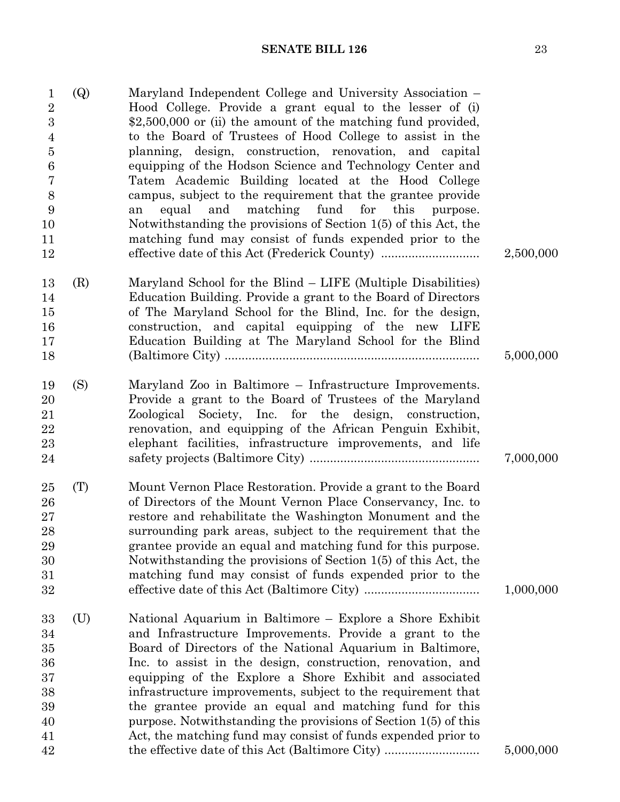| $\mathbf{1}$<br>$\sqrt{2}$<br>3<br>$\overline{4}$<br>$\overline{5}$<br>$\boldsymbol{6}$<br>$\overline{7}$<br>8<br>9<br>10<br>11<br>12 | <b>(Q)</b> | Maryland Independent College and University Association –<br>Hood College. Provide a grant equal to the lesser of (i)<br>$$2,500,000$ or (ii) the amount of the matching fund provided,<br>to the Board of Trustees of Hood College to assist in the<br>planning, design, construction, renovation, and capital<br>equipping of the Hodson Science and Technology Center and<br>Tatem Academic Building located at the Hood College<br>campus, subject to the requirement that the grantee provide<br>and<br>matching<br>fund<br>for<br>equal<br>this<br>purpose.<br>an<br>Notwithstanding the provisions of Section 1(5) of this Act, the<br>matching fund may consist of funds expended prior to the | 2,500,000 |
|---------------------------------------------------------------------------------------------------------------------------------------|------------|--------------------------------------------------------------------------------------------------------------------------------------------------------------------------------------------------------------------------------------------------------------------------------------------------------------------------------------------------------------------------------------------------------------------------------------------------------------------------------------------------------------------------------------------------------------------------------------------------------------------------------------------------------------------------------------------------------|-----------|
| 13<br>14<br>15<br>16<br>17<br>18                                                                                                      | (R)        | Maryland School for the Blind – LIFE (Multiple Disabilities)<br>Education Building. Provide a grant to the Board of Directors<br>of The Maryland School for the Blind, Inc. for the design,<br>construction, and capital equipping of the new LIFE<br>Education Building at The Maryland School for the Blind                                                                                                                                                                                                                                                                                                                                                                                          | 5,000,000 |
| 19<br>20<br>21<br>22<br>23<br>24                                                                                                      | (S)        | Maryland Zoo in Baltimore – Infrastructure Improvements.<br>Provide a grant to the Board of Trustees of the Maryland<br>Society, Inc. for the design, construction,<br>Zoological<br>renovation, and equipping of the African Penguin Exhibit,<br>elephant facilities, infrastructure improvements, and life                                                                                                                                                                                                                                                                                                                                                                                           | 7,000,000 |
| 25<br>26<br>27<br>28<br>29<br>30<br>31<br>32                                                                                          | (T)        | Mount Vernon Place Restoration. Provide a grant to the Board<br>of Directors of the Mount Vernon Place Conservancy, Inc. to<br>restore and rehabilitate the Washington Monument and the<br>surrounding park areas, subject to the requirement that the<br>grantee provide an equal and matching fund for this purpose.<br>Notwithstanding the provisions of Section 1(5) of this Act, the<br>matching fund may consist of funds expended prior to the                                                                                                                                                                                                                                                  | 1,000,000 |
| 33<br>34<br>35<br>36<br>37<br>38<br>39<br>40<br>41                                                                                    | (U)        | National Aquarium in Baltimore – Explore a Shore Exhibit<br>and Infrastructure Improvements. Provide a grant to the<br>Board of Directors of the National Aquarium in Baltimore,<br>Inc. to assist in the design, construction, renovation, and<br>equipping of the Explore a Shore Exhibit and associated<br>infrastructure improvements, subject to the requirement that<br>the grantee provide an equal and matching fund for this<br>purpose. Notwithstanding the provisions of Section 1(5) of this<br>Act, the matching fund may consist of funds expended prior to                                                                                                                              |           |
| 42                                                                                                                                    |            | the effective date of this Act (Baltimore City)                                                                                                                                                                                                                                                                                                                                                                                                                                                                                                                                                                                                                                                        | 5,000,000 |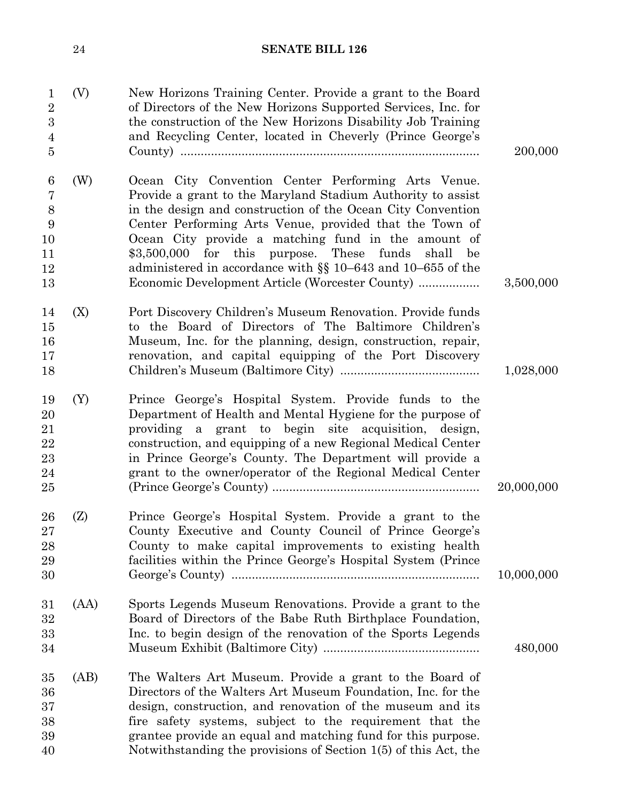| 24 | <b>SENATE BILL 126</b> |  |
|----|------------------------|--|
|    |                        |  |

| 200,000    | New Horizons Training Center. Provide a grant to the Board<br>of Directors of the New Horizons Supported Services, Inc. for<br>the construction of the New Horizons Disability Job Training<br>and Recycling Center, located in Cheverly (Prince George's                                                                                                                                                                                                                               | (V)<br>$\mathbf{1}$<br>$\overline{2}$<br>$\boldsymbol{3}$<br>$\overline{4}$<br>$\overline{5}$ |
|------------|-----------------------------------------------------------------------------------------------------------------------------------------------------------------------------------------------------------------------------------------------------------------------------------------------------------------------------------------------------------------------------------------------------------------------------------------------------------------------------------------|-----------------------------------------------------------------------------------------------|
| 3,500,000  | Ocean City Convention Center Performing Arts Venue.<br>Provide a grant to the Maryland Stadium Authority to assist<br>in the design and construction of the Ocean City Convention<br>Center Performing Arts Venue, provided that the Town of<br>Ocean City provide a matching fund in the amount of<br>$$3,500,000$ for this purpose. These<br>funds<br>shall<br>be<br>administered in accordance with $\S$ 10–643 and 10–655 of the<br>Economic Development Article (Worcester County) | (W)<br>$6\phantom{.}6$<br>$\overline{7}$<br>8<br>9<br>10<br>11<br>12<br>13                    |
| 1,028,000  | Port Discovery Children's Museum Renovation. Provide funds<br>to the Board of Directors of The Baltimore Children's<br>Museum, Inc. for the planning, design, construction, repair,<br>renovation, and capital equipping of the Port Discovery                                                                                                                                                                                                                                          | (X)<br>14<br>15<br>16<br>17<br>18                                                             |
| 20,000,000 | Prince George's Hospital System. Provide funds to the<br>Department of Health and Mental Hygiene for the purpose of<br>providing a grant to begin site acquisition, design,<br>construction, and equipping of a new Regional Medical Center<br>in Prince George's County. The Department will provide a<br>grant to the owner/operator of the Regional Medical Center                                                                                                                   | (Y)<br>19<br>20<br>21<br>22<br>23<br>24<br>25                                                 |
| 10,000,000 | Prince George's Hospital System. Provide a grant to the<br>County Executive and County Council of Prince George's<br>County to make capital improvements to existing health<br>facilities within the Prince George's Hospital System (Prince                                                                                                                                                                                                                                            | (Z)<br>26<br>27<br>28<br>29<br>30                                                             |
| 480,000    | Sports Legends Museum Renovations. Provide a grant to the<br>Board of Directors of the Babe Ruth Birthplace Foundation,<br>Inc. to begin design of the renovation of the Sports Legends                                                                                                                                                                                                                                                                                                 | (AA)<br>31<br>32<br>33<br>34                                                                  |
|            | The Walters Art Museum. Provide a grant to the Board of<br>Directors of the Walters Art Museum Foundation, Inc. for the<br>design, construction, and renovation of the museum and its<br>fire safety systems, subject to the requirement that the<br>grantee provide an equal and matching fund for this purpose.<br>Notwithstanding the provisions of Section 1(5) of this Act, the                                                                                                    | (AB)<br>35<br>36<br>37<br>38<br>39<br>40                                                      |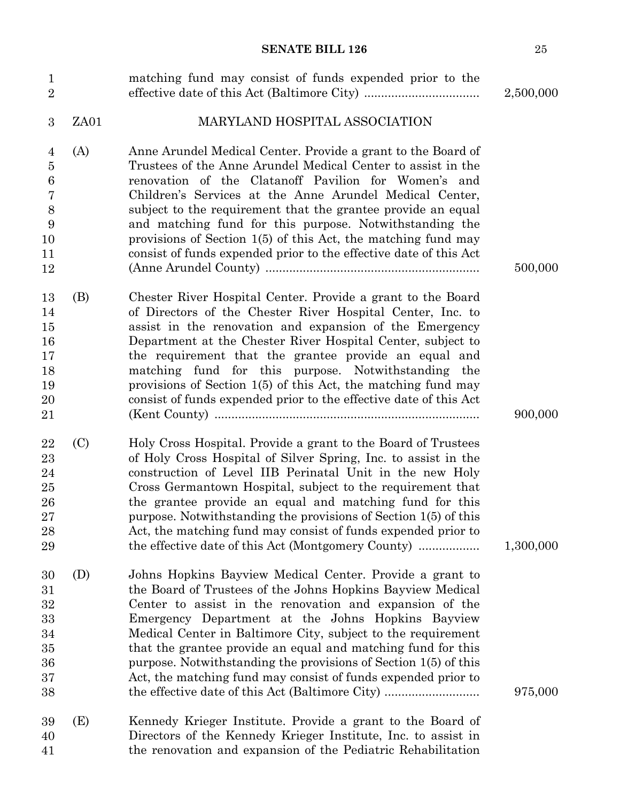| $\mathbf{1}$<br>$\overline{2}$                                           |      | matching fund may consist of funds expended prior to the                                                                                                                                                                                                                                                                                                                                                                                                                                                                                                      | 2,500,000 |
|--------------------------------------------------------------------------|------|---------------------------------------------------------------------------------------------------------------------------------------------------------------------------------------------------------------------------------------------------------------------------------------------------------------------------------------------------------------------------------------------------------------------------------------------------------------------------------------------------------------------------------------------------------------|-----------|
| 3                                                                        | ZA01 | MARYLAND HOSPITAL ASSOCIATION                                                                                                                                                                                                                                                                                                                                                                                                                                                                                                                                 |           |
| (A)<br>4<br>$\bf 5$<br>$\boldsymbol{6}$<br>7<br>8<br>9<br>10<br>11<br>12 |      | Anne Arundel Medical Center. Provide a grant to the Board of<br>Trustees of the Anne Arundel Medical Center to assist in the<br>renovation of the Clatanoff Pavilion for Women's and<br>Children's Services at the Anne Arundel Medical Center,<br>subject to the requirement that the grantee provide an equal<br>and matching fund for this purpose. Notwithstanding the<br>provisions of Section $1(5)$ of this Act, the matching fund may<br>consist of funds expended prior to the effective date of this Act                                            | 500,000   |
| (B)<br>13<br>14<br>15<br>16<br>17<br>18<br>19<br>20<br>21                |      | Chester River Hospital Center. Provide a grant to the Board<br>of Directors of the Chester River Hospital Center, Inc. to<br>assist in the renovation and expansion of the Emergency<br>Department at the Chester River Hospital Center, subject to<br>the requirement that the grantee provide an equal and<br>matching fund for this purpose. Notwithstanding the<br>provisions of Section $1(5)$ of this Act, the matching fund may<br>consist of funds expended prior to the effective date of this Act                                                   | 900,000   |
| (C)<br>22<br>23<br>24<br>25<br>26<br>27<br>28<br>29                      |      | Holy Cross Hospital. Provide a grant to the Board of Trustees<br>of Holy Cross Hospital of Silver Spring, Inc. to assist in the<br>construction of Level IIB Perinatal Unit in the new Holy<br>Cross Germantown Hospital, subject to the requirement that<br>the grantee provide an equal and matching fund for this<br>purpose. Notwithstanding the provisions of Section 1(5) of this<br>Act, the matching fund may consist of funds expended prior to                                                                                                      | 1,300,000 |
| (D)<br>30<br>31<br>32<br>33<br>34<br>35<br>36<br>37<br>38                |      | Johns Hopkins Bayview Medical Center. Provide a grant to<br>the Board of Trustees of the Johns Hopkins Bayview Medical<br>Center to assist in the renovation and expansion of the<br>Emergency Department at the Johns Hopkins Bayview<br>Medical Center in Baltimore City, subject to the requirement<br>that the grantee provide an equal and matching fund for this<br>purpose. Notwithstanding the provisions of Section 1(5) of this<br>Act, the matching fund may consist of funds expended prior to<br>the effective date of this Act (Baltimore City) | 975,000   |
| (E)<br>39<br>40<br>41                                                    |      | Kennedy Krieger Institute. Provide a grant to the Board of<br>Directors of the Kennedy Krieger Institute, Inc. to assist in<br>the renovation and expansion of the Pediatric Rehabilitation                                                                                                                                                                                                                                                                                                                                                                   |           |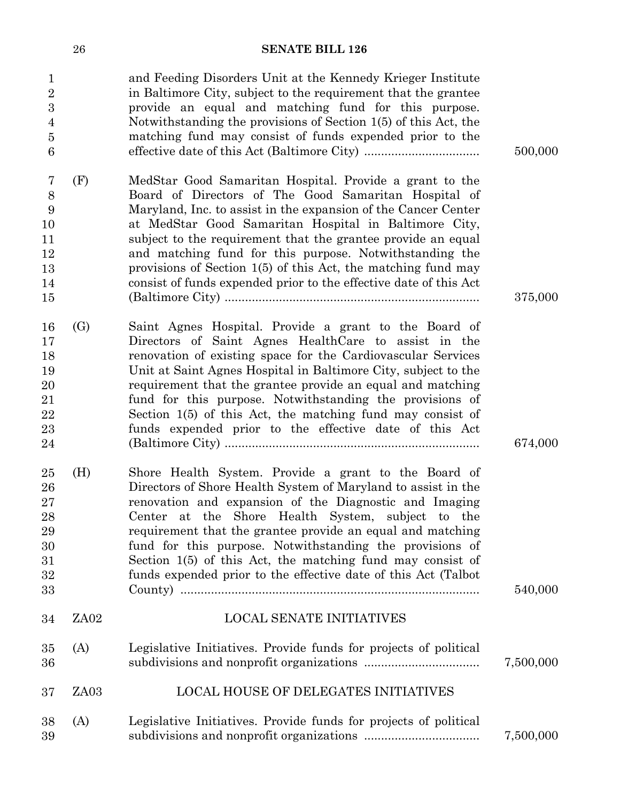| $\mathbf{1}$<br>$\overline{2}$<br>$\boldsymbol{3}$<br>$\overline{4}$<br>$\bf 5$<br>6 |                   | and Feeding Disorders Unit at the Kennedy Krieger Institute<br>in Baltimore City, subject to the requirement that the grantee<br>provide an equal and matching fund for this purpose.<br>Notwithstanding the provisions of Section 1(5) of this Act, the<br>matching fund may consist of funds expended prior to the                                                                                                                                                                                        | 500,000   |
|--------------------------------------------------------------------------------------|-------------------|-------------------------------------------------------------------------------------------------------------------------------------------------------------------------------------------------------------------------------------------------------------------------------------------------------------------------------------------------------------------------------------------------------------------------------------------------------------------------------------------------------------|-----------|
| $\overline{7}$<br>$8\,$<br>9<br>10<br>11<br>12<br>13<br>14<br>15                     | (F)               | MedStar Good Samaritan Hospital. Provide a grant to the<br>Board of Directors of The Good Samaritan Hospital of<br>Maryland, Inc. to assist in the expansion of the Cancer Center<br>at MedStar Good Samaritan Hospital in Baltimore City,<br>subject to the requirement that the grantee provide an equal<br>and matching fund for this purpose. Notwithstanding the<br>provisions of Section 1(5) of this Act, the matching fund may<br>consist of funds expended prior to the effective date of this Act | 375,000   |
| 16<br>17<br>18<br>19<br>20<br>21<br>22<br>23<br>24                                   | $\left( G\right)$ | Saint Agnes Hospital. Provide a grant to the Board of<br>Directors of Saint Agnes HealthCare to assist in the<br>renovation of existing space for the Cardiovascular Services<br>Unit at Saint Agnes Hospital in Baltimore City, subject to the<br>requirement that the grantee provide an equal and matching<br>fund for this purpose. Notwithstanding the provisions of<br>Section $1(5)$ of this Act, the matching fund may consist of<br>funds expended prior to the effective date of this Act         | 674,000   |
| 25<br>26<br>27<br>28<br>29<br>30<br>31<br>32<br>33                                   | (H)               | Shore Health System. Provide a grant to the Board of<br>Directors of Shore Health System of Maryland to assist in the<br>renovation and expansion of the Diagnostic and Imaging<br>Center at the Shore Health System, subject to the<br>requirement that the grantee provide an equal and matching<br>fund for this purpose. Notwithstanding the provisions of<br>Section 1(5) of this Act, the matching fund may consist of<br>funds expended prior to the effective date of this Act (Talbot              | 540,000   |
| 34                                                                                   | ZA02              | <b>LOCAL SENATE INITIATIVES</b>                                                                                                                                                                                                                                                                                                                                                                                                                                                                             |           |
| 35<br>36                                                                             | (A)               | Legislative Initiatives. Provide funds for projects of political                                                                                                                                                                                                                                                                                                                                                                                                                                            | 7,500,000 |
| 37                                                                                   | ZA03              | <b>LOCAL HOUSE OF DELEGATES INITIATIVES</b>                                                                                                                                                                                                                                                                                                                                                                                                                                                                 |           |
| 38<br>39                                                                             | (A)               | Legislative Initiatives. Provide funds for projects of political                                                                                                                                                                                                                                                                                                                                                                                                                                            | 7,500,000 |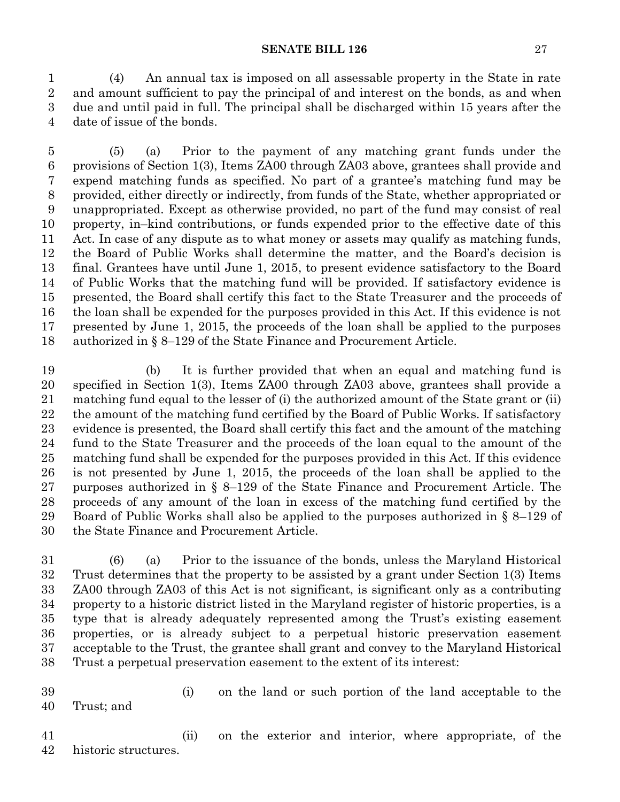(4) An annual tax is imposed on all assessable property in the State in rate and amount sufficient to pay the principal of and interest on the bonds, as and when due and until paid in full. The principal shall be discharged within 15 years after the date of issue of the bonds.

 (5) (a) Prior to the payment of any matching grant funds under the provisions of Section 1(3), Items ZA00 through ZA03 above, grantees shall provide and expend matching funds as specified. No part of a grantee's matching fund may be provided, either directly or indirectly, from funds of the State, whether appropriated or unappropriated. Except as otherwise provided, no part of the fund may consist of real property, in–kind contributions, or funds expended prior to the effective date of this Act. In case of any dispute as to what money or assets may qualify as matching funds, the Board of Public Works shall determine the matter, and the Board's decision is final. Grantees have until June 1, 2015, to present evidence satisfactory to the Board of Public Works that the matching fund will be provided. If satisfactory evidence is presented, the Board shall certify this fact to the State Treasurer and the proceeds of the loan shall be expended for the purposes provided in this Act. If this evidence is not presented by June 1, 2015, the proceeds of the loan shall be applied to the purposes authorized in § 8–129 of the State Finance and Procurement Article.

 (b) It is further provided that when an equal and matching fund is specified in Section 1(3), Items ZA00 through ZA03 above, grantees shall provide a matching fund equal to the lesser of (i) the authorized amount of the State grant or (ii) the amount of the matching fund certified by the Board of Public Works. If satisfactory evidence is presented, the Board shall certify this fact and the amount of the matching fund to the State Treasurer and the proceeds of the loan equal to the amount of the matching fund shall be expended for the purposes provided in this Act. If this evidence is not presented by June 1, 2015, the proceeds of the loan shall be applied to the purposes authorized in § 8–129 of the State Finance and Procurement Article. The proceeds of any amount of the loan in excess of the matching fund certified by the Board of Public Works shall also be applied to the purposes authorized in § 8–129 of the State Finance and Procurement Article.

 (6) (a) Prior to the issuance of the bonds, unless the Maryland Historical Trust determines that the property to be assisted by a grant under Section 1(3) Items ZA00 through ZA03 of this Act is not significant, is significant only as a contributing property to a historic district listed in the Maryland register of historic properties, is a type that is already adequately represented among the Trust's existing easement properties, or is already subject to a perpetual historic preservation easement acceptable to the Trust, the grantee shall grant and convey to the Maryland Historical Trust a perpetual preservation easement to the extent of its interest:

 (i) on the land or such portion of the land acceptable to the Trust; and

 (ii) on the exterior and interior, where appropriate, of the historic structures.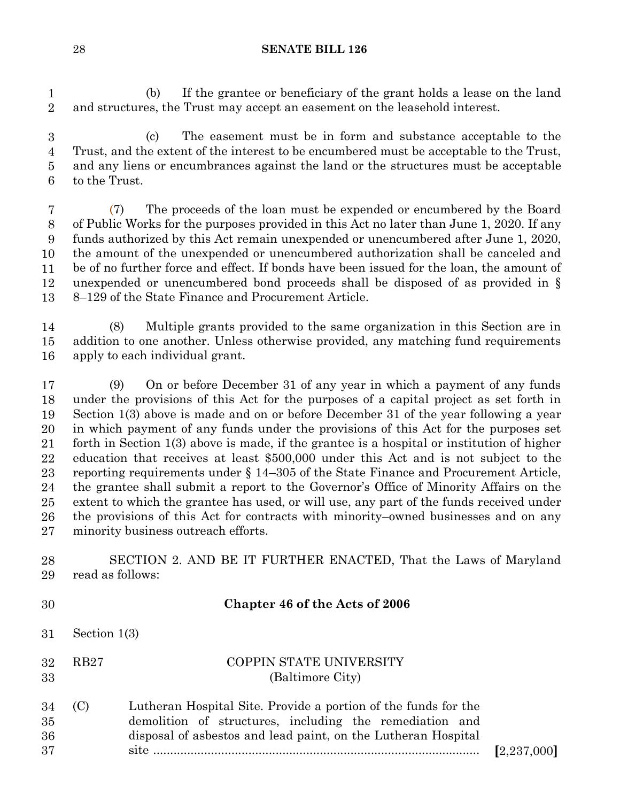(b) If the grantee or beneficiary of the grant holds a lease on the land 2 and structures, the Trust may accept an easement on the leasehold interest.  $\mathbf{1}$ 2

3 (c) The easement must be in form and substance acceptable to the Trust, and the extent of the interest to be encumbered must be acceptable to the Trust, 5 and any liens or encumbrances against the land or the structures must be acceptable to the Trust.  $\boldsymbol{3}$ 4  $\bf 5$ 6

7 (7) The proceeds of the loan must be expended or encumbered by the Board of Public Works for the purposes provided in this Act no later than June 1, 2020. If any funds authorized by this Act remain unexpended or unencumbered after June 1, 2020, the amount of the unexpended or unencumbered authorization shall be canceled and 11 be of no further force and effect. If bonds have been issued for the loan, the amount of unexpended or unencumbered bond proceeds shall be disposed of as provided in  $\S$ 8–129 of the State Finance and Procurement Article. 7 8  $9\phantom{.0}$ 10 12 13

14 (8) Multiple grants provided to the same organization in this Section are in addition to one another. Unless otherwise provided, any matching fund requirements apply to each individual grant. 14 15 16

18 (9) On or before December 31 of any year in which a payment of any funds under the provisions of this Act for the purposes of a capital project as set forth in Section  $1(3)$  above is made and on or before December 31 of the year following a year in which payment of any funds under the provisions of this Act for the purposes set forth in Section  $1(3)$  above is made, if the grantee is a hospital or institution of higher education that receives at least \$500,000 under this Act and is not subject to the reporting requirements under  $\S 14-305$  of the State Finance and Procurement Article, 25 the grantee shall submit a report to the Governor's Office of Minority Affairs on the extent to which the grantee has used, or will use, any part of the funds received under 27 the provisions of this Act for contracts with minority–owned businesses and on any minority business outreach efforts. 17 18 19 20 21 22 23 24 25 26 27

SECTION 2. AND BE IT FURTHER ENACTED, That the Laws of Maryland read as follows: 28 29

| 30                   |                | Chapter 46 of the Acts of 2006                                                                                                                                                                       |               |
|----------------------|----------------|------------------------------------------------------------------------------------------------------------------------------------------------------------------------------------------------------|---------------|
| 31                   | Section $1(3)$ |                                                                                                                                                                                                      |               |
| 32<br>33             | RB27           | COPPIN STATE UNIVERSITY<br>(Baltimore City)                                                                                                                                                          |               |
| 34<br>35<br>36<br>37 | (C)            | Lutheran Hospital Site. Provide a portion of the funds for the<br>demolition of structures, including the remediation and<br>disposal of asbestos and lead paint, on the Lutheran Hospital<br>$site$ | [2, 237, 000] |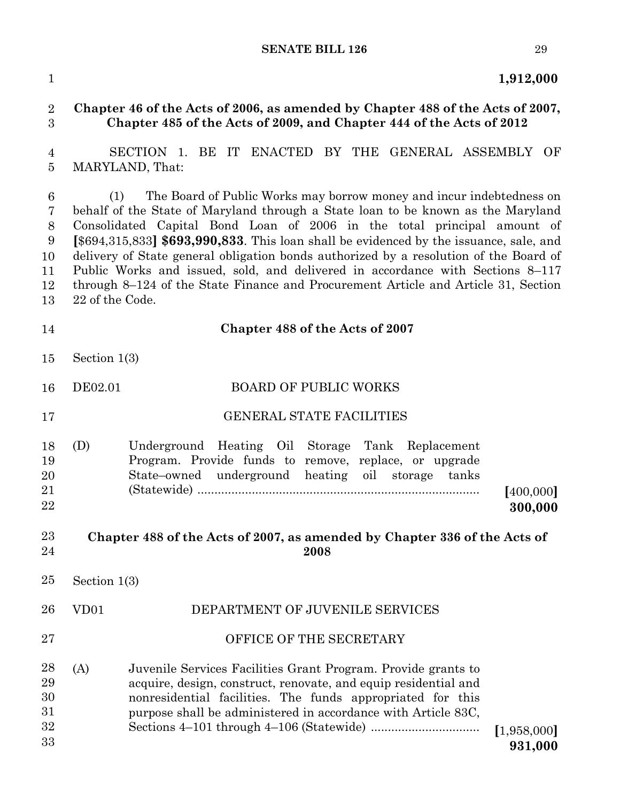**1,912,000**

#### **Chapter 46 of the Acts of 2006, as amended by Chapter 488 of the Acts of 2007, Chapter 485 of the Acts of 2009, and Chapter 444 of the Acts of 2012**

 SECTION 1. BE IT ENACTED BY THE GENERAL ASSEMBLY OF MARYLAND, That: 

 (1) The Board of Public Works may borrow money and incur indebtedness on behalf of the State of Maryland through a State loan to be known as the Maryland Consolidated Capital Bond Loan of 2006 in the total principal amount of **[**\$694,315,833**] \$693,990,833**. This loan shall be evidenced by the issuance, sale, and delivery of State general obligation bonds authorized by a resolution of the Board of Public Works and issued, sold, and delivered in accordance with Sections 8–117 through 8–124 of the State Finance and Procurement Article and Article 31, Section 22 of the Code. 

 **Chapter 488 of the Acts of 2007** Section  $1(3)$ DE02.01 BOARD OF PUBLIC WORKS GENERAL STATE FACILITIES (D) Underground Heating Oil Storage Tank Replacement Program. Provide funds to remove, replace, or upgrade State–owned underground heating oil storage tanks (Statewide) ................................................................................... **[**400,000**] 300,000 Chapter 488 of the Acts of 2007, as amended by Chapter 336 of the Acts of 2008** Section  $1(3)$ VD01 DEPARTMENT OF JUVENILE SERVICES OFFICE OF THE SECRETARY (A) Juvenile Services Facilities Grant Program. Provide grants to acquire, design, construct, renovate, and equip residential and nonresidential facilities. The funds appropriated for this purpose shall be administered in accordance with Article 83C, Sections 4–101 through 4–106 (Statewide) ................................ **[**1,958,000**]** 

**931,000**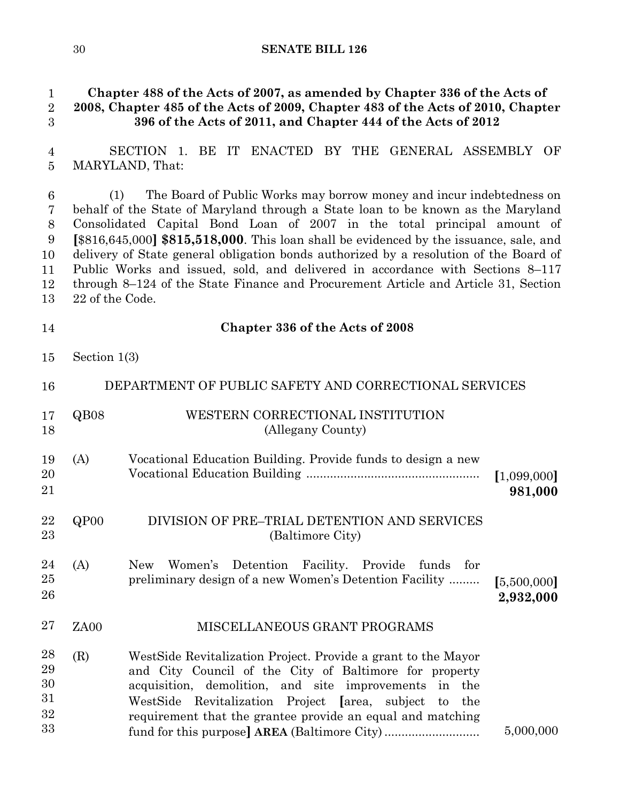#### **Chapter 488 of the Acts of 2007, as amended by Chapter 336 of the Acts of 2008, Chapter 485 of the Acts of 2009, Chapter 483 of the Acts of 2010, Chapter 396 of the Acts of 2011, and Chapter 444 of the Acts of 2012**

SECTION 1. BE IT ENACTED BY THE GENERAL ASSEMBLY OF MARYLAND, That: 

 (1) The Board of Public Works may borrow money and incur indebtedness on behalf of the State of Maryland through a State loan to be known as the Maryland Consolidated Capital Bond Loan of 2007 in the total principal amount of **[**\$816,645,000**] \$815,518,000**. This loan shall be evidenced by the issuance, sale, and delivery of State general obligation bonds authorized by a resolution of the Board of Public Works and issued, sold, and delivered in accordance with Sections 8–117 through 8–124 of the State Finance and Procurement Article and Article 31, Section 22 of the Code. 

**Chapter 336 of the Acts of 2008**

Section  $1(3)$ 

| 16                               |      | DEPARTMENT OF PUBLIC SAFETY AND CORRECTIONAL SERVICES                                                                                                                                                                                                                                                       |                          |
|----------------------------------|------|-------------------------------------------------------------------------------------------------------------------------------------------------------------------------------------------------------------------------------------------------------------------------------------------------------------|--------------------------|
| 17<br>18                         | QB08 | WESTERN CORRECTIONAL INSTITUTION<br>(Allegany County)                                                                                                                                                                                                                                                       |                          |
| 19<br>20<br>21                   | (A)  | Vocational Education Building. Provide funds to design a new                                                                                                                                                                                                                                                | [1,099,000]<br>981,000   |
| 22<br>23                         | QPOO | DIVISION OF PRE–TRIAL DETENTION AND SERVICES<br>(Baltimore City)                                                                                                                                                                                                                                            |                          |
| 24<br>25<br>26                   | (A)  | Detention Facility.<br>Provide<br>Women's<br>funds<br><b>New</b><br>for<br>preliminary design of a new Women's Detention Facility                                                                                                                                                                           | [5,500,000]<br>2,932,000 |
| 27                               | ZA00 | MISCELLANEOUS GRANT PROGRAMS                                                                                                                                                                                                                                                                                |                          |
| 28<br>29<br>30<br>31<br>32<br>33 | (R)  | West Side Revitalization Project. Provide a grant to the Mayor<br>and City Council of the City of Baltimore for property<br>acquisition, demolition, and site improvements in the<br>Revitalization Project [area, subject to the<br>WestSide<br>requirement that the grantee provide an equal and matching | 5,000,000                |
|                                  |      |                                                                                                                                                                                                                                                                                                             |                          |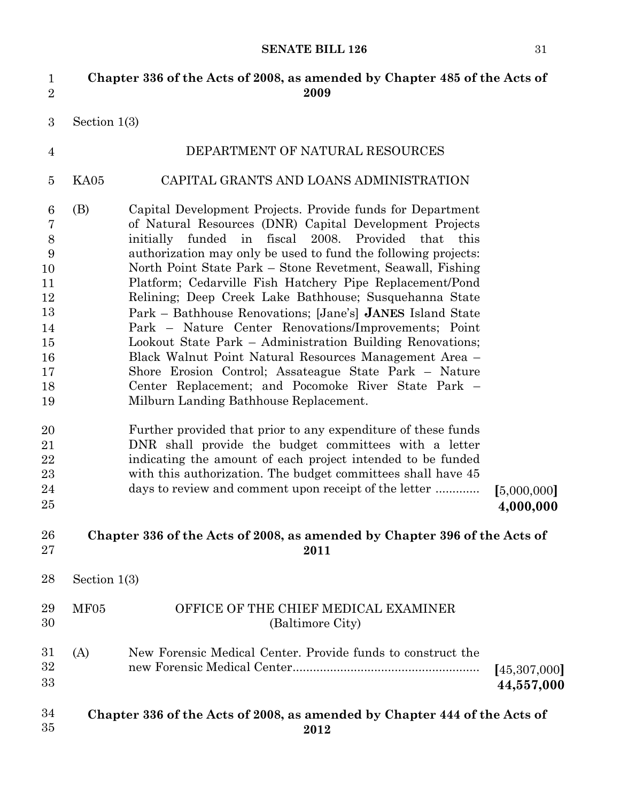| $\mathbf{1}$<br>$\overline{2}$                                               |                | Chapter 336 of the Acts of 2008, as amended by Chapter 485 of the Acts of<br>2009                                                                                                                                                                                                                                                                                                                                                                                                                                                                                                                                                                                                                                                                                                                                                           |                            |
|------------------------------------------------------------------------------|----------------|---------------------------------------------------------------------------------------------------------------------------------------------------------------------------------------------------------------------------------------------------------------------------------------------------------------------------------------------------------------------------------------------------------------------------------------------------------------------------------------------------------------------------------------------------------------------------------------------------------------------------------------------------------------------------------------------------------------------------------------------------------------------------------------------------------------------------------------------|----------------------------|
| $\boldsymbol{3}$                                                             | Section $1(3)$ |                                                                                                                                                                                                                                                                                                                                                                                                                                                                                                                                                                                                                                                                                                                                                                                                                                             |                            |
| $\overline{4}$                                                               |                | DEPARTMENT OF NATURAL RESOURCES                                                                                                                                                                                                                                                                                                                                                                                                                                                                                                                                                                                                                                                                                                                                                                                                             |                            |
| $\overline{5}$                                                               | KA05           | CAPITAL GRANTS AND LOANS ADMINISTRATION                                                                                                                                                                                                                                                                                                                                                                                                                                                                                                                                                                                                                                                                                                                                                                                                     |                            |
| 6<br>7<br>8<br>9<br>10<br>11<br>12<br>13<br>14<br>15<br>16<br>17<br>18<br>19 | (B)            | Capital Development Projects. Provide funds for Department<br>of Natural Resources (DNR) Capital Development Projects<br>funded in fiscal 2008. Provided that this<br>initially<br>authorization may only be used to fund the following projects:<br>North Point State Park – Stone Revetment, Seawall, Fishing<br>Platform; Cedarville Fish Hatchery Pipe Replacement/Pond<br>Relining; Deep Creek Lake Bathhouse; Susquehanna State<br>Park – Bathhouse Renovations; [Jane's] JANES Island State<br>Park – Nature Center Renovations/Improvements; Point<br>Lookout State Park – Administration Building Renovations;<br>Black Walnut Point Natural Resources Management Area -<br>Shore Erosion Control; Assateague State Park – Nature<br>Center Replacement; and Pocomoke River State Park -<br>Milburn Landing Bathhouse Replacement. |                            |
| 20<br>21<br>22<br>23<br>24<br>25                                             |                | Further provided that prior to any expenditure of these funds<br>DNR shall provide the budget committees with a letter<br>indicating the amount of each project intended to be funded<br>with this authorization. The budget committees shall have 45<br>days to review and comment upon receipt of the letter                                                                                                                                                                                                                                                                                                                                                                                                                                                                                                                              | [5,000,000]<br>4,000,000   |
| 26<br>27                                                                     |                | Chapter 336 of the Acts of 2008, as amended by Chapter 396 of the Acts of<br>2011                                                                                                                                                                                                                                                                                                                                                                                                                                                                                                                                                                                                                                                                                                                                                           |                            |
| 28                                                                           | Section $1(3)$ |                                                                                                                                                                                                                                                                                                                                                                                                                                                                                                                                                                                                                                                                                                                                                                                                                                             |                            |
| 29<br>30                                                                     | MF05           | OFFICE OF THE CHIEF MEDICAL EXAMINER<br>(Baltimore City)                                                                                                                                                                                                                                                                                                                                                                                                                                                                                                                                                                                                                                                                                                                                                                                    |                            |
| 31<br>32<br>33                                                               | (A)            | New Forensic Medical Center. Provide funds to construct the                                                                                                                                                                                                                                                                                                                                                                                                                                                                                                                                                                                                                                                                                                                                                                                 | [45,307,000]<br>44,557,000 |
| 34<br>35                                                                     |                | Chapter 336 of the Acts of 2008, as amended by Chapter 444 of the Acts of<br>2012                                                                                                                                                                                                                                                                                                                                                                                                                                                                                                                                                                                                                                                                                                                                                           |                            |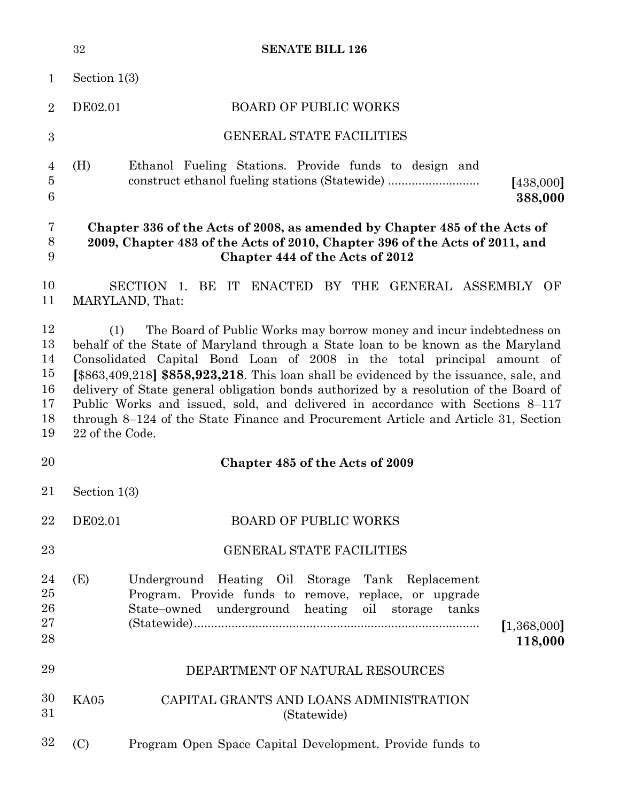|                                              | 32                     | <b>SENATE BILL 126</b>                                                                                                                                                                                                                                                                                                                                                                                                                                                                                                                                                                            |                        |
|----------------------------------------------|------------------------|---------------------------------------------------------------------------------------------------------------------------------------------------------------------------------------------------------------------------------------------------------------------------------------------------------------------------------------------------------------------------------------------------------------------------------------------------------------------------------------------------------------------------------------------------------------------------------------------------|------------------------|
| $\mathbf{1}$                                 | Section $1(3)$         |                                                                                                                                                                                                                                                                                                                                                                                                                                                                                                                                                                                                   |                        |
| $\overline{2}$                               | DE02.01                | <b>BOARD OF PUBLIC WORKS</b>                                                                                                                                                                                                                                                                                                                                                                                                                                                                                                                                                                      |                        |
| 3                                            |                        | <b>GENERAL STATE FACILITIES</b>                                                                                                                                                                                                                                                                                                                                                                                                                                                                                                                                                                   |                        |
| 4<br>$\overline{5}$<br>6                     | (H)                    | Ethanol Fueling Stations. Provide funds to design and<br>construct ethanol fueling stations (Statewide)                                                                                                                                                                                                                                                                                                                                                                                                                                                                                           | [438,000]<br>388,000   |
| 7<br>$8\,$<br>9                              |                        | Chapter 336 of the Acts of 2008, as amended by Chapter 485 of the Acts of<br>2009, Chapter 483 of the Acts of 2010, Chapter 396 of the Acts of 2011, and<br>Chapter 444 of the Acts of 2012                                                                                                                                                                                                                                                                                                                                                                                                       |                        |
| 10<br>11                                     |                        | SECTION 1. BE IT ENACTED BY THE GENERAL ASSEMBLY OF<br>MARYLAND, That:                                                                                                                                                                                                                                                                                                                                                                                                                                                                                                                            |                        |
| 12<br>13<br>14<br>15<br>16<br>17<br>18<br>19 | (1)<br>22 of the Code. | The Board of Public Works may borrow money and incur indebtedness on<br>behalf of the State of Maryland through a State loan to be known as the Maryland<br>Consolidated Capital Bond Loan of 2008 in the total principal amount of<br>$[$ \$863,409,218] \$858,923,218. This loan shall be evidenced by the issuance, sale, and<br>delivery of State general obligation bonds authorized by a resolution of the Board of<br>Public Works and issued, sold, and delivered in accordance with Sections 8-117<br>through 8–124 of the State Finance and Procurement Article and Article 31, Section |                        |
| 20                                           |                        | Chapter 485 of the Acts of 2009                                                                                                                                                                                                                                                                                                                                                                                                                                                                                                                                                                   |                        |
| 21                                           | Section $1(3)$         |                                                                                                                                                                                                                                                                                                                                                                                                                                                                                                                                                                                                   |                        |
| 22                                           | DE02.01                | <b>BOARD OF PUBLIC WORKS</b>                                                                                                                                                                                                                                                                                                                                                                                                                                                                                                                                                                      |                        |
| 23                                           |                        | <b>GENERAL STATE FACILITIES</b>                                                                                                                                                                                                                                                                                                                                                                                                                                                                                                                                                                   |                        |
| 24<br>25<br>26<br>27<br>28                   | (E)                    | Underground Heating Oil Storage Tank Replacement<br>Program. Provide funds to remove, replace, or upgrade<br>State-owned underground heating oil storage tanks                                                                                                                                                                                                                                                                                                                                                                                                                                    | [1,368,000]<br>118,000 |
| 29                                           |                        | DEPARTMENT OF NATURAL RESOURCES                                                                                                                                                                                                                                                                                                                                                                                                                                                                                                                                                                   |                        |
| 30<br>31                                     | KA05                   | CAPITAL GRANTS AND LOANS ADMINISTRATION<br>(Statewide)                                                                                                                                                                                                                                                                                                                                                                                                                                                                                                                                            |                        |
| 32                                           | (C)                    | Program Open Space Capital Development. Provide funds to                                                                                                                                                                                                                                                                                                                                                                                                                                                                                                                                          |                        |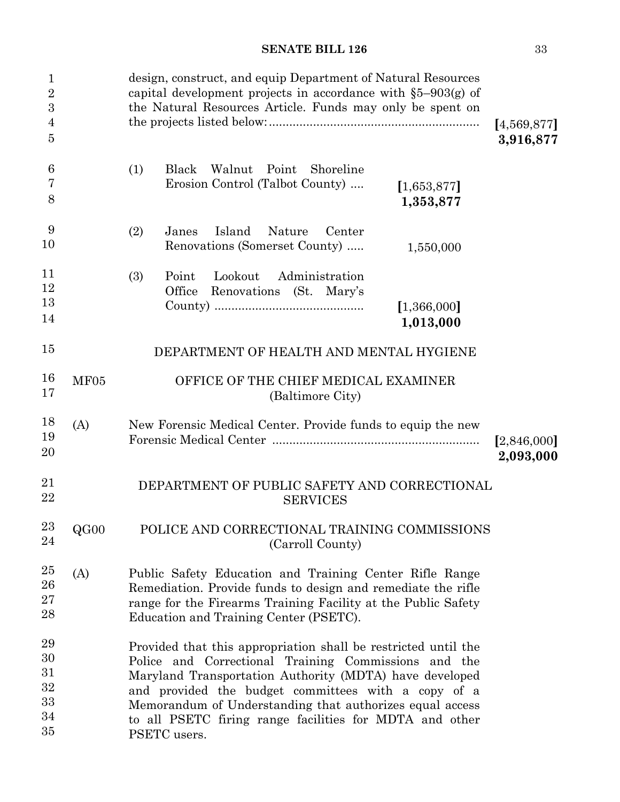| $\mathbf{1}$<br>$\overline{2}$<br>$\boldsymbol{3}$<br>$\overline{4}$<br>$\overline{5}$ |      | design, construct, and equip Department of Natural Resources<br>capital development projects in accordance with $\S5-903(g)$ of<br>the Natural Resources Article. Funds may only be spent on                                                                                                                                                                                    | [4,569,877]<br>3,916,877 |
|----------------------------------------------------------------------------------------|------|---------------------------------------------------------------------------------------------------------------------------------------------------------------------------------------------------------------------------------------------------------------------------------------------------------------------------------------------------------------------------------|--------------------------|
| $\boldsymbol{6}$<br>7<br>8                                                             |      | (1)<br>Black<br>Walnut<br>Point<br>Shoreline<br>Erosion Control (Talbot County)<br>[1,653,877]<br>1,353,877                                                                                                                                                                                                                                                                     |                          |
| 9<br>10                                                                                |      | (2)<br>Island<br>Nature<br>Janes<br>Center<br>Renovations (Somerset County)<br>1,550,000                                                                                                                                                                                                                                                                                        |                          |
| 11<br>12<br>13<br>14                                                                   |      | Lookout<br>Administration<br>(3)<br>Point<br>Office<br>Renovations (St. Mary's<br>[1,366,000]<br>1,013,000                                                                                                                                                                                                                                                                      |                          |
| 15                                                                                     |      | DEPARTMENT OF HEALTH AND MENTAL HYGIENE                                                                                                                                                                                                                                                                                                                                         |                          |
| 16<br>17                                                                               | MF05 | OFFICE OF THE CHIEF MEDICAL EXAMINER<br>(Baltimore City)                                                                                                                                                                                                                                                                                                                        |                          |
| 18<br>19<br>20                                                                         | (A)  | New Forensic Medical Center. Provide funds to equip the new                                                                                                                                                                                                                                                                                                                     | [2,846,000]<br>2,093,000 |
| 21<br>22                                                                               |      | DEPARTMENT OF PUBLIC SAFETY AND CORRECTIONAL<br><b>SERVICES</b>                                                                                                                                                                                                                                                                                                                 |                          |
| 23<br>24                                                                               | QG00 | POLICE AND CORRECTIONAL TRAINING COMMISSIONS<br>(Carroll County)                                                                                                                                                                                                                                                                                                                |                          |
| $25\,$<br>${\bf 26}$<br>27<br>28                                                       | (A)  | Public Safety Education and Training Center Rifle Range<br>Remediation. Provide funds to design and remediate the rifle<br>range for the Firearms Training Facility at the Public Safety<br>Education and Training Center (PSETC).                                                                                                                                              |                          |
| 29<br>30<br>31<br>32<br>33<br>34<br>35                                                 |      | Provided that this appropriation shall be restricted until the<br>Police and Correctional Training Commissions and the<br>Maryland Transportation Authority (MDTA) have developed<br>and provided the budget committees with a copy of a<br>Memorandum of Understanding that authorizes equal access<br>to all PSETC firing range facilities for MDTA and other<br>PSETC users. |                          |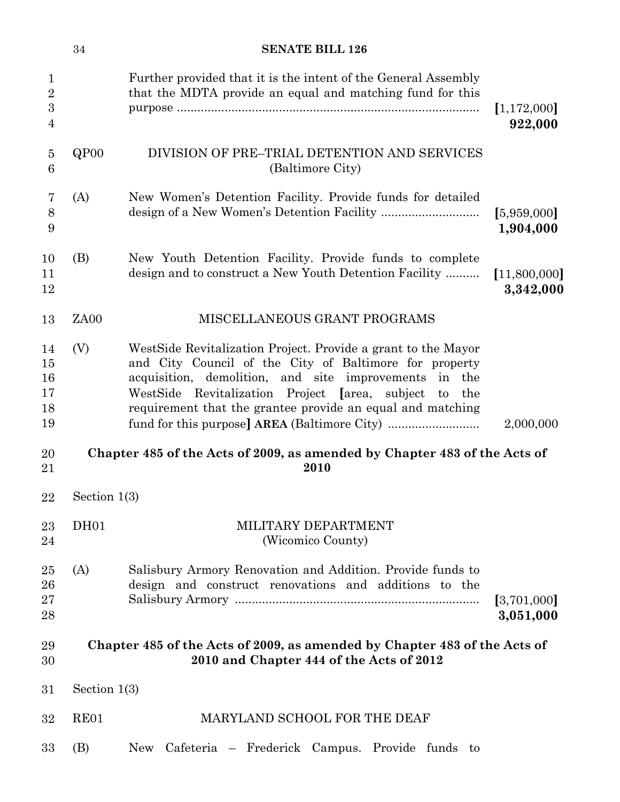|                                                    | $34\,$           | <b>SENATE BILL 126</b>                                                                                                                                                                                                                                                                                                       |                           |
|----------------------------------------------------|------------------|------------------------------------------------------------------------------------------------------------------------------------------------------------------------------------------------------------------------------------------------------------------------------------------------------------------------------|---------------------------|
| $\mathbf{1}$<br>$\overline{2}$<br>$\boldsymbol{3}$ |                  | Further provided that it is the intent of the General Assembly<br>that the MDTA provide an equal and matching fund for this                                                                                                                                                                                                  | [1,172,000]               |
| 4                                                  |                  |                                                                                                                                                                                                                                                                                                                              | 922,000                   |
| $\overline{5}$<br>6                                | QPOO             | DIVISION OF PRE–TRIAL DETENTION AND SERVICES<br>(Baltimore City)                                                                                                                                                                                                                                                             |                           |
| 7<br>8<br>9                                        | (A)              | New Women's Detention Facility. Provide funds for detailed                                                                                                                                                                                                                                                                   | [5,959,000]<br>1,904,000  |
| 10<br>11<br>12                                     | (B)              | New Youth Detention Facility. Provide funds to complete<br>design and to construct a New Youth Detention Facility                                                                                                                                                                                                            | [11,800,000]<br>3,342,000 |
| 13                                                 | ZA <sub>00</sub> | MISCELLANEOUS GRANT PROGRAMS                                                                                                                                                                                                                                                                                                 |                           |
| 14<br>15<br>16<br>17<br>18<br>19                   | (V)              | West Side Revitalization Project. Provide a grant to the Mayor<br>and City Council of the City of Baltimore for property<br>acquisition, demolition, and site improvements<br>in the<br>WestSide Revitalization Project [area, subject]<br>$\mathbf{t}$<br>the<br>requirement that the grantee provide an equal and matching | 2,000,000                 |
| 20<br>21                                           |                  | Chapter 485 of the Acts of 2009, as amended by Chapter 483 of the Acts of<br>2010                                                                                                                                                                                                                                            |                           |
| $22\,$                                             | Section $1(3)$   |                                                                                                                                                                                                                                                                                                                              |                           |
| 23<br>24                                           | DH01             | MILITARY DEPARTMENT<br>(Wicomico County)                                                                                                                                                                                                                                                                                     |                           |
| 25<br>26<br>27<br>28                               | (A)              | Salisbury Armory Renovation and Addition. Provide funds to<br>design and construct renovations and additions to the                                                                                                                                                                                                          | [3,701,000]<br>3,051,000  |
| 29<br>30                                           |                  | Chapter 485 of the Acts of 2009, as amended by Chapter 483 of the Acts of<br>2010 and Chapter 444 of the Acts of 2012                                                                                                                                                                                                        |                           |
| 31                                                 | Section $1(3)$   |                                                                                                                                                                                                                                                                                                                              |                           |
| 32                                                 | RE01             | MARYLAND SCHOOL FOR THE DEAF                                                                                                                                                                                                                                                                                                 |                           |
| 33                                                 | (B)              | New Cafeteria – Frederick Campus. Provide funds to                                                                                                                                                                                                                                                                           |                           |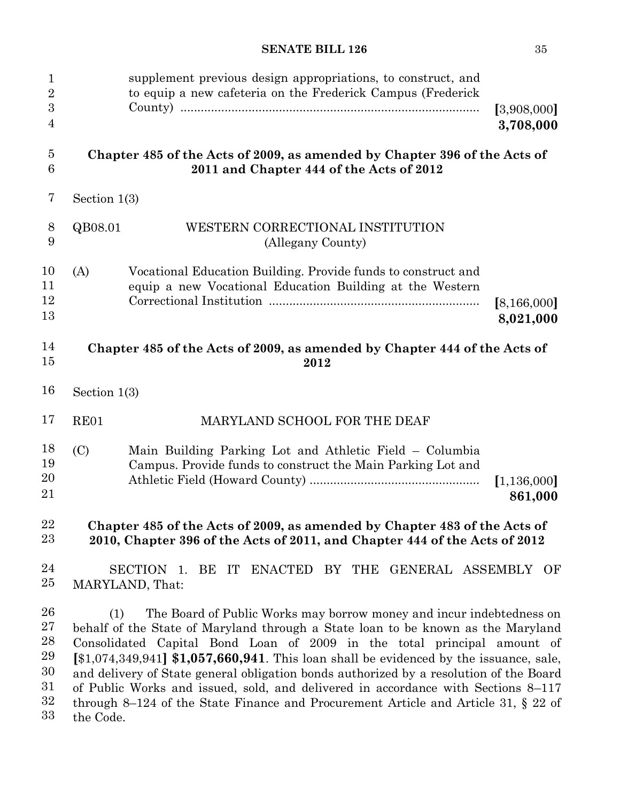| $\mathbf 1$<br>$\overline{2}$<br>$\boldsymbol{3}$<br>$\overline{4}$ |                  | supplement previous design appropriations, to construct, and<br>to equip a new cafeteria on the Frederick Campus (Frederick                                                                                                                                                                                                                                                                                                                                                                                                                                                                            | [3,908,000]<br>3,708,000 |
|---------------------------------------------------------------------|------------------|--------------------------------------------------------------------------------------------------------------------------------------------------------------------------------------------------------------------------------------------------------------------------------------------------------------------------------------------------------------------------------------------------------------------------------------------------------------------------------------------------------------------------------------------------------------------------------------------------------|--------------------------|
| $\overline{5}$<br>$6\phantom{.}6$                                   |                  | Chapter 485 of the Acts of 2009, as amended by Chapter 396 of the Acts of<br>2011 and Chapter 444 of the Acts of 2012                                                                                                                                                                                                                                                                                                                                                                                                                                                                                  |                          |
| 7                                                                   | Section $1(3)$   |                                                                                                                                                                                                                                                                                                                                                                                                                                                                                                                                                                                                        |                          |
| $8\,$<br>9                                                          | QB08.01          | WESTERN CORRECTIONAL INSTITUTION<br>(Allegany County)                                                                                                                                                                                                                                                                                                                                                                                                                                                                                                                                                  |                          |
| 10<br>11<br>12<br>13                                                | (A)              | Vocational Education Building. Provide funds to construct and<br>equip a new Vocational Education Building at the Western                                                                                                                                                                                                                                                                                                                                                                                                                                                                              | [8,166,000]<br>8,021,000 |
| 14<br>15                                                            |                  | Chapter 485 of the Acts of 2009, as amended by Chapter 444 of the Acts of<br>2012                                                                                                                                                                                                                                                                                                                                                                                                                                                                                                                      |                          |
| 16                                                                  | Section $1(3)$   |                                                                                                                                                                                                                                                                                                                                                                                                                                                                                                                                                                                                        |                          |
| 17                                                                  | RE01             | MARYLAND SCHOOL FOR THE DEAF                                                                                                                                                                                                                                                                                                                                                                                                                                                                                                                                                                           |                          |
| 18<br>19<br>20<br>21                                                | (C)              | Main Building Parking Lot and Athletic Field – Columbia<br>Campus. Provide funds to construct the Main Parking Lot and                                                                                                                                                                                                                                                                                                                                                                                                                                                                                 | [1, 136, 000]<br>861,000 |
| 22<br>23                                                            |                  | Chapter 485 of the Acts of 2009, as amended by Chapter 483 of the Acts of<br>2010, Chapter 396 of the Acts of 2011, and Chapter 444 of the Acts of 2012                                                                                                                                                                                                                                                                                                                                                                                                                                                |                          |
| 24<br>25                                                            |                  | SECTION 1. BE IT ENACTED BY THE GENERAL ASSEMBLY OF<br>MARYLAND, That:                                                                                                                                                                                                                                                                                                                                                                                                                                                                                                                                 |                          |
| 26<br>27<br>28<br>29<br>30<br>31<br>32<br>33                        | (1)<br>the Code. | The Board of Public Works may borrow money and incur indebtedness on<br>behalf of the State of Maryland through a State loan to be known as the Maryland<br>Consolidated Capital Bond Loan of 2009 in the total principal amount of<br>$[$1,074,349,941]$ \$1,057,660,941. This loan shall be evidenced by the issuance, sale,<br>and delivery of State general obligation bonds authorized by a resolution of the Board<br>of Public Works and issued, sold, and delivered in accordance with Sections 8–117<br>through 8–124 of the State Finance and Procurement Article and Article 31, $\S 22$ of |                          |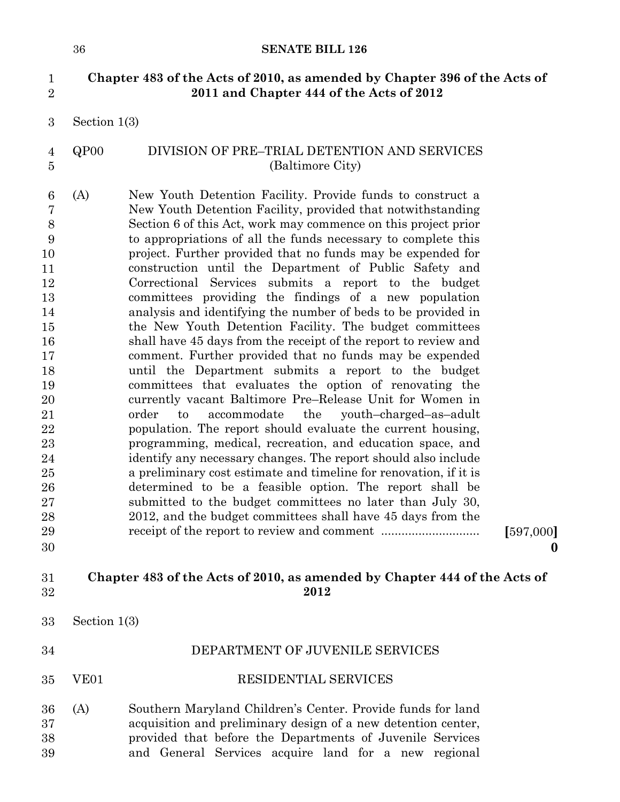## 1 **Chapter 483 of the Acts of 2010, as amended by Chapter 396 of the Acts of**  2 **2011 and Chapter 444 of the Acts of 2012**

Section  $1(3)$ 3

QP00 DIVISION OF PRE–TRIAL DETENTION AND SERVICES (Baltimore City) 4 5

(A) New Youth Detention Facility. Provide funds to construct a New Youth Detention Facility, provided that notwithstanding Section 6 of this Act, work may commence on this project prior to appropriations of all the funds necessary to complete this project. Further provided that no funds may be expended for construction until the Department of Public Safety and Correctional Services submits a report to the budget committees providing the findings of a new population analysis and identifying the number of beds to be provided in the New Youth Detention Facility. The budget committees shall have 45 days from the receipt of the report to review and comment. Further provided that no funds may be expended until the Department submits a report to the budget committees that evaluates the option of renovating the currently vacant Baltimore Pre–Release Unit for Women in order to accommodate the youth–charged–as–adult population. The report should evaluate the current housing, programming, medical, recreation, and education space, and identify any necessary changes. The report should also include a preliminary cost estimate and timeline for renovation, if it is determined to be a feasible option. The report shall be submitted to the budget committees no later than July 30, 2012, and the budget committees shall have 45 days from the receipt of the report to review and comment ............................. **[**597,000**]** 6 7 8 9 10 11 12 13 14 15 16 17 18 19 20 21 22 23 24 25 26 27 28 29 30

**0**

#### 8 **Chapter 483 of the Acts of 2010, as amended by Chapter 444 of the Acts of**  9 **2012** 31 32

DEPARTMENT OF JUVENILE SERVICES

Section  $1(3)$ 33

| -34 |      | DEPARTMENT OF JUVENILE SERVICES |
|-----|------|---------------------------------|
| 35  | VE01 | <b>RESIDENTIAL SERVICES</b>     |

(A) Southern Maryland Children's Center. Provide funds for land acquisition and preliminary design of a new detention center, provided that before the Departments of Juvenile Services and General Services acquire land for a new regional 36 37 38 39

1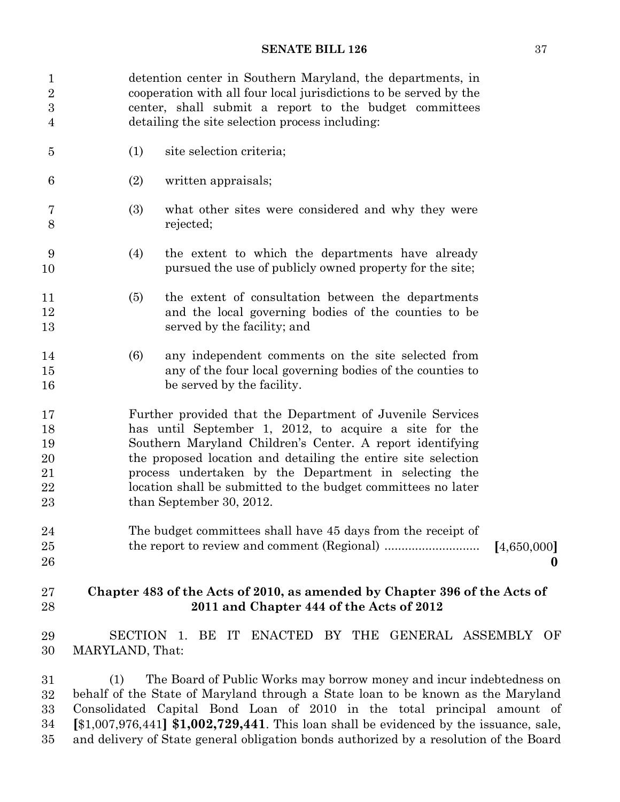| 1<br>$\sqrt{2}$  |                               | detention center in Southern Maryland, the departments, in<br>cooperation with all four local jurisdictions to be served by the |                  |
|------------------|-------------------------------|---------------------------------------------------------------------------------------------------------------------------------|------------------|
| $\sqrt{3}$       |                               | center, shall submit a report to the budget committees                                                                          |                  |
| $\overline{4}$   |                               | detailing the site selection process including:                                                                                 |                  |
| $\overline{5}$   | (1)                           | site selection criteria;                                                                                                        |                  |
| $\boldsymbol{6}$ | (2)                           | written appraisals;                                                                                                             |                  |
| 7<br>8           | (3)                           | what other sites were considered and why they were<br>rejected;                                                                 |                  |
| 9<br>10          | (4)                           | the extent to which the departments have already<br>pursued the use of publicly owned property for the site;                    |                  |
| 11               | (5)                           | the extent of consultation between the departments                                                                              |                  |
| 12               |                               | and the local governing bodies of the counties to be                                                                            |                  |
| 13               |                               | served by the facility; and                                                                                                     |                  |
| 14               | (6)                           | any independent comments on the site selected from                                                                              |                  |
| 15<br>16         |                               | any of the four local governing bodies of the counties to<br>be served by the facility.                                         |                  |
| 17               |                               | Further provided that the Department of Juvenile Services                                                                       |                  |
| 18               |                               | has until September 1, 2012, to acquire a site for the                                                                          |                  |
| 19               |                               | Southern Maryland Children's Center. A report identifying                                                                       |                  |
| 20               |                               | the proposed location and detailing the entire site selection                                                                   |                  |
| 21               |                               | process undertaken by the Department in selecting the                                                                           |                  |
| 22               |                               | location shall be submitted to the budget committees no later                                                                   |                  |
| 23               |                               | than September 30, 2012.                                                                                                        |                  |
| 24               |                               | The budget committees shall have 45 days from the receipt of                                                                    |                  |
| 25               |                               |                                                                                                                                 | [4,650,000]      |
| 26               |                               |                                                                                                                                 | $\boldsymbol{0}$ |
| 27               |                               | Chapter 483 of the Acts of 2010, as amended by Chapter 396 of the Acts of                                                       |                  |
| 28               |                               | 2011 and Chapter 444 of the Acts of 2012                                                                                        |                  |
| 29<br>30         | SECTION 1.<br>MARYLAND, That: | BE IT ENACTED BY THE GENERAL ASSEMBLY OF                                                                                        |                  |

16 (1) The Board of Public Works may borrow money and incur indebtedness on behalf of the State of Maryland through a State loan to be known as the Maryland 18 Consolidated Capital Bond Loan of 2010 in the total principal amount of 19 **[**\$1,007,976,441**] \$1,002,729,441**. This loan shall be evidenced by the issuance, sale, and delivery of State general obligation bonds authorized by a resolution of the Board 31 32 33 34 35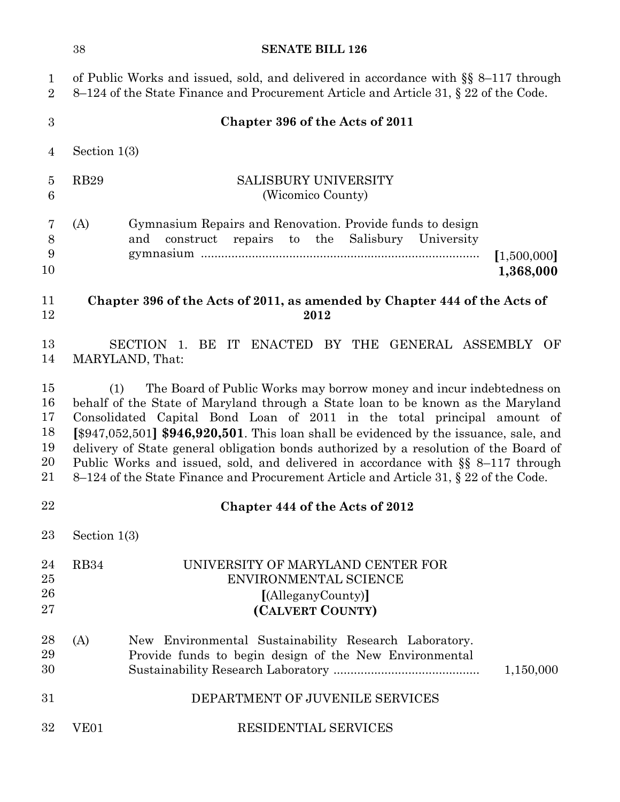|                                        | 38               | <b>SENATE BILL 126</b>                                                                                                                                                                                                                                                                                                                                                                                                                                                                                                                                                                               |                          |
|----------------------------------------|------------------|------------------------------------------------------------------------------------------------------------------------------------------------------------------------------------------------------------------------------------------------------------------------------------------------------------------------------------------------------------------------------------------------------------------------------------------------------------------------------------------------------------------------------------------------------------------------------------------------------|--------------------------|
| $\mathbf{1}$<br>$\overline{2}$         |                  | of Public Works and issued, sold, and delivered in accordance with $\S$ 8-117 through<br>8–124 of the State Finance and Procurement Article and Article 31, § 22 of the Code.                                                                                                                                                                                                                                                                                                                                                                                                                        |                          |
| 3                                      |                  | Chapter 396 of the Acts of 2011                                                                                                                                                                                                                                                                                                                                                                                                                                                                                                                                                                      |                          |
| $\overline{4}$                         | Section $1(3)$   |                                                                                                                                                                                                                                                                                                                                                                                                                                                                                                                                                                                                      |                          |
| $\overline{5}$<br>$\,6$                | <b>RB29</b>      | <b>SALISBURY UNIVERSITY</b><br>(Wicomico County)                                                                                                                                                                                                                                                                                                                                                                                                                                                                                                                                                     |                          |
| 7<br>$8\,$<br>9<br>10                  | (A)              | Gymnasium Repairs and Renovation. Provide funds to design<br>repairs to the<br>Salisbury University<br>and<br>construct                                                                                                                                                                                                                                                                                                                                                                                                                                                                              | [1,500,000]<br>1,368,000 |
| 11<br>12                               |                  | Chapter 396 of the Acts of 2011, as amended by Chapter 444 of the Acts of<br>2012                                                                                                                                                                                                                                                                                                                                                                                                                                                                                                                    |                          |
| 13<br>14                               |                  | BE<br>IT<br>ENACTED BY THE GENERAL ASSEMBLY OF<br>SECTION 1.<br>MARYLAND, That:                                                                                                                                                                                                                                                                                                                                                                                                                                                                                                                      |                          |
| 15<br>16<br>17<br>18<br>19<br>20<br>21 | (1)              | The Board of Public Works may borrow money and incur indebtedness on<br>behalf of the State of Maryland through a State loan to be known as the Maryland<br>Consolidated Capital Bond Loan of 2011 in the total principal amount of<br>[\$947,052,501] \$946,920,501. This loan shall be evidenced by the issuance, sale, and<br>delivery of State general obligation bonds authorized by a resolution of the Board of<br>Public Works and issued, sold, and delivered in accordance with $\S$ 8-117 through<br>8–124 of the State Finance and Procurement Article and Article 31, § 22 of the Code. |                          |
| 22                                     |                  | Chapter 444 of the Acts of 2012                                                                                                                                                                                                                                                                                                                                                                                                                                                                                                                                                                      |                          |
| 23                                     | Section $1(3)$   |                                                                                                                                                                                                                                                                                                                                                                                                                                                                                                                                                                                                      |                          |
| 24<br>25<br>26<br>27                   | RB34             | UNIVERSITY OF MARYLAND CENTER FOR<br>ENVIRONMENTAL SCIENCE<br>[(AlleganyCounty)]<br>(CALVERT COUNTY)                                                                                                                                                                                                                                                                                                                                                                                                                                                                                                 |                          |
| 28<br>29<br>30                         | (A)              | New Environmental Sustainability Research Laboratory.<br>Provide funds to begin design of the New Environmental                                                                                                                                                                                                                                                                                                                                                                                                                                                                                      | 1,150,000                |
| 31                                     |                  | DEPARTMENT OF JUVENILE SERVICES                                                                                                                                                                                                                                                                                                                                                                                                                                                                                                                                                                      |                          |
| 32                                     | VE <sub>01</sub> | <b>RESIDENTIAL SERVICES</b>                                                                                                                                                                                                                                                                                                                                                                                                                                                                                                                                                                          |                          |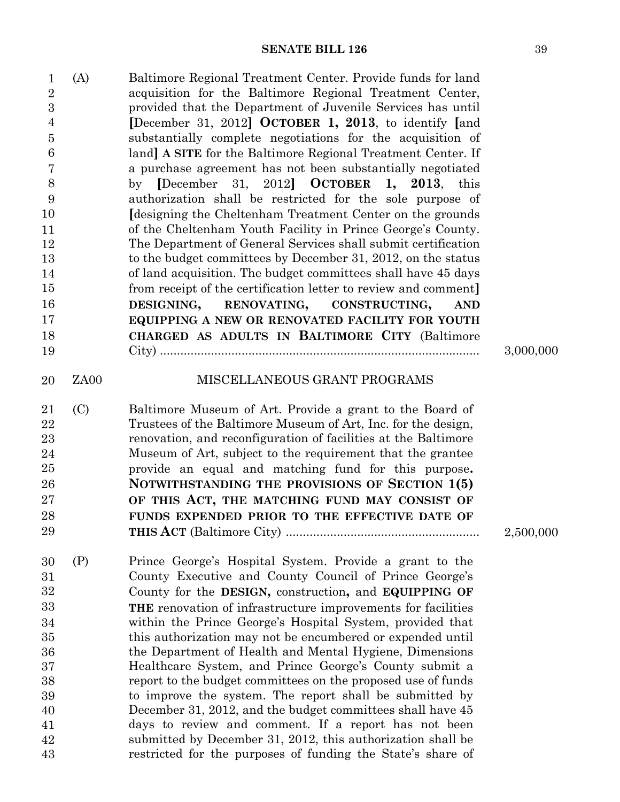| $\mathbf{1}$<br>$\overline{2}$<br>$\boldsymbol{3}$<br>$\overline{4}$<br>$\overline{5}$<br>6<br>7<br>8<br>9<br>10<br>11<br>12<br>13<br>14<br>15<br>16<br>17<br>18<br>19 | (A)  | Baltimore Regional Treatment Center. Provide funds for land<br>acquisition for the Baltimore Regional Treatment Center,<br>provided that the Department of Juvenile Services has until<br>[December 31, 2012] OCTOBER 1, 2013, to identify [and<br>substantially complete negotiations for the acquisition of<br>land] A SITE for the Baltimore Regional Treatment Center. If<br>a purchase agreement has not been substantially negotiated<br>[December<br>31, 2012 OCTOBER<br>by<br>1, 2013,<br>this<br>authorization shall be restricted for the sole purpose of<br>Idesigning the Cheltenham Treatment Center on the grounds<br>of the Cheltenham Youth Facility in Prince George's County.<br>The Department of General Services shall submit certification<br>to the budget committees by December 31, 2012, on the status<br>of land acquisition. The budget committees shall have 45 days<br>from receipt of the certification letter to review and comment.<br>DESIGNING,<br>RENOVATING,<br>CONSTRUCTING,<br><b>AND</b><br>EQUIPPING A NEW OR RENOVATED FACILITY FOR YOUTH<br>CHARGED AS ADULTS IN BALTIMORE CITY (Baltimore | 3,000,000 |
|------------------------------------------------------------------------------------------------------------------------------------------------------------------------|------|---------------------------------------------------------------------------------------------------------------------------------------------------------------------------------------------------------------------------------------------------------------------------------------------------------------------------------------------------------------------------------------------------------------------------------------------------------------------------------------------------------------------------------------------------------------------------------------------------------------------------------------------------------------------------------------------------------------------------------------------------------------------------------------------------------------------------------------------------------------------------------------------------------------------------------------------------------------------------------------------------------------------------------------------------------------------------------------------------------------------------------------|-----------|
|                                                                                                                                                                        |      |                                                                                                                                                                                                                                                                                                                                                                                                                                                                                                                                                                                                                                                                                                                                                                                                                                                                                                                                                                                                                                                                                                                                       |           |
| 20                                                                                                                                                                     | ZA00 | MISCELLANEOUS GRANT PROGRAMS                                                                                                                                                                                                                                                                                                                                                                                                                                                                                                                                                                                                                                                                                                                                                                                                                                                                                                                                                                                                                                                                                                          |           |
| 21<br>22<br>23<br>24<br>25<br>26<br>27<br>28<br>29                                                                                                                     | (C)  | Baltimore Museum of Art. Provide a grant to the Board of<br>Trustees of the Baltimore Museum of Art, Inc. for the design,<br>renovation, and reconfiguration of facilities at the Baltimore<br>Museum of Art, subject to the requirement that the grantee<br>provide an equal and matching fund for this purpose.<br>NOTWITHSTANDING THE PROVISIONS OF SECTION 1(5)<br>OF THIS ACT, THE MATCHING FUND MAY CONSIST OF<br>FUNDS EXPENDED PRIOR TO THE EFFECTIVE DATE OF                                                                                                                                                                                                                                                                                                                                                                                                                                                                                                                                                                                                                                                                 | 2,500,000 |
| 30<br>31<br>32<br>33<br>34<br>35<br>36<br>37<br>38<br>39<br>40<br>41<br>42<br>43                                                                                       | (P)  | Prince George's Hospital System. Provide a grant to the<br>County Executive and County Council of Prince George's<br>County for the DESIGN, construction, and EQUIPPING OF<br><b>THE</b> renovation of infrastructure improvements for facilities<br>within the Prince George's Hospital System, provided that<br>this authorization may not be encumbered or expended until<br>the Department of Health and Mental Hygiene, Dimensions<br>Healthcare System, and Prince George's County submit a<br>report to the budget committees on the proposed use of funds<br>to improve the system. The report shall be submitted by<br>December 31, 2012, and the budget committees shall have 45<br>days to review and comment. If a report has not been<br>submitted by December 31, 2012, this authorization shall be<br>restricted for the purposes of funding the State's share of                                                                                                                                                                                                                                                      |           |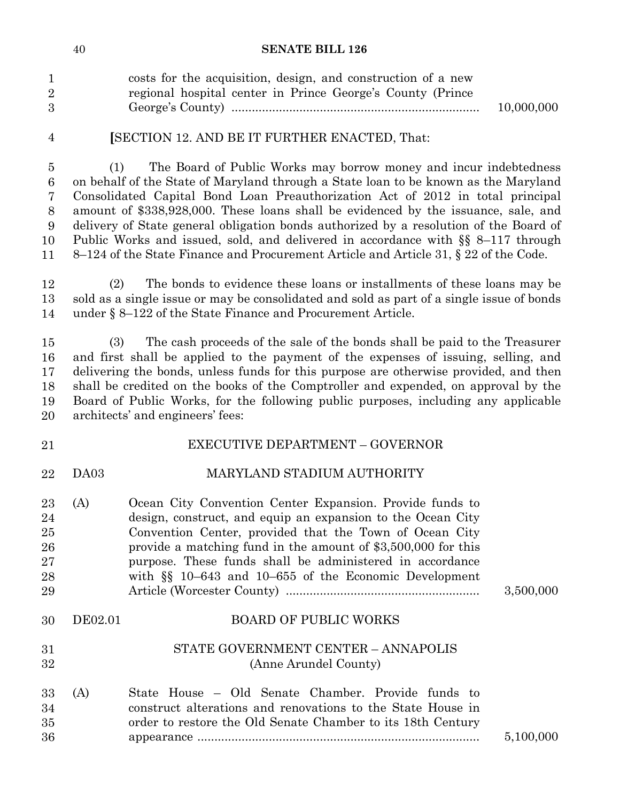|              | costs for the acquisition, design, and construction of a new |            |
|--------------|--------------------------------------------------------------|------------|
|              | regional hospital center in Prince George's County (Prince   |            |
| $\mathbf{3}$ |                                                              | 10,000,000 |

4

36

## **[SECTION 12. AND BE IT FURTHER ENACTED, That:**

4 (1) The Board of Public Works may borrow money and incur indebtedness 5 on behalf of the State of Maryland through a State loan to be known as the Maryland 6 Consolidated Capital Bond Loan Preauthorization Act of 2012 in total principal amount of \$338,928,000. These loans shall be evidenced by the issuance, sale, and delivery of State general obligation bonds authorized by a resolution of the Board of 9 Public Works and issued, sold, and delivered in accordance with §§ 8–117 through 8–124 of the State Finance and Procurement Article and Article 31, § 22 of the Code. 5 6 7 8 9 10 11

12 (2) The bonds to evidence these loans or installments of these loans may be 13 sold as a single issue or may be consolidated and sold as part of a single issue of bonds under  $\S 8-122$  of the State Finance and Procurement Article. 12 14

16 (3) The cash proceeds of the sale of the bonds shall be paid to the Treasurer and first shall be applied to the payment of the expenses of issuing, selling, and delivering the bonds, unless funds for this purpose are otherwise provided, and then shall be credited on the books of the Comptroller and expended, on approval by the Board of Public Works, for the following public purposes, including any applicable architects' and engineers' fees: 15 16 17 18 19 20

#### EXECUTIVE DEPARTMENT – GOVERNOR DA03 MARYLAND STADIUM AUTHORITY 21 22

| 23<br>24<br>25<br>26<br>27 | (A)     | Ocean City Convention Center Expansion. Provide funds to<br>design, construct, and equip an expansion to the Ocean City<br>Convention Center, provided that the Town of Ocean City<br>provide a matching fund in the amount of \$3,500,000 for this<br>purpose. These funds shall be administered in accordance |           |
|----------------------------|---------|-----------------------------------------------------------------------------------------------------------------------------------------------------------------------------------------------------------------------------------------------------------------------------------------------------------------|-----------|
| 28                         |         | with $\S$ 10–643 and 10–655 of the Economic Development                                                                                                                                                                                                                                                         |           |
| 29                         |         |                                                                                                                                                                                                                                                                                                                 | 3,500,000 |
| 30                         | DE02.01 | <b>BOARD OF PUBLIC WORKS</b>                                                                                                                                                                                                                                                                                    |           |
| 31                         |         | STATE GOVERNMENT CENTER - ANNAPOLIS                                                                                                                                                                                                                                                                             |           |
| 32                         |         | (Anne Arundel County)                                                                                                                                                                                                                                                                                           |           |
| 33                         | (A)     | State House – Old Senate Chamber. Provide funds to                                                                                                                                                                                                                                                              |           |
| 34                         |         | construct alterations and renovations to the State House in                                                                                                                                                                                                                                                     |           |
| 35                         |         | order to restore the Old Senate Chamber to its 18th Century                                                                                                                                                                                                                                                     |           |

appearance ................................................................................... 5,100,000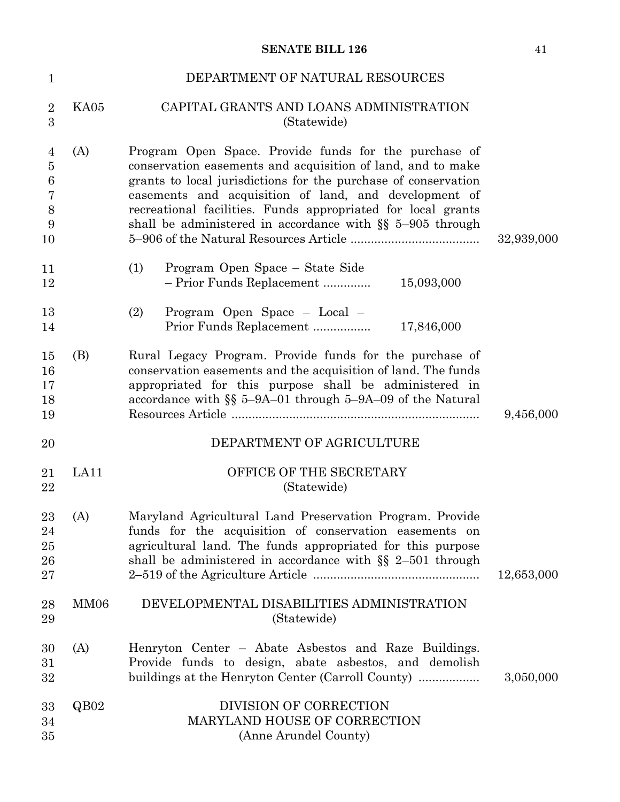| $\mathbf{1}$                                                  |                  | DEPARTMENT OF NATURAL RESOURCES                                                                                                                                                                                                                                                                                                                                                |            |
|---------------------------------------------------------------|------------------|--------------------------------------------------------------------------------------------------------------------------------------------------------------------------------------------------------------------------------------------------------------------------------------------------------------------------------------------------------------------------------|------------|
| $\sqrt{2}$<br>$\overline{3}$                                  | KA05             | CAPITAL GRANTS AND LOANS ADMINISTRATION<br>(Statewide)                                                                                                                                                                                                                                                                                                                         |            |
| $\overline{4}$<br>$\bf 5$<br>$\,6$<br>$\bf 7$<br>8<br>9<br>10 | (A)              | Program Open Space. Provide funds for the purchase of<br>conservation easements and acquisition of land, and to make<br>grants to local jurisdictions for the purchase of conservation<br>easements and acquisition of land, and development of<br>recreational facilities. Funds appropriated for local grants<br>shall be administered in accordance with $\S$ 5-905 through | 32,939,000 |
| 11<br>12                                                      |                  | (1)<br>Program Open Space – State Side<br>- Prior Funds Replacement<br>15,093,000                                                                                                                                                                                                                                                                                              |            |
| 13<br>14                                                      |                  | Program Open Space - Local -<br>(2)<br>Prior Funds Replacement<br>17,846,000                                                                                                                                                                                                                                                                                                   |            |
| 15<br>16<br>17<br>18<br>19                                    | (B)              | Rural Legacy Program. Provide funds for the purchase of<br>conservation easements and the acquisition of land. The funds<br>appropriated for this purpose shall be administered in<br>accordance with $\S$ 5-9A-01 through 5-9A-09 of the Natural                                                                                                                              | 9,456,000  |
| 20                                                            |                  | DEPARTMENT OF AGRICULTURE                                                                                                                                                                                                                                                                                                                                                      |            |
| 21<br>22                                                      | LA11             | OFFICE OF THE SECRETARY<br>(Statewide)                                                                                                                                                                                                                                                                                                                                         |            |
| 23<br>24<br>$25\,$<br>26<br>27                                | (A)              | Maryland Agricultural Land Preservation Program. Provide<br>funds for the acquisition of conservation easements on<br>agricultural land. The funds appropriated for this purpose<br>shall be administered in accordance with $\S$ 2-501 through                                                                                                                                | 12,653,000 |
| 28<br>29                                                      | MM <sub>06</sub> | DEVELOPMENTAL DISABILITIES ADMINISTRATION<br>(Statewide)                                                                                                                                                                                                                                                                                                                       |            |
| 30<br>31<br>32                                                | (A)              | Henryton Center – Abate Asbestos and Raze Buildings.<br>Provide funds to design, abate asbestos, and demolish<br>buildings at the Henryton Center (Carroll County)                                                                                                                                                                                                             | 3,050,000  |
| 33<br>34<br>35                                                | QB02             | DIVISION OF CORRECTION<br>MARYLAND HOUSE OF CORRECTION<br>(Anne Arundel County)                                                                                                                                                                                                                                                                                                |            |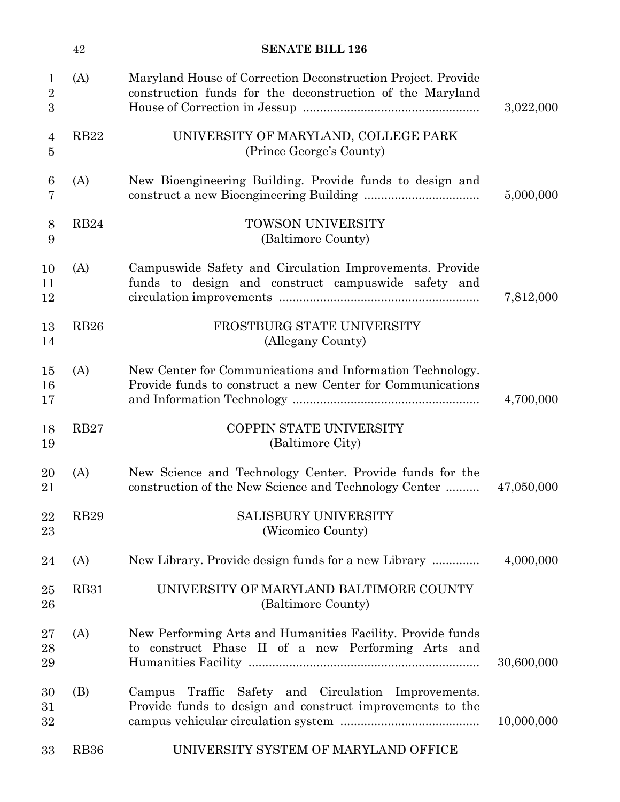|                                     | 42          | <b>SENATE BILL 126</b>                                                                                                    |            |
|-------------------------------------|-------------|---------------------------------------------------------------------------------------------------------------------------|------------|
| $\mathbf{1}$<br>$\overline{2}$<br>3 | (A)         | Maryland House of Correction Deconstruction Project. Provide<br>construction funds for the deconstruction of the Maryland | 3,022,000  |
| 4<br>5                              | RB22        | UNIVERSITY OF MARYLAND, COLLEGE PARK<br>(Prince George's County)                                                          |            |
| 6<br>7                              | (A)         | New Bioengineering Building. Provide funds to design and                                                                  | 5,000,000  |
| 8<br>9                              | <b>RB24</b> | <b>TOWSON UNIVERSITY</b><br>(Baltimore County)                                                                            |            |
| 10<br>11<br>12                      | (A)         | Campuswide Safety and Circulation Improvements. Provide<br>funds to design and construct campus wide safety and           | 7,812,000  |
| 13<br>14                            | <b>RB26</b> | FROSTBURG STATE UNIVERSITY<br>(Allegany County)                                                                           |            |
| 15<br>16<br>17                      | (A)         | New Center for Communications and Information Technology.<br>Provide funds to construct a new Center for Communications   | 4,700,000  |
| 18<br>19                            | <b>RB27</b> | COPPIN STATE UNIVERSITY<br>(Baltimore City)                                                                               |            |
| 20<br>21                            | (A)         | New Science and Technology Center. Provide funds for the<br>construction of the New Science and Technology Center         | 47,050,000 |
| 22<br>23                            | <b>RB29</b> | <b>SALISBURY UNIVERSITY</b><br>(Wicomico County)                                                                          |            |
| 24                                  | (A)         | New Library. Provide design funds for a new Library                                                                       | 4,000,000  |
| 25<br>26                            | <b>RB31</b> | UNIVERSITY OF MARYLAND BALTIMORE COUNTY<br>(Baltimore County)                                                             |            |
| $27\,$<br>28<br>29                  | (A)         | New Performing Arts and Humanities Facility. Provide funds<br>to construct Phase II of a new Performing Arts and          | 30,600,000 |
| 30<br>31<br>32                      | (B)         | Campus Traffic Safety and Circulation Improvements.<br>Provide funds to design and construct improvements to the          | 10,000,000 |
| 33                                  | <b>RB36</b> | UNIVERSITY SYSTEM OF MARYLAND OFFICE                                                                                      |            |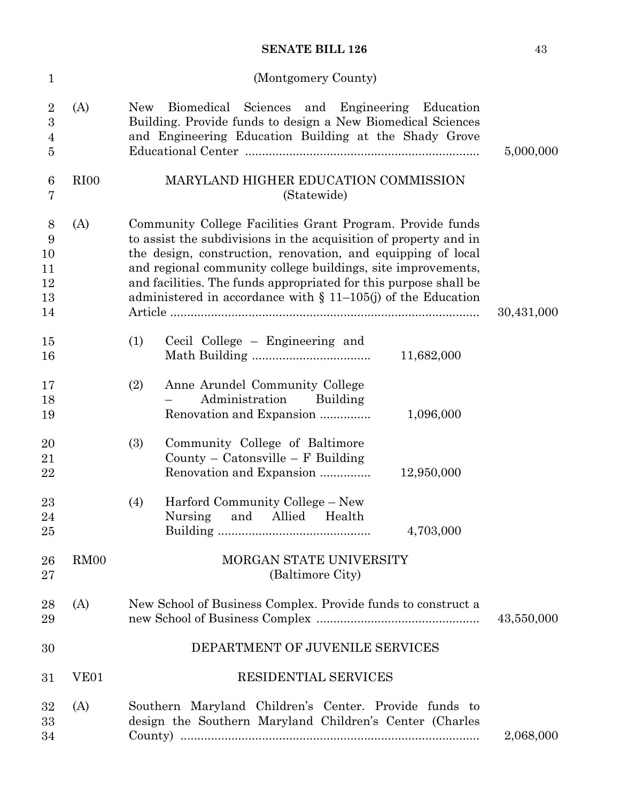(Montgomery County)

| $\mathbf{1}$                                                           |                  | (Montgomery County)                                                                                                                                                                                                                                                                                                                                                                                  |            |
|------------------------------------------------------------------------|------------------|------------------------------------------------------------------------------------------------------------------------------------------------------------------------------------------------------------------------------------------------------------------------------------------------------------------------------------------------------------------------------------------------------|------------|
| $\overline{2}$<br>$\boldsymbol{3}$<br>$\overline{4}$<br>$\overline{5}$ | (A)              | Biomedical<br>Sciences and Engineering<br>Education<br>New<br>Building. Provide funds to design a New Biomedical Sciences<br>and Engineering Education Building at the Shady Grove                                                                                                                                                                                                                   | 5,000,000  |
| $6\phantom{.}6$<br>7                                                   | RI <sub>00</sub> | MARYLAND HIGHER EDUCATION COMMISSION<br>(Statewide)                                                                                                                                                                                                                                                                                                                                                  |            |
| 8<br>9<br>10<br>11<br>12<br>13<br>14                                   | (A)              | Community College Facilities Grant Program. Provide funds<br>to assist the subdivisions in the acquisition of property and in<br>the design, construction, renovation, and equipping of local<br>and regional community college buildings, site improvements,<br>and facilities. The funds appropriated for this purpose shall be<br>administered in accordance with $\S$ 11-105(j) of the Education | 30,431,000 |
| 15<br>16                                                               |                  | (1)<br>Cecil College – Engineering and<br>11,682,000                                                                                                                                                                                                                                                                                                                                                 |            |
| 17<br>18<br>19                                                         |                  | Anne Arundel Community College<br>(2)<br>Administration<br>Building<br>Renovation and Expansion<br>1,096,000                                                                                                                                                                                                                                                                                         |            |
| 20<br>21<br>22                                                         |                  | (3)<br>Community College of Baltimore<br>County – Catonsville – $F$ Building<br>Renovation and Expansion<br>12,950,000                                                                                                                                                                                                                                                                               |            |
| 23<br>24<br>25                                                         |                  | Harford Community College – New<br>(4)<br>and<br>Nursing<br>Allied<br>Health<br>4,703,000                                                                                                                                                                                                                                                                                                            |            |
| 26<br>27                                                               | RM <sub>00</sub> | MORGAN STATE UNIVERSITY<br>(Baltimore City)                                                                                                                                                                                                                                                                                                                                                          |            |
| 28<br>29                                                               | (A)              | New School of Business Complex. Provide funds to construct a                                                                                                                                                                                                                                                                                                                                         | 43,550,000 |
| 30                                                                     |                  | DEPARTMENT OF JUVENILE SERVICES                                                                                                                                                                                                                                                                                                                                                                      |            |
| 31                                                                     | VE <sub>01</sub> | RESIDENTIAL SERVICES                                                                                                                                                                                                                                                                                                                                                                                 |            |
| 32<br>33<br>34                                                         | (A)              | Southern Maryland Children's Center. Provide funds to<br>design the Southern Maryland Children's Center (Charles                                                                                                                                                                                                                                                                                     | 2,068,000  |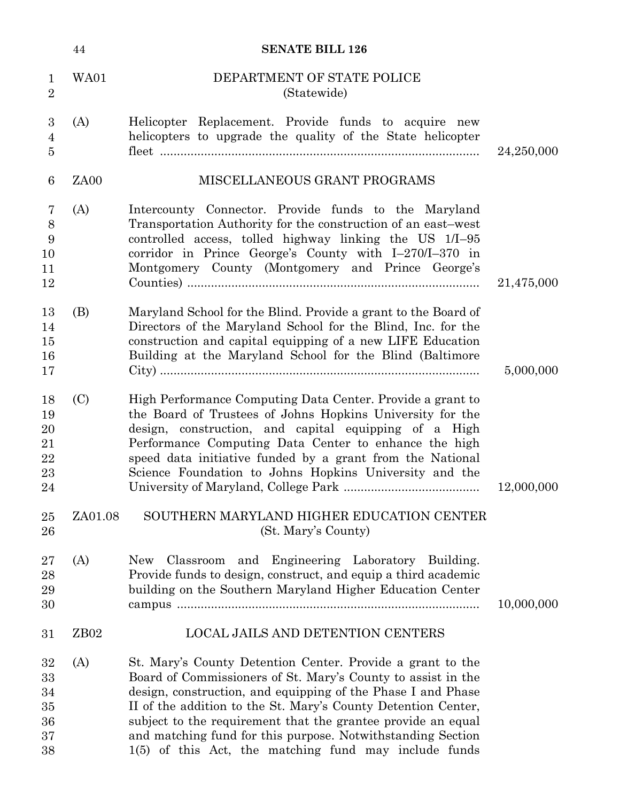|                                        | 44               | <b>SENATE BILL 126</b>                                                                                                                                                                                                                                                                                                                                                                                                                              |            |
|----------------------------------------|------------------|-----------------------------------------------------------------------------------------------------------------------------------------------------------------------------------------------------------------------------------------------------------------------------------------------------------------------------------------------------------------------------------------------------------------------------------------------------|------------|
| $\mathbf{1}$<br>$\overline{2}$         | <b>WA01</b>      | DEPARTMENT OF STATE POLICE<br>(Statewide)                                                                                                                                                                                                                                                                                                                                                                                                           |            |
| 3<br>$\overline{4}$<br>$\overline{5}$  | (A)              | Helicopter Replacement. Provide funds to acquire new<br>helicopters to upgrade the quality of the State helicopter                                                                                                                                                                                                                                                                                                                                  | 24,250,000 |
| $6\phantom{1}6$                        | ZA <sub>00</sub> | MISCELLANEOUS GRANT PROGRAMS                                                                                                                                                                                                                                                                                                                                                                                                                        |            |
| 7<br>$8\,$<br>9<br>10<br>11<br>12      | (A)              | Intercounty Connector. Provide funds to the Maryland<br>Transportation Authority for the construction of an east-west<br>controlled access, tolled highway linking the US 1/I-95<br>corridor in Prince George's County with I-270/I-370 in<br>Montgomery County (Montgomery and Prince George's                                                                                                                                                     | 21,475,000 |
| 13<br>14<br>15<br>16<br>17             | (B)              | Maryland School for the Blind. Provide a grant to the Board of<br>Directors of the Maryland School for the Blind, Inc. for the<br>construction and capital equipping of a new LIFE Education<br>Building at the Maryland School for the Blind (Baltimore                                                                                                                                                                                            | 5,000,000  |
| 18<br>19<br>20<br>21<br>22<br>23<br>24 | (C)              | High Performance Computing Data Center. Provide a grant to<br>the Board of Trustees of Johns Hopkins University for the<br>design, construction, and capital equipping of a High<br>Performance Computing Data Center to enhance the high<br>speed data initiative funded by a grant from the National<br>Science Foundation to Johns Hopkins University and the                                                                                    | 12,000,000 |
| 25<br>26                               | ZA01.08          | SOUTHERN MARYLAND HIGHER EDUCATION CENTER<br>(St. Mary's County)                                                                                                                                                                                                                                                                                                                                                                                    |            |
| 27<br>28<br>29<br>30                   | (A)              | Engineering Laboratory<br>Classroom and<br><b>New</b><br>Building.<br>Provide funds to design, construct, and equip a third academic<br>building on the Southern Maryland Higher Education Center                                                                                                                                                                                                                                                   | 10,000,000 |
| 31                                     | ZB <sub>02</sub> | <b>LOCAL JAILS AND DETENTION CENTERS</b>                                                                                                                                                                                                                                                                                                                                                                                                            |            |
| 32<br>33<br>34<br>35<br>36<br>37<br>38 | (A)              | St. Mary's County Detention Center. Provide a grant to the<br>Board of Commissioners of St. Mary's County to assist in the<br>design, construction, and equipping of the Phase I and Phase<br>II of the addition to the St. Mary's County Detention Center,<br>subject to the requirement that the grantee provide an equal<br>and matching fund for this purpose. Notwithstanding Section<br>1(5) of this Act, the matching fund may include funds |            |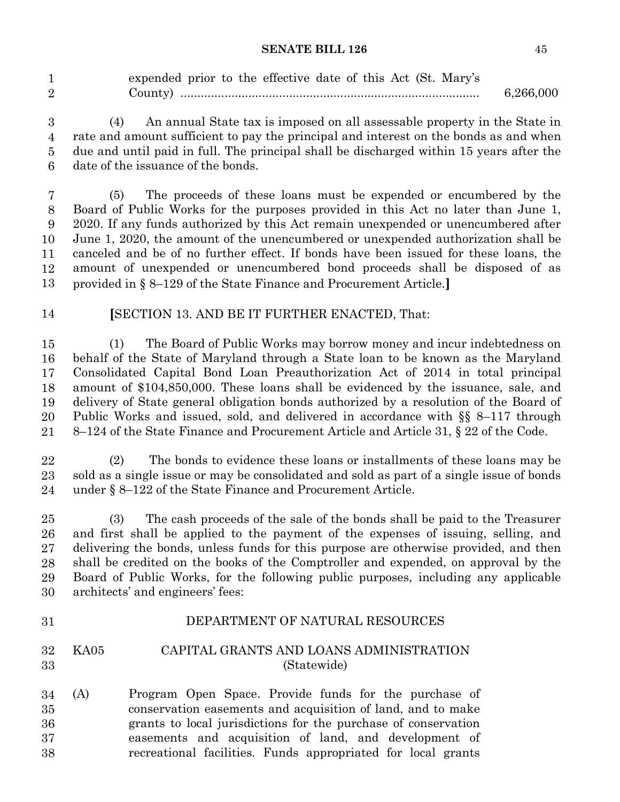|                | expended prior to the effective date of this Act (St. Mary's |           |
|----------------|--------------------------------------------------------------|-----------|
| $\overline{2}$ |                                                              | 6,266,000 |

 (4) An annual State tax is imposed on all assessable property in the State in rate and amount sufficient to pay the principal and interest on the bonds as and when due and until paid in full. The principal shall be discharged within 15 years after the date of the issuance of the bonds. 

 (5) The proceeds of these loans must be expended or encumbered by the Board of Public Works for the purposes provided in this Act no later than June 1, 2020. If any funds authorized by this Act remain unexpended or unencumbered after June 1, 2020, the amount of the unencumbered or unexpended authorization shall be canceled and be of no further effect. If bonds have been issued for these loans, the amount of unexpended or unencumbered bond proceeds shall be disposed of as provided in § 8–129 of the State Finance and Procurement Article.**]**  $\overline{7}$  

**[SECTION 13. AND BE IT FURTHER ENACTED, That:** 

 (1) The Board of Public Works may borrow money and incur indebtedness on behalf of the State of Maryland through a State loan to be known as the Maryland Consolidated Capital Bond Loan Preauthorization Act of 2014 in total principal amount of \$104,850,000. These loans shall be evidenced by the issuance, sale, and delivery of State general obligation bonds authorized by a resolution of the Board of Public Works and issued, sold, and delivered in accordance with §§ 8–117 through 8–124 of the State Finance and Procurement Article and Article 31, § 22 of the Code. 

 (2) The bonds to evidence these loans or installments of these loans may be sold as a single issue or may be consolidated and sold as part of a single issue of bonds under  $\S 8-122$  of the State Finance and Procurement Article. 

 (3) The cash proceeds of the sale of the bonds shall be paid to the Treasurer and first shall be applied to the payment of the expenses of issuing, selling, and delivering the bonds, unless funds for this purpose are otherwise provided, and then shall be credited on the books of the Comptroller and expended, on approval by the Board of Public Works, for the following public purposes, including any applicable architects' and engineers' fees: 

### DEPARTMENT OF NATURAL RESOURCES

#### KA05 CAPITAL GRANTS AND LOANS ADMINISTRATION (Statewide)

(A) Program Open Space. Provide funds for the purchase of conservation easements and acquisition of land, and to make grants to local jurisdictions for the purchase of conservation easements and acquisition of land, and development of recreational facilities. Funds appropriated for local grants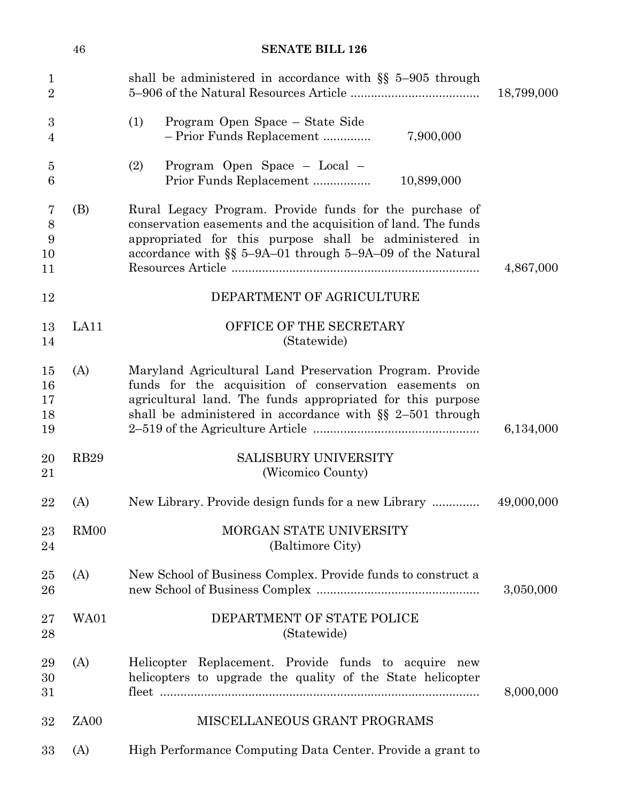|                                | 46               | <b>SENATE BILL 126</b>                                                                                                                                                                                                                            |            |
|--------------------------------|------------------|---------------------------------------------------------------------------------------------------------------------------------------------------------------------------------------------------------------------------------------------------|------------|
| $\mathbf{1}$<br>$\overline{2}$ |                  | shall be administered in accordance with $\S$ 5-905 through                                                                                                                                                                                       | 18,799,000 |
| 3<br>4                         |                  | Program Open Space – State Side<br>(1)<br>- Prior Funds Replacement<br>7,900,000                                                                                                                                                                  |            |
| $\overline{5}$<br>6            |                  | Program Open Space - Local -<br>(2)<br>Prior Funds Replacement<br>10,899,000                                                                                                                                                                      |            |
| 7<br>$8\,$<br>9<br>10<br>11    | (B)              | Rural Legacy Program. Provide funds for the purchase of<br>conservation easements and the acquisition of land. The funds<br>appropriated for this purpose shall be administered in<br>accordance with $\S$ 5-9A-01 through 5-9A-09 of the Natural | 4,867,000  |
| 12                             |                  | DEPARTMENT OF AGRICULTURE                                                                                                                                                                                                                         |            |
| 13<br>14                       | LA11             | OFFICE OF THE SECRETARY<br>(Statewide)                                                                                                                                                                                                            |            |
| 15<br>16<br>17<br>18<br>19     | (A)              | Maryland Agricultural Land Preservation Program. Provide<br>funds for the acquisition of conservation easements on<br>agricultural land. The funds appropriated for this purpose<br>shall be administered in accordance with $\S$ 2-501 through   | 6,134,000  |
| 20<br>21                       | <b>RB29</b>      | SALISBURY UNIVERSITY<br>(Wicomico County)                                                                                                                                                                                                         |            |
| 22                             | (A)              | New Library. Provide design funds for a new Library                                                                                                                                                                                               | 49,000,000 |
| 23<br>24                       | RM00             | MORGAN STATE UNIVERSITY<br>(Baltimore City)                                                                                                                                                                                                       |            |
| 25<br>26                       | (A)              | New School of Business Complex. Provide funds to construct a                                                                                                                                                                                      | 3,050,000  |
| 27<br>28                       | WA01             | DEPARTMENT OF STATE POLICE<br>(Statewide)                                                                                                                                                                                                         |            |
| 29<br>30<br>31                 | (A)              | Helicopter Replacement. Provide funds to acquire new<br>helicopters to upgrade the quality of the State helicopter                                                                                                                                | 8,000,000  |
| 32                             | ZA <sub>00</sub> | MISCELLANEOUS GRANT PROGRAMS                                                                                                                                                                                                                      |            |
| 33                             | (A)              | High Performance Computing Data Center. Provide a grant to                                                                                                                                                                                        |            |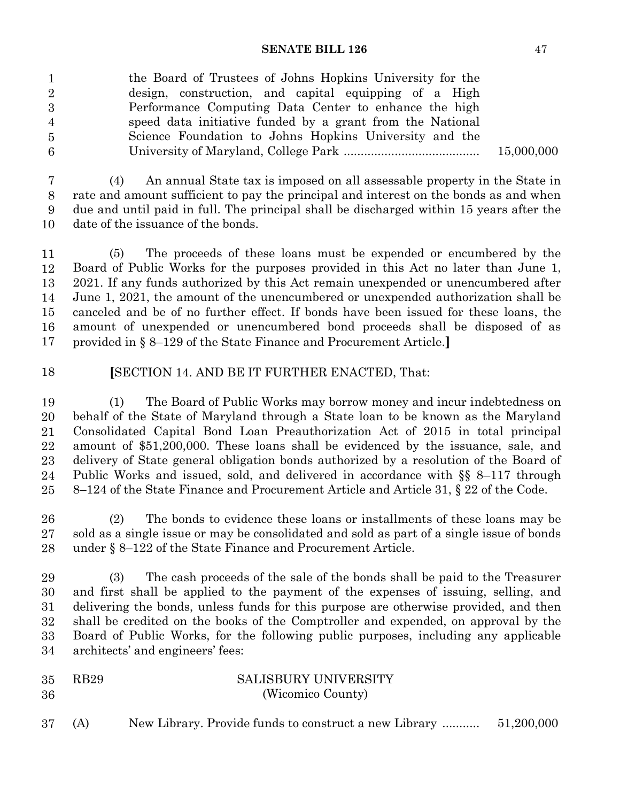| $1\overline{ }$ | the Board of Trustees of Johns Hopkins University for the |            |
|-----------------|-----------------------------------------------------------|------------|
| $\overline{2}$  | design, construction, and capital equipping of a High     |            |
| $3\,$           | Performance Computing Data Center to enhance the high     |            |
| 4               | speed data initiative funded by a grant from the National |            |
| 5               | Science Foundation to Johns Hopkins University and the    |            |
| 6               |                                                           | 15,000,000 |
|                 |                                                           |            |

 (4) An annual State tax is imposed on all assessable property in the State in rate and amount sufficient to pay the principal and interest on the bonds as and when due and until paid in full. The principal shall be discharged within 15 years after the date of the issuance of the bonds. 

 (5) The proceeds of these loans must be expended or encumbered by the Board of Public Works for the purposes provided in this Act no later than June 1, 2021. If any funds authorized by this Act remain unexpended or unencumbered after June 1, 2021, the amount of the unencumbered or unexpended authorization shall be canceled and be of no further effect. If bonds have been issued for these loans, the amount of unexpended or unencumbered bond proceeds shall be disposed of as provided in § 8–129 of the State Finance and Procurement Article.**]** 

 **[**SECTION 14. AND BE IT FURTHER ENACTED, That: 

 (1) The Board of Public Works may borrow money and incur indebtedness on behalf of the State of Maryland through a State loan to be known as the Maryland Consolidated Capital Bond Loan Preauthorization Act of 2015 in total principal amount of \$51,200,000. These loans shall be evidenced by the issuance, sale, and delivery of State general obligation bonds authorized by a resolution of the Board of Public Works and issued, sold, and delivered in accordance with §§ 8–117 through 8–124 of the State Finance and Procurement Article and Article 31, § 22 of the Code. 

 (2) The bonds to evidence these loans or installments of these loans may be sold as a single issue or may be consolidated and sold as part of a single issue of bonds under  $\S 8-122$  of the State Finance and Procurement Article. 

 (3) The cash proceeds of the sale of the bonds shall be paid to the Treasurer and first shall be applied to the payment of the expenses of issuing, selling, and delivering the bonds, unless funds for this purpose are otherwise provided, and then shall be credited on the books of the Comptroller and expended, on approval by the Board of Public Works, for the following public purposes, including any applicable architects' and engineers' fees: 

| 35 | RB29 | <b>SALISBURY UNIVERSITY</b> |
|----|------|-----------------------------|
| 36 |      | (Wicomico County)           |

(A) New Library. Provide funds to construct a new Library ........... 51,200,000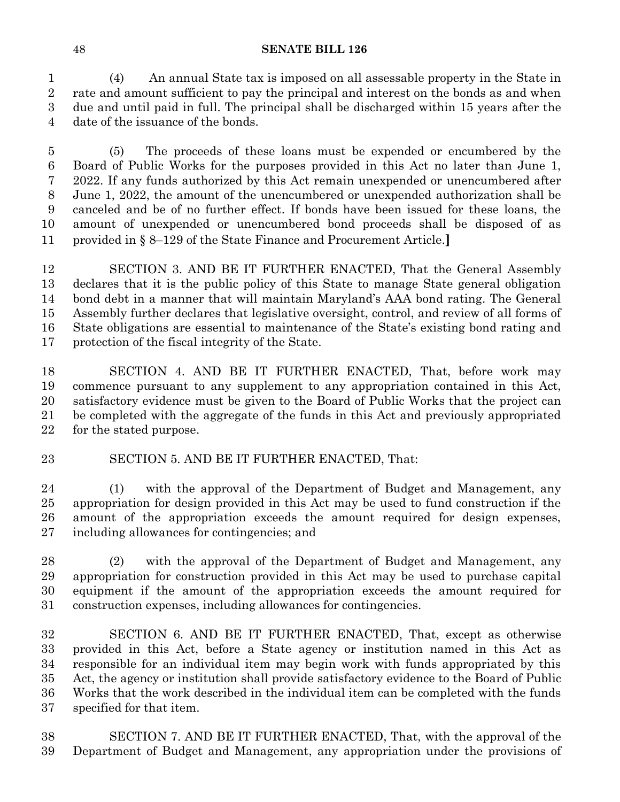(4) An annual State tax is imposed on all assessable property in the State in rate and amount sufficient to pay the principal and interest on the bonds as and when due and until paid in full. The principal shall be discharged within 15 years after the date of the issuance of the bonds.

 (5) The proceeds of these loans must be expended or encumbered by the Board of Public Works for the purposes provided in this Act no later than June 1, 2022. If any funds authorized by this Act remain unexpended or unencumbered after June 1, 2022, the amount of the unencumbered or unexpended authorization shall be canceled and be of no further effect. If bonds have been issued for these loans, the amount of unexpended or unencumbered bond proceeds shall be disposed of as provided in § 8–129 of the State Finance and Procurement Article.**]**

 SECTION 3. AND BE IT FURTHER ENACTED, That the General Assembly declares that it is the public policy of this State to manage State general obligation bond debt in a manner that will maintain Maryland's AAA bond rating. The General Assembly further declares that legislative oversight, control, and review of all forms of State obligations are essential to maintenance of the State's existing bond rating and protection of the fiscal integrity of the State.

 SECTION 4. AND BE IT FURTHER ENACTED, That, before work may commence pursuant to any supplement to any appropriation contained in this Act, satisfactory evidence must be given to the Board of Public Works that the project can be completed with the aggregate of the funds in this Act and previously appropriated for the stated purpose.

## SECTION 5. AND BE IT FURTHER ENACTED, That:

 (1) with the approval of the Department of Budget and Management, any appropriation for design provided in this Act may be used to fund construction if the amount of the appropriation exceeds the amount required for design expenses, including allowances for contingencies; and

 (2) with the approval of the Department of Budget and Management, any appropriation for construction provided in this Act may be used to purchase capital equipment if the amount of the appropriation exceeds the amount required for construction expenses, including allowances for contingencies.

 SECTION 6. AND BE IT FURTHER ENACTED, That, except as otherwise provided in this Act, before a State agency or institution named in this Act as responsible for an individual item may begin work with funds appropriated by this Act, the agency or institution shall provide satisfactory evidence to the Board of Public Works that the work described in the individual item can be completed with the funds specified for that item.

 SECTION 7. AND BE IT FURTHER ENACTED, That, with the approval of the Department of Budget and Management, any appropriation under the provisions of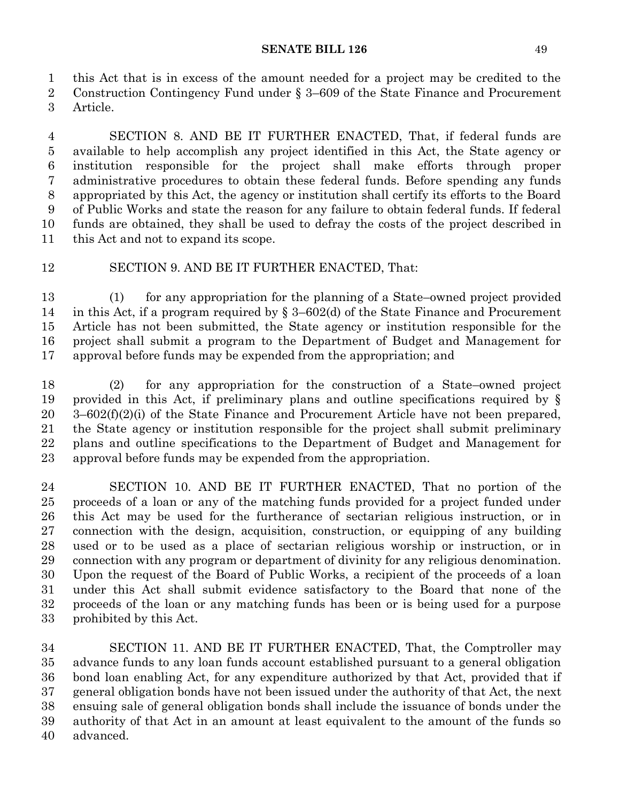this Act that is in excess of the amount needed for a project may be credited to the Construction Contingency Fund under § 3–609 of the State Finance and Procurement Article.

 SECTION 8. AND BE IT FURTHER ENACTED, That, if federal funds are available to help accomplish any project identified in this Act, the State agency or institution responsible for the project shall make efforts through proper administrative procedures to obtain these federal funds. Before spending any funds appropriated by this Act, the agency or institution shall certify its efforts to the Board of Public Works and state the reason for any failure to obtain federal funds. If federal funds are obtained, they shall be used to defray the costs of the project described in this Act and not to expand its scope.

## SECTION 9. AND BE IT FURTHER ENACTED, That:

 (1) for any appropriation for the planning of a State–owned project provided in this Act, if a program required by § 3–602(d) of the State Finance and Procurement Article has not been submitted, the State agency or institution responsible for the project shall submit a program to the Department of Budget and Management for approval before funds may be expended from the appropriation; and

 (2) for any appropriation for the construction of a State–owned project provided in this Act, if preliminary plans and outline specifications required by § 3–602(f)(2)(i) of the State Finance and Procurement Article have not been prepared, the State agency or institution responsible for the project shall submit preliminary plans and outline specifications to the Department of Budget and Management for approval before funds may be expended from the appropriation.

 SECTION 10. AND BE IT FURTHER ENACTED, That no portion of the proceeds of a loan or any of the matching funds provided for a project funded under this Act may be used for the furtherance of sectarian religious instruction, or in connection with the design, acquisition, construction, or equipping of any building used or to be used as a place of sectarian religious worship or instruction, or in connection with any program or department of divinity for any religious denomination. Upon the request of the Board of Public Works, a recipient of the proceeds of a loan under this Act shall submit evidence satisfactory to the Board that none of the proceeds of the loan or any matching funds has been or is being used for a purpose prohibited by this Act.

 SECTION 11. AND BE IT FURTHER ENACTED, That, the Comptroller may advance funds to any loan funds account established pursuant to a general obligation bond loan enabling Act, for any expenditure authorized by that Act, provided that if general obligation bonds have not been issued under the authority of that Act, the next ensuing sale of general obligation bonds shall include the issuance of bonds under the authority of that Act in an amount at least equivalent to the amount of the funds so advanced.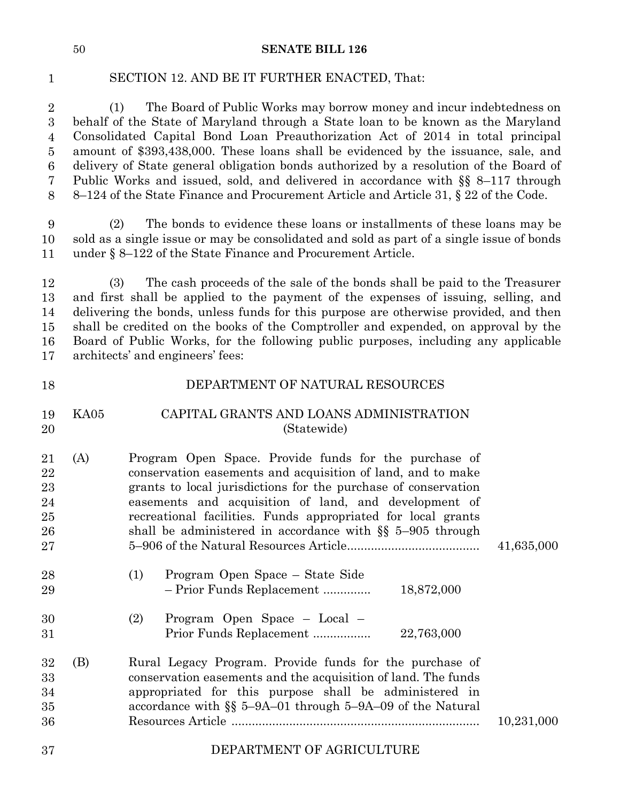1

### SECTION 12. AND BE IT FURTHER ENACTED, That:

2 (1) The Board of Public Works may borrow money and incur indebtedness on behalf of the State of Maryland through a State loan to be known as the Maryland 4 Consolidated Capital Bond Loan Preauthorization Act of 2014 in total principal 5 amount of \$393,438,000. These loans shall be evidenced by the issuance, sale, and 6 delivery of State general obligation bonds authorized by a resolution of the Board of 7 Public Works and issued, sold, and delivered in accordance with §§ 8–117 through 8–124 of the State Finance and Procurement Article and Article 31, § 22 of the Code. 2 3  $\overline{4}$ 5  $\,6$ 7  $8\,$ 

9 (2) The bonds to evidence these loans or installments of these loans may be sold as a single issue or may be consolidated and sold as part of a single issue of bonds under  $\S 8-122$  of the State Finance and Procurement Article. 9 10 11

12 (3) The cash proceeds of the sale of the bonds shall be paid to the Treasurer and first shall be applied to the payment of the expenses of issuing, selling, and delivering the bonds, unless funds for this purpose are otherwise provided, and then shall be credited on the books of the Comptroller and expended, on approval by the 16 Board of Public Works, for the following public purposes, including any applicable architects' and engineers' fees: 12 13 14 15 17

| 18                                     |      | DEPARTMENT OF NATURAL RESOURCES                                                                                                                                                                                                                                                                                                                                                |            |
|----------------------------------------|------|--------------------------------------------------------------------------------------------------------------------------------------------------------------------------------------------------------------------------------------------------------------------------------------------------------------------------------------------------------------------------------|------------|
| 19<br>20                               | KA05 | CAPITAL GRANTS AND LOANS ADMINISTRATION<br>(Statewide)                                                                                                                                                                                                                                                                                                                         |            |
| 21<br>22<br>23<br>24<br>25<br>26<br>27 | (A)  | Program Open Space. Provide funds for the purchase of<br>conservation easements and acquisition of land, and to make<br>grants to local jurisdictions for the purchase of conservation<br>easements and acquisition of land, and development of<br>recreational facilities. Funds appropriated for local grants<br>shall be administered in accordance with $\S$ 5-905 through | 41,635,000 |
| 28<br>29                               |      | Program Open Space – State Side<br>(1)<br>- Prior Funds Replacement<br>18,872,000                                                                                                                                                                                                                                                                                              |            |
| 30<br>31                               |      | Program Open Space - Local -<br>(2)<br>Prior Funds Replacement<br>22,763,000                                                                                                                                                                                                                                                                                                   |            |
| 32<br>33<br>34<br>35<br>36             | (B)  | Rural Legacy Program. Provide funds for the purchase of<br>conservation easements and the acquisition of land. The funds<br>appropriated for this purpose shall be administered in<br>accordance with $\S$ 5-9A-01 through 5-9A-09 of the Natural                                                                                                                              | 10,231,000 |
| 37                                     |      | DEPARTMENT OF AGRICULTURE                                                                                                                                                                                                                                                                                                                                                      |            |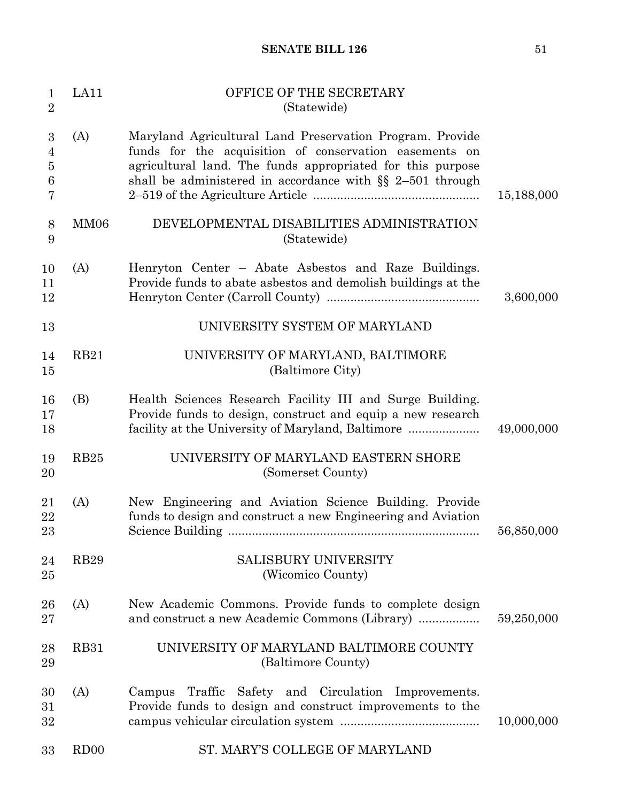| $\mathbf{1}$<br>$\overline{2}$                  | LA11             | OFFICE OF THE SECRETARY<br>(Statewide)                                                                                                                                                                                                          |            |
|-------------------------------------------------|------------------|-------------------------------------------------------------------------------------------------------------------------------------------------------------------------------------------------------------------------------------------------|------------|
| 3<br>$\overline{4}$<br>$\overline{5}$<br>6<br>7 | (A)              | Maryland Agricultural Land Preservation Program. Provide<br>funds for the acquisition of conservation easements on<br>agricultural land. The funds appropriated for this purpose<br>shall be administered in accordance with $\S$ 2-501 through | 15,188,000 |
| 8<br>9                                          | MM06             | DEVELOPMENTAL DISABILITIES ADMINISTRATION<br>(Statewide)                                                                                                                                                                                        |            |
| 10<br>11<br>12                                  | (A)              | Henryton Center – Abate Asbestos and Raze Buildings.<br>Provide funds to abate asbestos and demolish buildings at the                                                                                                                           | 3,600,000  |
| 13                                              |                  | UNIVERSITY SYSTEM OF MARYLAND                                                                                                                                                                                                                   |            |
| 14<br>15                                        | <b>RB21</b>      | UNIVERSITY OF MARYLAND, BALTIMORE<br>(Baltimore City)                                                                                                                                                                                           |            |
| 16<br>17<br>18                                  | (B)              | Health Sciences Research Facility III and Surge Building.<br>Provide funds to design, construct and equip a new research<br>facility at the University of Maryland, Baltimore                                                                   | 49,000,000 |
| 19<br>20                                        | RB <sub>25</sub> | UNIVERSITY OF MARYLAND EASTERN SHORE<br>(Somerset County)                                                                                                                                                                                       |            |
| 21<br>22<br>23                                  | (A)              | New Engineering and Aviation Science Building. Provide<br>funds to design and construct a new Engineering and Aviation                                                                                                                          | 56,850,000 |
| 24<br>$25\,$                                    | <b>RB29</b>      | <b>SALISBURY UNIVERSITY</b><br>(Wicomico County)                                                                                                                                                                                                |            |
| 26<br>$27\,$                                    | (A)              | New Academic Commons. Provide funds to complete design                                                                                                                                                                                          | 59,250,000 |
| 28<br>29                                        | <b>RB31</b>      | UNIVERSITY OF MARYLAND BALTIMORE COUNTY<br>(Baltimore County)                                                                                                                                                                                   |            |
| 30<br>31<br>32                                  | (A)              | Campus Traffic Safety and Circulation Improvements.<br>Provide funds to design and construct improvements to the                                                                                                                                | 10,000,000 |
| 33                                              | RD <sub>00</sub> | ST. MARY'S COLLEGE OF MARYLAND                                                                                                                                                                                                                  |            |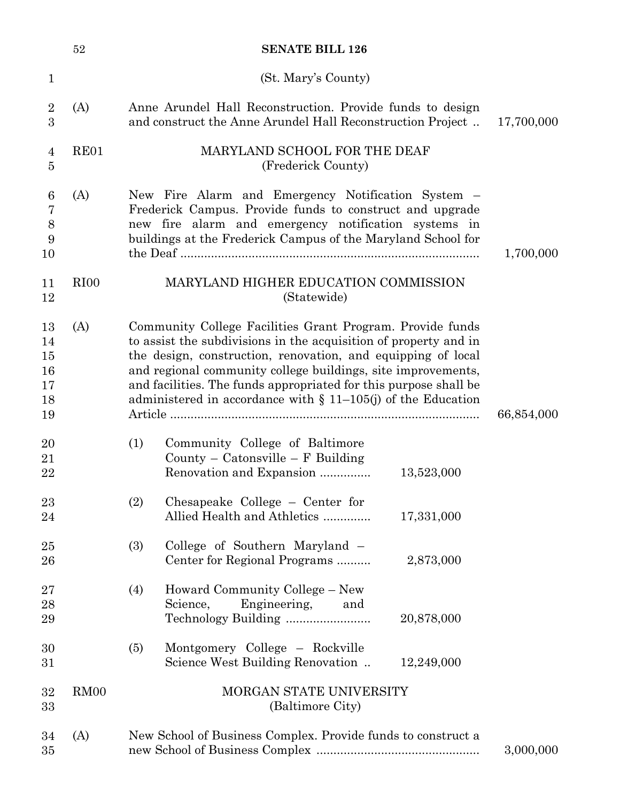|                                  | 52               |     | <b>SENATE BILL 126</b>                                                                                                                                                                                                                                                                                                                                                                               |            |            |
|----------------------------------|------------------|-----|------------------------------------------------------------------------------------------------------------------------------------------------------------------------------------------------------------------------------------------------------------------------------------------------------------------------------------------------------------------------------------------------------|------------|------------|
| $\mathbf{1}$                     |                  |     | (St. Mary's County)                                                                                                                                                                                                                                                                                                                                                                                  |            |            |
| $\overline{2}$<br>3              | (A)              |     | Anne Arundel Hall Reconstruction. Provide funds to design<br>and construct the Anne Arundel Hall Reconstruction Project                                                                                                                                                                                                                                                                              |            | 17,700,000 |
| 4<br>5                           | RE01             |     | MARYLAND SCHOOL FOR THE DEAF<br>(Frederick County)                                                                                                                                                                                                                                                                                                                                                   |            |            |
| 6<br>7<br>8<br>9<br>10           | (A)              |     | New Fire Alarm and Emergency Notification System –<br>Frederick Campus. Provide funds to construct and upgrade<br>new fire alarm and emergency notification systems in<br>buildings at the Frederick Campus of the Maryland School for                                                                                                                                                               |            | 1,700,000  |
| 11<br>12                         | RI <sub>00</sub> |     | MARYLAND HIGHER EDUCATION COMMISSION<br>(Statewide)                                                                                                                                                                                                                                                                                                                                                  |            |            |
| 13<br>14<br>15<br>16<br>17<br>18 | (A)              |     | Community College Facilities Grant Program. Provide funds<br>to assist the subdivisions in the acquisition of property and in<br>the design, construction, renovation, and equipping of local<br>and regional community college buildings, site improvements,<br>and facilities. The funds appropriated for this purpose shall be<br>administered in accordance with $\S$ 11-105(j) of the Education |            |            |
| 19                               |                  |     |                                                                                                                                                                                                                                                                                                                                                                                                      |            | 66,854,000 |
| 20<br>21<br>22                   |                  | (1) | Community College of Baltimore<br>County – Catonsville – $F$ Building<br>Renovation and Expansion                                                                                                                                                                                                                                                                                                    | 13,523,000 |            |
| 23<br>24                         |                  | (2) | Chesapeake College $-$ Center for<br>Allied Health and Athletics                                                                                                                                                                                                                                                                                                                                     | 17,331,000 |            |
| 25<br>26                         |                  | (3) | College of Southern Maryland –<br>Center for Regional Programs                                                                                                                                                                                                                                                                                                                                       | 2,873,000  |            |
| 27<br>28<br>29                   |                  | (4) | Howard Community College - New<br>Engineering,<br>Science,<br>and                                                                                                                                                                                                                                                                                                                                    | 20,878,000 |            |
| 30<br>$31\,$                     |                  | (5) | Montgomery College – Rockville<br>Science West Building Renovation                                                                                                                                                                                                                                                                                                                                   | 12,249,000 |            |
| 32<br>33                         | RM00             |     | MORGAN STATE UNIVERSITY<br>(Baltimore City)                                                                                                                                                                                                                                                                                                                                                          |            |            |
| 34<br>35                         | (A)              |     | New School of Business Complex. Provide funds to construct a                                                                                                                                                                                                                                                                                                                                         |            | 3,000,000  |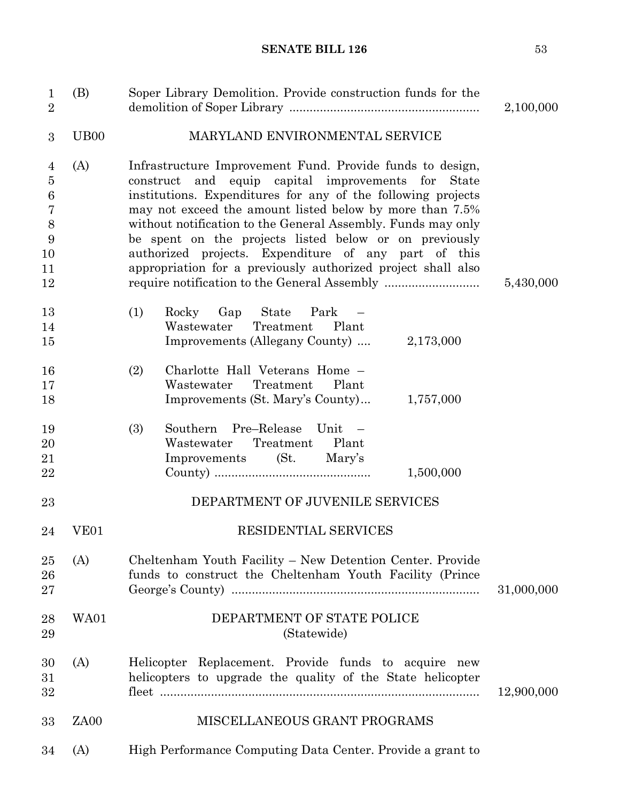| $\mathbf{1}$<br>$\overline{2}$                                  | (B)               | Soper Library Demolition. Provide construction funds for the                                                                                                                                                                                                                                                                                                                                                                                                                                  | 2,100,000  |
|-----------------------------------------------------------------|-------------------|-----------------------------------------------------------------------------------------------------------------------------------------------------------------------------------------------------------------------------------------------------------------------------------------------------------------------------------------------------------------------------------------------------------------------------------------------------------------------------------------------|------------|
| 3                                                               | U <sub>B</sub> 00 | MARYLAND ENVIRONMENTAL SERVICE                                                                                                                                                                                                                                                                                                                                                                                                                                                                |            |
| 4<br>$\bf 5$<br>6<br>$\overline{7}$<br>8<br>9<br>10<br>11<br>12 | (A)               | Infrastructure Improvement Fund. Provide funds to design,<br>construct and equip capital improvements for State<br>institutions. Expenditures for any of the following projects<br>may not exceed the amount listed below by more than 7.5%<br>without notification to the General Assembly. Funds may only<br>be spent on the projects listed below or on previously<br>authorized projects. Expenditure of any part of this<br>appropriation for a previously authorized project shall also | 5,430,000  |
| 13<br>14<br>15                                                  |                   | (1)<br>Rocky Gap State<br>Park<br>Treatment<br>Wastewater<br>Plant<br>Improvements (Allegany County)  2,173,000                                                                                                                                                                                                                                                                                                                                                                               |            |
| 16<br>17<br>18                                                  |                   | Charlotte Hall Veterans Home -<br>(2)<br>Treatment<br>Wastewater<br>Plant<br>Improvements (St. Mary's County)<br>1,757,000                                                                                                                                                                                                                                                                                                                                                                    |            |
| 19<br>20<br>21<br>22                                            |                   | Southern Pre-Release<br>(3)<br>Unit –<br>Treatment<br>Plant<br>Wastewater<br>Improvements (St.<br>Mary's<br>1,500,000                                                                                                                                                                                                                                                                                                                                                                         |            |
| 23                                                              |                   | DEPARTMENT OF JUVENILE SERVICES                                                                                                                                                                                                                                                                                                                                                                                                                                                               |            |
| 24                                                              | VE <sub>01</sub>  | <b>RESIDENTIAL SERVICES</b>                                                                                                                                                                                                                                                                                                                                                                                                                                                                   |            |
| 25<br>26<br>27                                                  | (A)               | Cheltenham Youth Facility – New Detention Center. Provide<br>funds to construct the Cheltenham Youth Facility (Prince                                                                                                                                                                                                                                                                                                                                                                         | 31,000,000 |
| 28<br>29                                                        | WA01              | DEPARTMENT OF STATE POLICE<br>(Statewide)                                                                                                                                                                                                                                                                                                                                                                                                                                                     |            |
| 30<br>31<br>32                                                  | (A)               | Helicopter Replacement. Provide funds to acquire<br>new<br>helicopters to upgrade the quality of the State helicopter                                                                                                                                                                                                                                                                                                                                                                         | 12,900,000 |
| 33                                                              | ZA <sub>00</sub>  | MISCELLANEOUS GRANT PROGRAMS                                                                                                                                                                                                                                                                                                                                                                                                                                                                  |            |
| 34                                                              | (A)               | High Performance Computing Data Center. Provide a grant to                                                                                                                                                                                                                                                                                                                                                                                                                                    |            |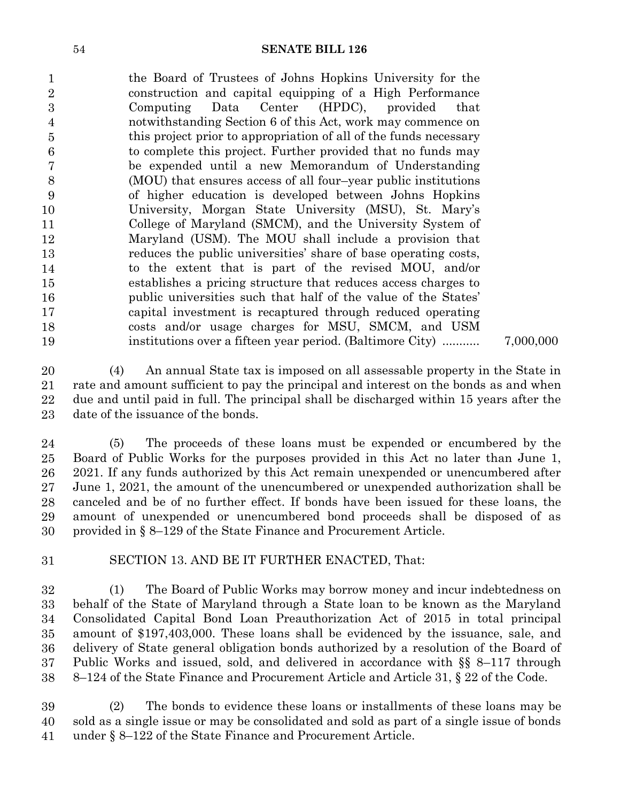the Board of Trustees of Johns Hopkins University for the construction and capital equipping of a High Performance Computing Data Center (HPDC), provided that notwithstanding Section 6 of this Act, work may commence on this project prior to appropriation of all of the funds necessary to complete this project. Further provided that no funds may be expended until a new Memorandum of Understanding (MOU) that ensures access of all four–year public institutions of higher education is developed between Johns Hopkins University, Morgan State University (MSU), St. Mary's College of Maryland (SMCM), and the University System of Maryland (USM). The MOU shall include a provision that reduces the public universities' share of base operating costs, to the extent that is part of the revised MOU, and/or establishes a pricing structure that reduces access charges to public universities such that half of the value of the States' capital investment is recaptured through reduced operating costs and/or usage charges for MSU, SMCM, and USM institutions over a fifteen year period. (Baltimore City) ........... 7,000,000 

 (4) An annual State tax is imposed on all assessable property in the State in rate and amount sufficient to pay the principal and interest on the bonds as and when due and until paid in full. The principal shall be discharged within 15 years after the date of the issuance of the bonds. 

 (5) The proceeds of these loans must be expended or encumbered by the Board of Public Works for the purposes provided in this Act no later than June 1, 2021. If any funds authorized by this Act remain unexpended or unencumbered after June 1, 2021, the amount of the unencumbered or unexpended authorization shall be canceled and be of no further effect. If bonds have been issued for these loans, the amount of unexpended or unencumbered bond proceeds shall be disposed of as provided in  $\S 8$ –129 of the State Finance and Procurement Article. 

SECTION 13. AND BE IT FURTHER ENACTED, That: 

 (1) The Board of Public Works may borrow money and incur indebtedness on behalf of the State of Maryland through a State loan to be known as the Maryland Consolidated Capital Bond Loan Preauthorization Act of 2015 in total principal amount of \$197,403,000. These loans shall be evidenced by the issuance, sale, and delivery of State general obligation bonds authorized by a resolution of the Board of Public Works and issued, sold, and delivered in accordance with §§ 8–117 through 8–124 of the State Finance and Procurement Article and Article 31, § 22 of the Code. 

 (2) The bonds to evidence these loans or installments of these loans may be sold as a single issue or may be consolidated and sold as part of a single issue of bonds under  $\S 8-122$  of the State Finance and Procurement Article.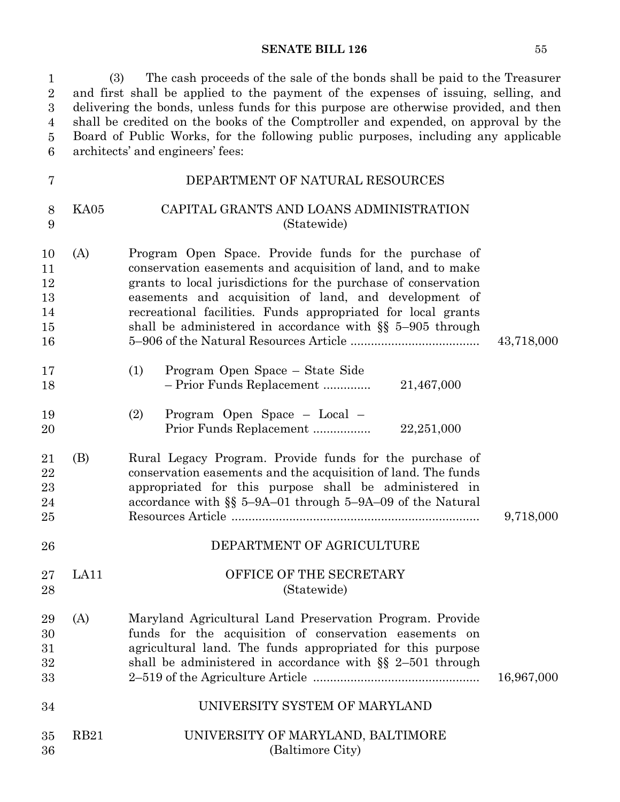1 (3) The cash proceeds of the sale of the bonds shall be paid to the Treasurer 2 and first shall be applied to the payment of the expenses of issuing, selling, and delivering the bonds, unless funds for this purpose are otherwise provided, and then shall be credited on the books of the Comptroller and expended, on approval by the 5 Board of Public Works, for the following public purposes, including any applicable architects' and engineers' fees: 1  $\sqrt{2}$ 3 4  $\bf 5$ 6

| 7                                      |      | DEPARTMENT OF NATURAL RESOURCES                                                                                                                                                                                                                                                                                                                                                |            |
|----------------------------------------|------|--------------------------------------------------------------------------------------------------------------------------------------------------------------------------------------------------------------------------------------------------------------------------------------------------------------------------------------------------------------------------------|------------|
| 8<br>9                                 | KA05 | CAPITAL GRANTS AND LOANS ADMINISTRATION<br>(Statewide)                                                                                                                                                                                                                                                                                                                         |            |
| 10<br>11<br>12<br>13<br>14<br>15<br>16 | (A)  | Program Open Space. Provide funds for the purchase of<br>conservation easements and acquisition of land, and to make<br>grants to local jurisdictions for the purchase of conservation<br>easements and acquisition of land, and development of<br>recreational facilities. Funds appropriated for local grants<br>shall be administered in accordance with $\S$ 5-905 through | 43,718,000 |
| 17<br>18                               |      | Program Open Space - State Side<br>(1)<br>21,467,000<br>- Prior Funds Replacement                                                                                                                                                                                                                                                                                              |            |
| 19<br>20                               |      | Program Open Space - Local -<br>(2)<br>22,251,000<br>Prior Funds Replacement                                                                                                                                                                                                                                                                                                   |            |
| 21<br>22<br>23<br>24<br>25             | (B)  | Rural Legacy Program. Provide funds for the purchase of<br>conservation easements and the acquisition of land. The funds<br>appropriated for this purpose shall be administered in<br>accordance with $\S$ 5-9A-01 through 5-9A-09 of the Natural                                                                                                                              | 9,718,000  |
| 26                                     |      | DEPARTMENT OF AGRICULTURE                                                                                                                                                                                                                                                                                                                                                      |            |
| 27<br>28                               | LA11 | OFFICE OF THE SECRETARY<br>(Statewide)                                                                                                                                                                                                                                                                                                                                         |            |
| 29<br>30<br>31<br>32<br>33             | (A)  | Maryland Agricultural Land Preservation Program. Provide<br>funds for the acquisition of conservation easements on<br>agricultural land. The funds appropriated for this purpose<br>shall be administered in accordance with $\S$ 2-501 through                                                                                                                                | 16,967,000 |
| 34                                     |      | UNIVERSITY SYSTEM OF MARYLAND                                                                                                                                                                                                                                                                                                                                                  |            |
| 35<br>36                               | RB21 | UNIVERSITY OF MARYLAND, BALTIMORE<br>(Baltimore City)                                                                                                                                                                                                                                                                                                                          |            |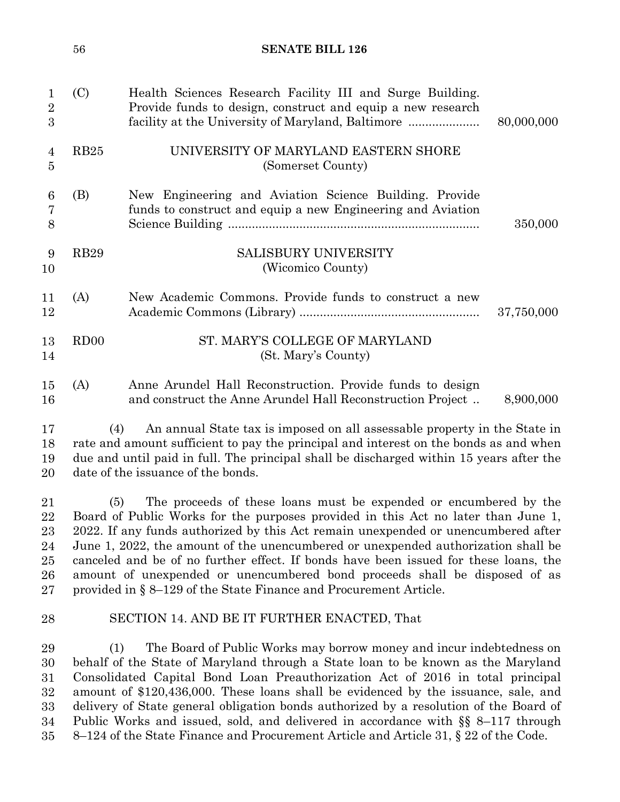|                                        | 56               | <b>SENATE BILL 126</b>                                                                                                                                                                                                                                                                                                                                                                                                                                                                                                                                                          |            |
|----------------------------------------|------------------|---------------------------------------------------------------------------------------------------------------------------------------------------------------------------------------------------------------------------------------------------------------------------------------------------------------------------------------------------------------------------------------------------------------------------------------------------------------------------------------------------------------------------------------------------------------------------------|------------|
| 1<br>$\overline{2}$<br>3               | (C)              | Health Sciences Research Facility III and Surge Building.<br>Provide funds to design, construct and equip a new research<br>facility at the University of Maryland, Baltimore                                                                                                                                                                                                                                                                                                                                                                                                   | 80,000,000 |
| 4<br>5                                 | RB25             | UNIVERSITY OF MARYLAND EASTERN SHORE<br>(Somerset County)                                                                                                                                                                                                                                                                                                                                                                                                                                                                                                                       |            |
| 6<br>7<br>8                            | (B)              | New Engineering and Aviation Science Building. Provide<br>funds to construct and equip a new Engineering and Aviation                                                                                                                                                                                                                                                                                                                                                                                                                                                           | 350,000    |
| 9<br>10                                | <b>RB29</b>      | SALISBURY UNIVERSITY<br>(Wicomico County)                                                                                                                                                                                                                                                                                                                                                                                                                                                                                                                                       |            |
| 11<br>12                               | (A)              | New Academic Commons. Provide funds to construct a new                                                                                                                                                                                                                                                                                                                                                                                                                                                                                                                          | 37,750,000 |
| 13<br>14                               | RD <sub>00</sub> | ST. MARY'S COLLEGE OF MARYLAND<br>(St. Mary's County)                                                                                                                                                                                                                                                                                                                                                                                                                                                                                                                           |            |
| 15<br>16                               | (A)              | Anne Arundel Hall Reconstruction. Provide funds to design<br>and construct the Anne Arundel Hall Reconstruction Project                                                                                                                                                                                                                                                                                                                                                                                                                                                         | 8,900,000  |
| 17<br>18<br>19<br>20                   | (4)              | An annual State tax is imposed on all assessable property in the State in<br>rate and amount sufficient to pay the principal and interest on the bonds as and when<br>due and until paid in full. The principal shall be discharged within 15 years after the<br>date of the issuance of the bonds.                                                                                                                                                                                                                                                                             |            |
| 21<br>22<br>23<br>24<br>25<br>26<br>27 | (5)              | The proceeds of these loans must be expended or encumbered by the<br>Board of Public Works for the purposes provided in this Act no later than June 1,<br>2022. If any funds authorized by this Act remain unexpended or unencumbered after<br>June 1, 2022, the amount of the unencumbered or unexpended authorization shall be<br>canceled and be of no further effect. If bonds have been issued for these loans, the<br>amount of unexpended or unencumbered bond proceeds shall be disposed of as<br>provided in $\S 8$ –129 of the State Finance and Procurement Article. |            |
| 28                                     |                  | SECTION 14. AND BE IT FURTHER ENACTED, That                                                                                                                                                                                                                                                                                                                                                                                                                                                                                                                                     |            |
| 29<br>30<br>31                         | (1)              | The Board of Public Works may borrow money and incur indebtedness on<br>behalf of the State of Maryland through a State loan to be known as the Maryland<br>Consolidated Capital Bond Loan Preauthorization Act of 2016 in total principal                                                                                                                                                                                                                                                                                                                                      |            |

 Consolidated Capital Bond Loan Preauthorization Act of 2016 in total principal amount of \$120,436,000. These loans shall be evidenced by the issuance, sale, and delivery of State general obligation bonds authorized by a resolution of the Board of Public Works and issued, sold, and delivered in accordance with §§ 8-117 through 8–124 of the State Finance and Procurement Article and Article 31, § 22 of the Code.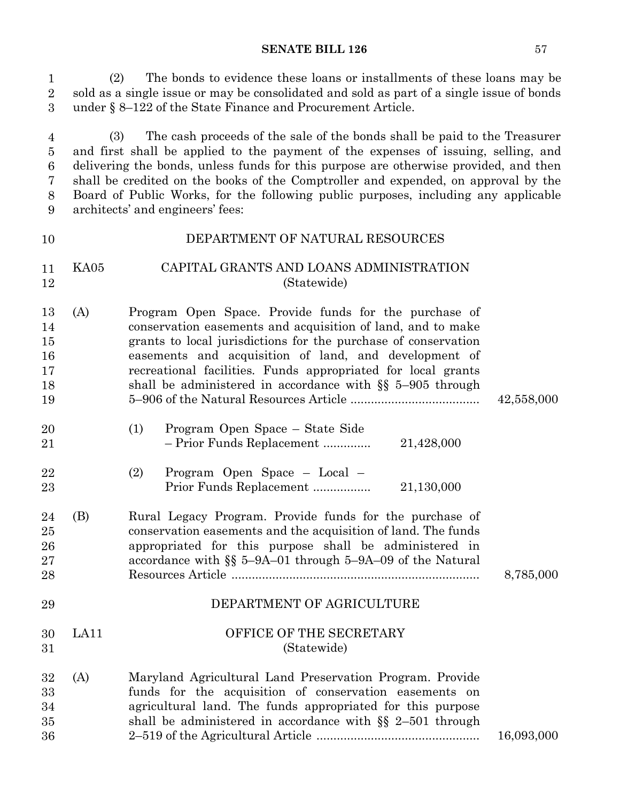1 (2) The bonds to evidence these loans or installments of these loans may be 2 sold as a single issue or may be consolidated and sold as part of a single issue of bonds under  $\S 8-122$  of the State Finance and Procurement Article. 1 3

5 (3) The cash proceeds of the sale of the bonds shall be paid to the Treasurer and first shall be applied to the payment of the expenses of issuing, selling, and 7 delivering the bonds, unless funds for this purpose are otherwise provided, and then shall be credited on the books of the Comptroller and expended, on approval by the 9 Board of Public Works, for the following public purposes, including any applicable architects' and engineers' fees: 4 5 6 7 8 9

#### DEPARTMENT OF NATURAL RESOURCES KA05 CAPITAL GRANTS AND LOANS ADMINISTRATION (Statewide) (A) Program Open Space. Provide funds for the purchase of conservation easements and acquisition of land, and to make grants to local jurisdictions for the purchase of conservation easements and acquisition of land, and development of recreational facilities. Funds appropriated for local grants shall be administered in accordance with §§ 5–905 through 5–906 of the Natural Resources Article ...................................... 42,558,000 (1) Program Open Space – State Side – Prior Funds Replacement ................................ 21,428,000 .............. (2) Program Open Space – Local – Prior Funds Replacement ................................ 21,130,000 ................. (B) Rural Legacy Program. Provide funds for the purchase of conservation easements and the acquisition of land. The funds appropriated for this purpose shall be administered in accordance with §§ 5–9A–01 through 5–9A–09 of the Natural Resources Article ......................................................................... 8,785,000 DEPARTMENT OF AGRICULTURE LA11 OFFICE OF THE SECRETARY (Statewide) (A) Maryland Agricultural Land Preservation Program. Provide funds for the acquisition of conservation easements on agricultural land. The funds appropriated for this purpose shall be administered in accordance with §§ 2–501 through 2–519 of the Agricultural Article ................................................ 16,093,000 10 11 12 13 14 15 16 17 18 19 20 21 22 23 24 25 26 27 28 29 30 31 32 33 34 35 36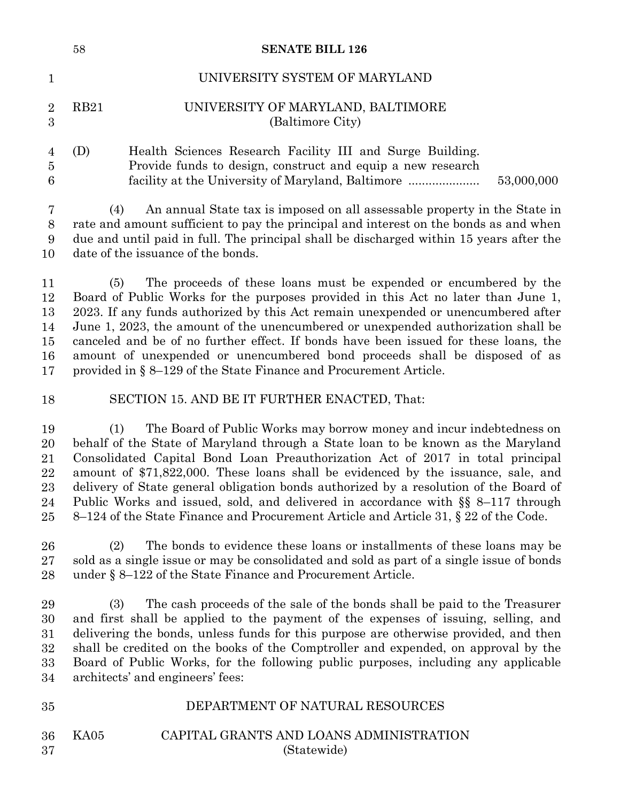|                                            | 58   | <b>SENATE BILL 126</b>                                                                                                                                                                                                                                                                                                                                                                                                                                                                                                                                                                               |
|--------------------------------------------|------|------------------------------------------------------------------------------------------------------------------------------------------------------------------------------------------------------------------------------------------------------------------------------------------------------------------------------------------------------------------------------------------------------------------------------------------------------------------------------------------------------------------------------------------------------------------------------------------------------|
| $\mathbf{1}$                               |      | UNIVERSITY SYSTEM OF MARYLAND                                                                                                                                                                                                                                                                                                                                                                                                                                                                                                                                                                        |
| $\overline{2}$<br>$\overline{3}$           | RB21 | UNIVERSITY OF MARYLAND, BALTIMORE<br>(Baltimore City)                                                                                                                                                                                                                                                                                                                                                                                                                                                                                                                                                |
| $\overline{4}$<br>$\overline{5}$<br>6      | (D)  | Health Sciences Research Facility III and Surge Building.<br>Provide funds to design, construct and equip a new research<br>53,000,000<br>facility at the University of Maryland, Baltimore                                                                                                                                                                                                                                                                                                                                                                                                          |
| 7<br>$8\,$<br>9<br>10                      | (4)  | An annual State tax is imposed on all assessable property in the State in<br>rate and amount sufficient to pay the principal and interest on the bonds as and when<br>due and until paid in full. The principal shall be discharged within 15 years after the<br>date of the issuance of the bonds.                                                                                                                                                                                                                                                                                                  |
| 11<br>$12\,$<br>13<br>14<br>15<br>16<br>17 | (5)  | The proceeds of these loans must be expended or encumbered by the<br>Board of Public Works for the purposes provided in this Act no later than June 1,<br>2023. If any funds authorized by this Act remain unexpended or unencumbered after<br>June 1, 2023, the amount of the unencumbered or unexpended authorization shall be<br>canceled and be of no further effect. If bonds have been issued for these loans, the<br>amount of unexpended or unencumbered bond proceeds shall be disposed of as<br>provided in § 8-129 of the State Finance and Procurement Article.                          |
| 18                                         |      | SECTION 15. AND BE IT FURTHER ENACTED, That:                                                                                                                                                                                                                                                                                                                                                                                                                                                                                                                                                         |
| 19<br>20<br>21<br>22<br>23<br>24<br>25     | (1)  | The Board of Public Works may borrow money and incur indebtedness on<br>behalf of the State of Maryland through a State loan to be known as the Maryland<br>Consolidated Capital Bond Loan Preauthorization Act of 2017 in total principal<br>amount of \$71,822,000. These loans shall be evidenced by the issuance, sale, and<br>delivery of State general obligation bonds authorized by a resolution of the Board of<br>Public Works and issued, sold, and delivered in accordance with §§ 8-117 through<br>8–124 of the State Finance and Procurement Article and Article 31, § 22 of the Code. |
| 26<br>27<br>28                             | (2)  | The bonds to evidence these loans or installments of these loans may be<br>sold as a single issue or may be consolidated and sold as part of a single issue of bonds<br>under $\S 8-122$ of the State Finance and Procurement Article.                                                                                                                                                                                                                                                                                                                                                               |
| 29<br>30<br>31<br>32<br>33<br>34           | (3)  | The cash proceeds of the sale of the bonds shall be paid to the Treasurer<br>and first shall be applied to the payment of the expenses of issuing, selling, and<br>delivering the bonds, unless funds for this purpose are otherwise provided, and then<br>shall be credited on the books of the Comptroller and expended, on approval by the<br>Board of Public Works, for the following public purposes, including any applicable<br>architects' and engineers' fees:                                                                                                                              |
| 35                                         |      | DEPARTMENT OF NATURAL RESOURCES                                                                                                                                                                                                                                                                                                                                                                                                                                                                                                                                                                      |
|                                            |      |                                                                                                                                                                                                                                                                                                                                                                                                                                                                                                                                                                                                      |

KA05 CAPITAL GRANTS AND LOANS ADMINISTRATION (Statewide) 36 37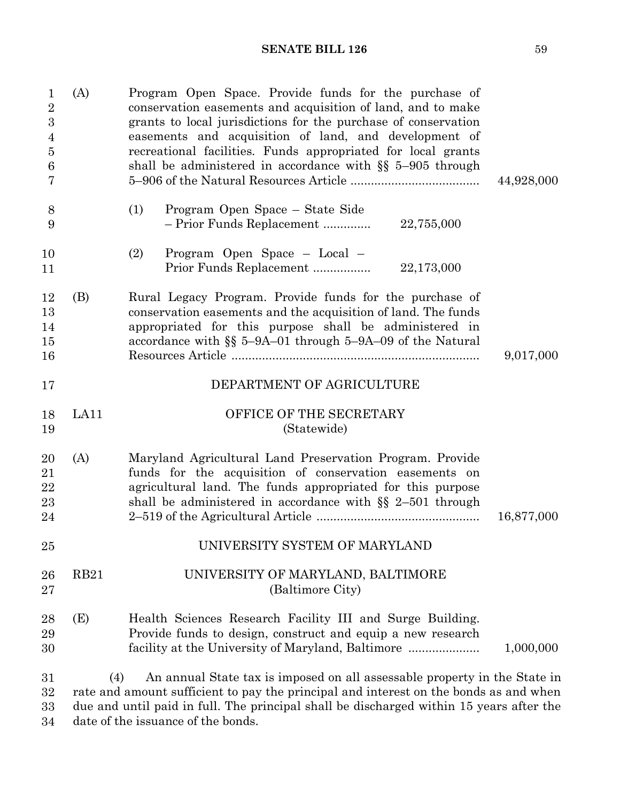| $\mathbf 1$<br>$\overline{2}$<br>$\boldsymbol{3}$<br>4<br>$\bf 5$<br>6<br>7 | (A)         | Program Open Space. Provide funds for the purchase of<br>conservation easements and acquisition of land, and to make<br>grants to local jurisdictions for the purchase of conservation<br>easements and acquisition of land, and development of<br>recreational facilities. Funds appropriated for local grants<br>shall be administered in accordance with $\S$ 5-905 through | 44,928,000 |
|-----------------------------------------------------------------------------|-------------|--------------------------------------------------------------------------------------------------------------------------------------------------------------------------------------------------------------------------------------------------------------------------------------------------------------------------------------------------------------------------------|------------|
| 8<br>9                                                                      |             | Program Open Space – State Side<br>(1)<br>- Prior Funds Replacement<br>22,755,000                                                                                                                                                                                                                                                                                              |            |
| 10<br>11                                                                    |             | (2)<br>Program Open Space - Local -<br>Prior Funds Replacement<br>22,173,000                                                                                                                                                                                                                                                                                                   |            |
| 12<br>13<br>14<br>15<br>16                                                  | (B)         | Rural Legacy Program. Provide funds for the purchase of<br>conservation easements and the acquisition of land. The funds<br>appropriated for this purpose shall be administered in<br>accordance with $\S$ 5-9A-01 through 5-9A-09 of the Natural                                                                                                                              | 9,017,000  |
| 17                                                                          |             | DEPARTMENT OF AGRICULTURE                                                                                                                                                                                                                                                                                                                                                      |            |
| 18<br>19                                                                    | LA11        | OFFICE OF THE SECRETARY<br>(Statewide)                                                                                                                                                                                                                                                                                                                                         |            |
| 20<br>21<br>22<br>23<br>24                                                  | (A)         | Maryland Agricultural Land Preservation Program. Provide<br>funds for the acquisition of conservation easements on<br>agricultural land. The funds appropriated for this purpose<br>shall be administered in accordance with $\S$ 2-501 through                                                                                                                                | 16,877,000 |
| 25                                                                          |             | UNIVERSITY SYSTEM OF MARYLAND                                                                                                                                                                                                                                                                                                                                                  |            |
| 26<br>27                                                                    | <b>RB21</b> | UNIVERSITY OF MARYLAND, BALTIMORE<br>(Baltimore City)                                                                                                                                                                                                                                                                                                                          |            |
| 28<br>29<br>30                                                              | (E)         | Health Sciences Research Facility III and Surge Building.<br>Provide funds to design, construct and equip a new research<br>facility at the University of Maryland, Baltimore                                                                                                                                                                                                  | 1,000,000  |
| 31<br>32                                                                    | (4)         | An annual State tax is imposed on all assessable property in the State in<br>rate and amount sufficient to pay the principal and interest on the bonds as and when                                                                                                                                                                                                             |            |

14 due and until paid in full. The principal shall be discharged within 15 years after the date of the issuance of the bonds. 33 34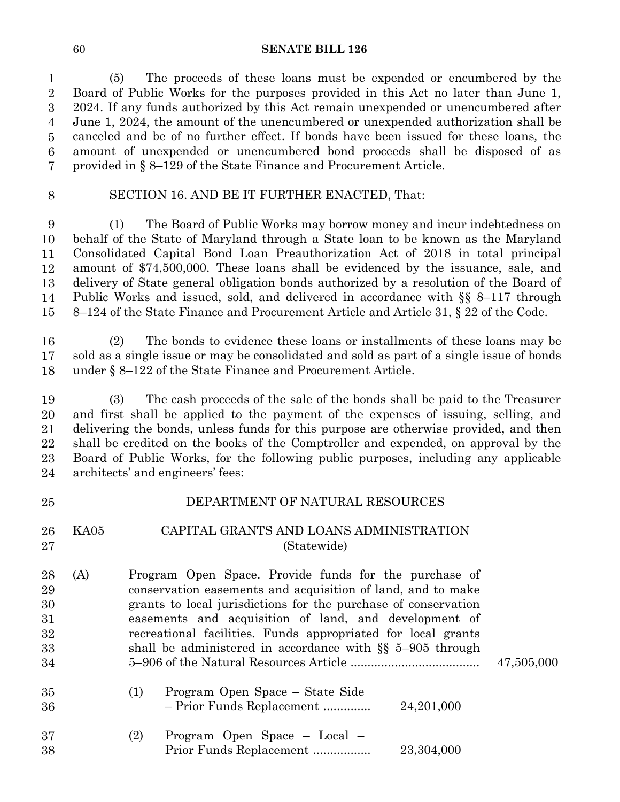(5) The proceeds of these loans must be expended or encumbered by the Board of Public Works for the purposes provided in this Act no later than June 1, 2024. If any funds authorized by this Act remain unexpended or unencumbered after June 1, 2024, the amount of the unencumbered or unexpended authorization shall be canceled and be of no further effect. If bonds have been issued for these loans*,* the amount of unexpended or unencumbered bond proceeds shall be disposed of as provided in § 8–129 of the State Finance and Procurement Article.  $\overline{2}$   $\overline{5}$   $\overline{7}$ 

## SECTION 16. AND BE IT FURTHER ENACTED, That:

 (1) The Board of Public Works may borrow money and incur indebtedness on behalf of the State of Maryland through a State loan to be known as the Maryland Consolidated Capital Bond Loan Preauthorization Act of 2018 in total principal amount of \$74,500,000. These loans shall be evidenced by the issuance, sale, and delivery of State general obligation bonds authorized by a resolution of the Board of Public Works and issued, sold, and delivered in accordance with  $\S$ § 8–117 through 8–124 of the State Finance and Procurement Article and Article 31, § 22 of the Code. 

 (2) The bonds to evidence these loans or installments of these loans may be sold as a single issue or may be consolidated and sold as part of a single issue of bonds under  $\S 8-122$  of the State Finance and Procurement Article. 

 (3) The cash proceeds of the sale of the bonds shall be paid to the Treasurer and first shall be applied to the payment of the expenses of issuing, selling, and delivering the bonds, unless funds for this purpose are otherwise provided, and then shall be credited on the books of the Comptroller and expended, on approval by the Board of Public Works, for the following public purposes, including any applicable architects' and engineers' fees: 

| 25                                     |      | DEPARTMENT OF NATURAL RESOURCES                                                                                                                                                                                                                                                                                                                                                |            |
|----------------------------------------|------|--------------------------------------------------------------------------------------------------------------------------------------------------------------------------------------------------------------------------------------------------------------------------------------------------------------------------------------------------------------------------------|------------|
| 26<br>27                               | KA05 | CAPITAL GRANTS AND LOANS ADMINISTRATION<br>(Statewide)                                                                                                                                                                                                                                                                                                                         |            |
| 28<br>29<br>30<br>31<br>32<br>33<br>34 | (A)  | Program Open Space. Provide funds for the purchase of<br>conservation easements and acquisition of land, and to make<br>grants to local jurisdictions for the purchase of conservation<br>easements and acquisition of land, and development of<br>recreational facilities. Funds appropriated for local grants<br>shall be administered in accordance with $\S$ 5-905 through | 47,505,000 |
| 35<br>36                               |      | Program Open Space – State Side<br>(1)<br>- Prior Funds Replacement<br>24,201,000                                                                                                                                                                                                                                                                                              |            |
| 37<br>38                               |      | Program Open Space – Local –<br>(2)<br>Prior Funds Replacement<br>23,304,000                                                                                                                                                                                                                                                                                                   |            |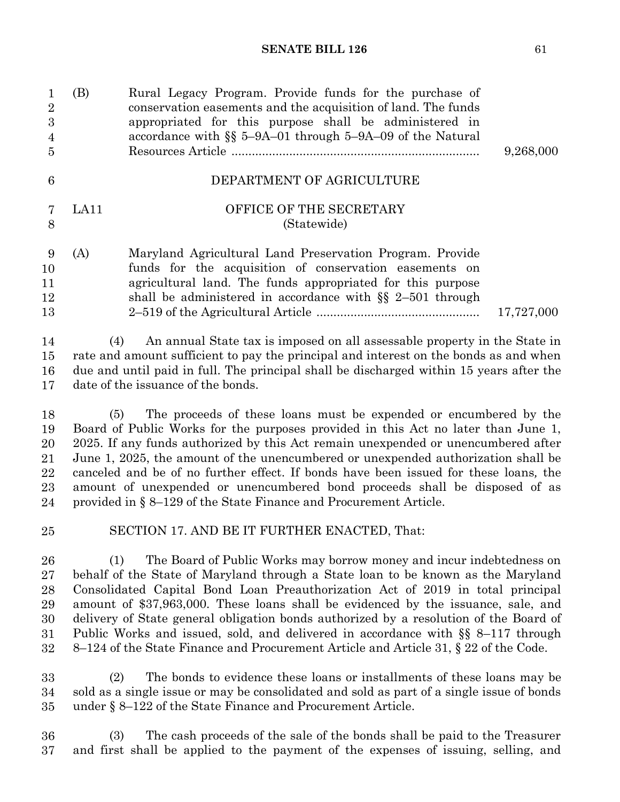| $\mathbf{1}$<br>$\overline{2}$<br>$\overline{3}$<br>$\overline{4}$<br>$\overline{5}$ | (B)  | Rural Legacy Program. Provide funds for the purchase of<br>conservation easements and the acquisition of land. The funds<br>appropriated for this purpose shall be administered in<br>accordance with §§ 5-9A-01 through 5-9A-09 of the Natural<br>9,268,000                                                                                                                                                                                                                                                                                                                |
|--------------------------------------------------------------------------------------|------|-----------------------------------------------------------------------------------------------------------------------------------------------------------------------------------------------------------------------------------------------------------------------------------------------------------------------------------------------------------------------------------------------------------------------------------------------------------------------------------------------------------------------------------------------------------------------------|
| 6                                                                                    |      | DEPARTMENT OF AGRICULTURE                                                                                                                                                                                                                                                                                                                                                                                                                                                                                                                                                   |
| 7<br>8                                                                               | LA11 | OFFICE OF THE SECRETARY<br>(Statewide)                                                                                                                                                                                                                                                                                                                                                                                                                                                                                                                                      |
| 9<br>10<br>11<br>12<br>13                                                            | (A)  | Maryland Agricultural Land Preservation Program. Provide<br>funds for the acquisition of conservation easements on<br>agricultural land. The funds appropriated for this purpose<br>shall be administered in accordance with $\S$ 2-501 through<br>17,727,000                                                                                                                                                                                                                                                                                                               |
| 14<br>15<br>16<br>17                                                                 | (4)  | An annual State tax is imposed on all assessable property in the State in<br>rate and amount sufficient to pay the principal and interest on the bonds as and when<br>due and until paid in full. The principal shall be discharged within 15 years after the<br>date of the issuance of the bonds.                                                                                                                                                                                                                                                                         |
| 18<br>19<br>20<br>21<br>22<br>23<br>24                                               | (5)  | The proceeds of these loans must be expended or encumbered by the<br>Board of Public Works for the purposes provided in this Act no later than June 1,<br>2025. If any funds authorized by this Act remain unexpended or unencumbered after<br>June 1, 2025, the amount of the unencumbered or unexpended authorization shall be<br>canceled and be of no further effect. If bonds have been issued for these loans, the<br>amount of unexpended or unencumbered bond proceeds shall be disposed of as<br>provided in § 8–129 of the State Finance and Procurement Article. |
| $25\,$                                                                               |      | SECTION 17. AND BE IT FURTHER ENACTED, That:                                                                                                                                                                                                                                                                                                                                                                                                                                                                                                                                |
| 26<br>27<br>$\Omega$                                                                 | (1)  | The Board of Public Works may borrow money and incur indebtedness on<br>behalf of the State of Maryland through a State loan to be known as the Maryland<br>Consolidated Conital Road Loan Proquisherization Act of 2010 in total principal                                                                                                                                                                                                                                                                                                                                 |

Consolidated Capital Bond Loan Preauthorization Act of 2019 in total principal amount of \$37,963,000. These loans shall be evidenced by the issuance, sale, and 25 delivery of State general obligation bonds authorized by a resolution of the Board of Public Works and issued, sold, and delivered in accordance with §§ 8–117 through 8–124 of the State Finance and Procurement Article and Article 31, § 22 of the Code. 28 29 30 31 32

29 (2) The bonds to evidence these loans or installments of these loans may be sold as a single issue or may be consolidated and sold as part of a single issue of bonds under  $\S 8-122$  of the State Finance and Procurement Article. 33 34 35

33 (3) The cash proceeds of the sale of the bonds shall be paid to the Treasurer and first shall be applied to the payment of the expenses of issuing, selling, and 36 37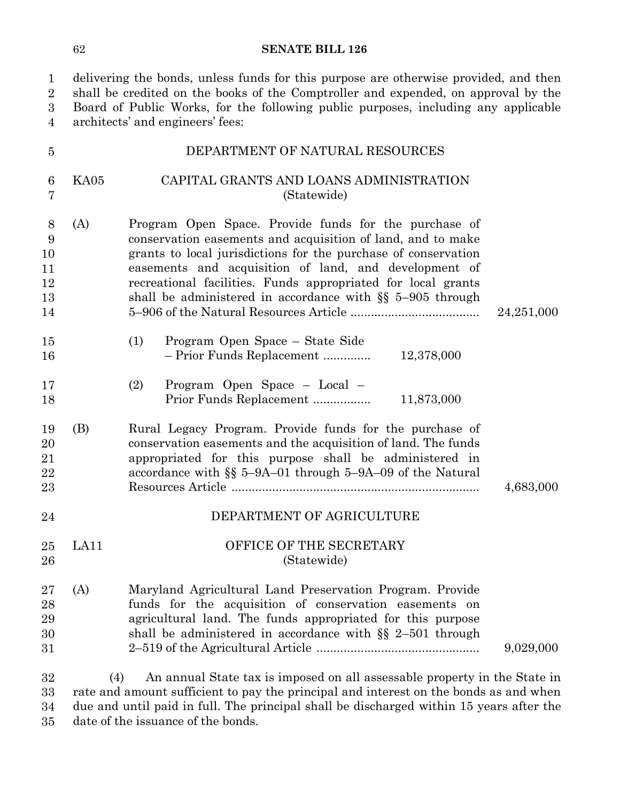delivering the bonds, unless funds for this purpose are otherwise provided, and then 2 shall be credited on the books of the Comptroller and expended, on approval by the 3 Board of Public Works, for the following public purposes, including any applicable architects' and engineers' fees: 1  $\overline{2}$ 3 4

| $\overline{5}$                       |      | DEPARTMENT OF NATURAL RESOURCES                                                                                                                                                                                                                                                                                                                                                |            |
|--------------------------------------|------|--------------------------------------------------------------------------------------------------------------------------------------------------------------------------------------------------------------------------------------------------------------------------------------------------------------------------------------------------------------------------------|------------|
| $\boldsymbol{6}$<br>$\overline{7}$   | KA05 | CAPITAL GRANTS AND LOANS ADMINISTRATION<br>(Statewide)                                                                                                                                                                                                                                                                                                                         |            |
| 8<br>9<br>10<br>11<br>12<br>13<br>14 | (A)  | Program Open Space. Provide funds for the purchase of<br>conservation easements and acquisition of land, and to make<br>grants to local jurisdictions for the purchase of conservation<br>easements and acquisition of land, and development of<br>recreational facilities. Funds appropriated for local grants<br>shall be administered in accordance with $\S$ 5-905 through | 24,251,000 |
| 15<br>16                             |      | Program Open Space – State Side<br>(1)<br>- Prior Funds Replacement<br>12,378,000                                                                                                                                                                                                                                                                                              |            |
| 17<br>18                             |      | (2)<br>Program Open Space - Local -<br>Prior Funds Replacement<br>11,873,000                                                                                                                                                                                                                                                                                                   |            |
| 19<br>20<br>21<br>22<br>23           | (B)  | Rural Legacy Program. Provide funds for the purchase of<br>conservation easements and the acquisition of land. The funds<br>appropriated for this purpose shall be administered in<br>accordance with $\S$ 5-9A-01 through 5-9A-09 of the Natural                                                                                                                              | 4,683,000  |
| 24                                   |      | DEPARTMENT OF AGRICULTURE                                                                                                                                                                                                                                                                                                                                                      |            |
| 25<br>26                             | LA11 | OFFICE OF THE SECRETARY<br>(Statewide)                                                                                                                                                                                                                                                                                                                                         |            |
| 27<br>28<br>29<br>30<br>31           | (A)  | Maryland Agricultural Land Preservation Program. Provide<br>funds for the acquisition of conservation easements on<br>agricultural land. The funds appropriated for this purpose<br>shall be administered in accordance with $\S$ 2-501 through                                                                                                                                | 9,029,000  |
| 32<br>33<br>34                       | (4)  | An annual State tax is imposed on all assessable property in the State in<br>rate and amount sufficient to pay the principal and interest on the bonds as and when<br>due and until paid in full. The principal shall be discharged within 15 years after the                                                                                                                  |            |

date of the issuance of the bonds. 35